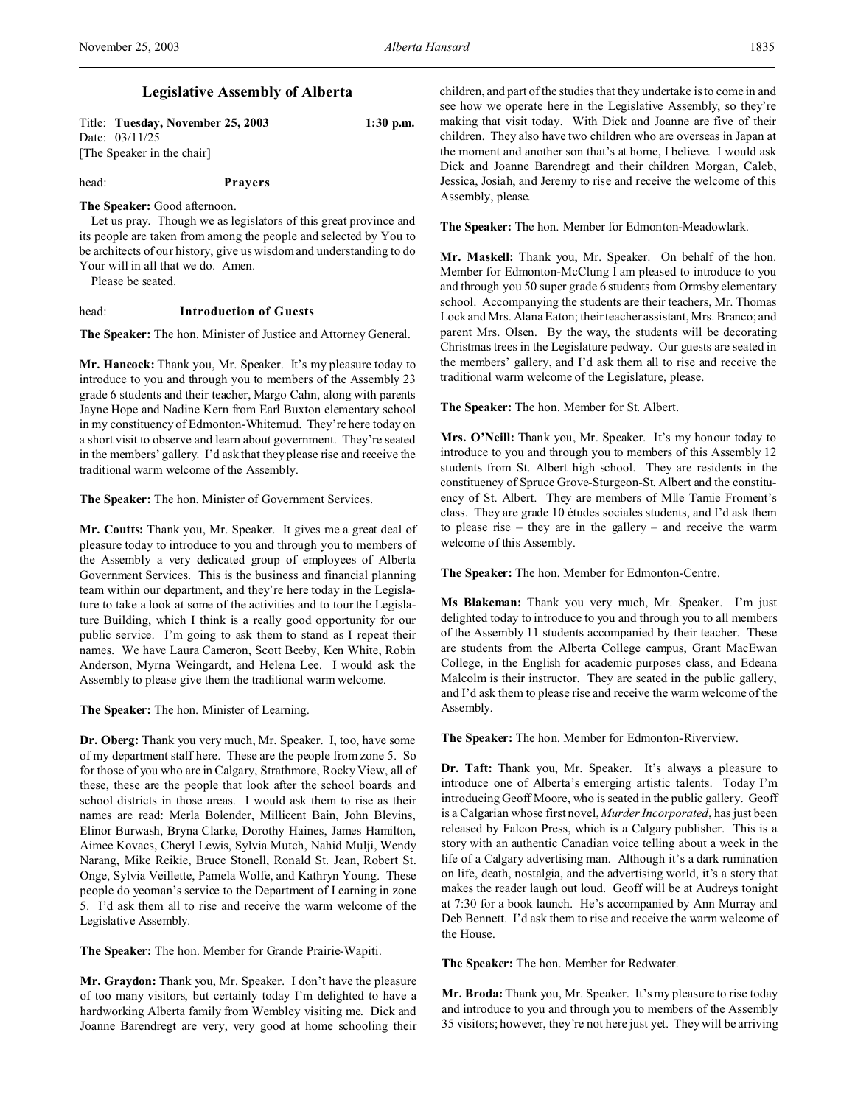## **Legislative Assembly of Alberta**

| Title: Tuesday, November 25, 2003 | $1:30$ p.m. |
|-----------------------------------|-------------|
| Date: 03/11/25                    |             |
| [The Speaker in the chair]        |             |

head: **Prayers**

# **The Speaker:** Good afternoon.

Let us pray. Though we as legislators of this great province and its people are taken from among the people and selected by You to be architects of our history, give us wisdom and understanding to do Your will in all that we do. Amen.

Please be seated.

### head: **Introduction of Guests**

**The Speaker:** The hon. Minister of Justice and Attorney General.

**Mr. Hancock:** Thank you, Mr. Speaker. It's my pleasure today to introduce to you and through you to members of the Assembly 23 grade 6 students and their teacher, Margo Cahn, along with parents Jayne Hope and Nadine Kern from Earl Buxton elementary school in my constituency of Edmonton-Whitemud. They're here today on a short visit to observe and learn about government. They're seated in the members' gallery. I'd ask that they please rise and receive the traditional warm welcome of the Assembly.

**The Speaker:** The hon. Minister of Government Services.

**Mr. Coutts:** Thank you, Mr. Speaker. It gives me a great deal of pleasure today to introduce to you and through you to members of the Assembly a very dedicated group of employees of Alberta Government Services. This is the business and financial planning team within our department, and they're here today in the Legislature to take a look at some of the activities and to tour the Legislature Building, which I think is a really good opportunity for our public service. I'm going to ask them to stand as I repeat their names. We have Laura Cameron, Scott Beeby, Ken White, Robin Anderson, Myrna Weingardt, and Helena Lee. I would ask the Assembly to please give them the traditional warm welcome.

**The Speaker:** The hon. Minister of Learning.

**Dr. Oberg:** Thank you very much, Mr. Speaker. I, too, have some of my department staff here. These are the people from zone 5. So for those of you who are in Calgary, Strathmore, Rocky View, all of these, these are the people that look after the school boards and school districts in those areas. I would ask them to rise as their names are read: Merla Bolender, Millicent Bain, John Blevins, Elinor Burwash, Bryna Clarke, Dorothy Haines, James Hamilton, Aimee Kovacs, Cheryl Lewis, Sylvia Mutch, Nahid Mulji, Wendy Narang, Mike Reikie, Bruce Stonell, Ronald St. Jean, Robert St. Onge, Sylvia Veillette, Pamela Wolfe, and Kathryn Young. These people do yeoman's service to the Department of Learning in zone 5. I'd ask them all to rise and receive the warm welcome of the Legislative Assembly.

**The Speaker:** The hon. Member for Grande Prairie-Wapiti.

**Mr. Graydon:** Thank you, Mr. Speaker. I don't have the pleasure of too many visitors, but certainly today I'm delighted to have a hardworking Alberta family from Wembley visiting me. Dick and Joanne Barendregt are very, very good at home schooling their children, and part of the studies that they undertake is to come in and see how we operate here in the Legislative Assembly, so they're making that visit today. With Dick and Joanne are five of their children. They also have two children who are overseas in Japan at the moment and another son that's at home, I believe. I would ask Dick and Joanne Barendregt and their children Morgan, Caleb, Jessica, Josiah, and Jeremy to rise and receive the welcome of this Assembly, please.

**The Speaker:** The hon. Member for Edmonton-Meadowlark.

**Mr. Maskell:** Thank you, Mr. Speaker. On behalf of the hon. Member for Edmonton-McClung I am pleased to introduce to you and through you 50 super grade 6 students from Ormsby elementary school. Accompanying the students are their teachers, Mr. Thomas Lock and Mrs. Alana Eaton; their teacher assistant, Mrs. Branco; and parent Mrs. Olsen. By the way, the students will be decorating Christmas trees in the Legislature pedway. Our guests are seated in the members' gallery, and I'd ask them all to rise and receive the traditional warm welcome of the Legislature, please.

**The Speaker:** The hon. Member for St. Albert.

**Mrs. O'Neill:** Thank you, Mr. Speaker. It's my honour today to introduce to you and through you to members of this Assembly 12 students from St. Albert high school. They are residents in the constituency of Spruce Grove-Sturgeon-St. Albert and the constituency of St. Albert. They are members of Mlle Tamie Froment's class. They are grade 10 études sociales students, and I'd ask them to please rise – they are in the gallery – and receive the warm welcome of this Assembly.

**The Speaker:** The hon. Member for Edmonton-Centre.

**Ms Blakeman:** Thank you very much, Mr. Speaker. I'm just delighted today to introduce to you and through you to all members of the Assembly 11 students accompanied by their teacher. These are students from the Alberta College campus, Grant MacEwan College, in the English for academic purposes class, and Edeana Malcolm is their instructor. They are seated in the public gallery, and I'd ask them to please rise and receive the warm welcome of the Assembly.

**The Speaker:** The hon. Member for Edmonton-Riverview.

**Dr. Taft:** Thank you, Mr. Speaker. It's always a pleasure to introduce one of Alberta's emerging artistic talents. Today I'm introducing Geoff Moore, who is seated in the public gallery. Geoff is a Calgarian whose first novel, *Murder Incorporated*, has just been released by Falcon Press, which is a Calgary publisher. This is a story with an authentic Canadian voice telling about a week in the life of a Calgary advertising man. Although it's a dark rumination on life, death, nostalgia, and the advertising world, it's a story that makes the reader laugh out loud. Geoff will be at Audreys tonight at 7:30 for a book launch. He's accompanied by Ann Murray and Deb Bennett. I'd ask them to rise and receive the warm welcome of the House.

**The Speaker:** The hon. Member for Redwater.

**Mr. Broda:** Thank you, Mr. Speaker. It's my pleasure to rise today and introduce to you and through you to members of the Assembly 35 visitors; however, they're not here just yet. They will be arriving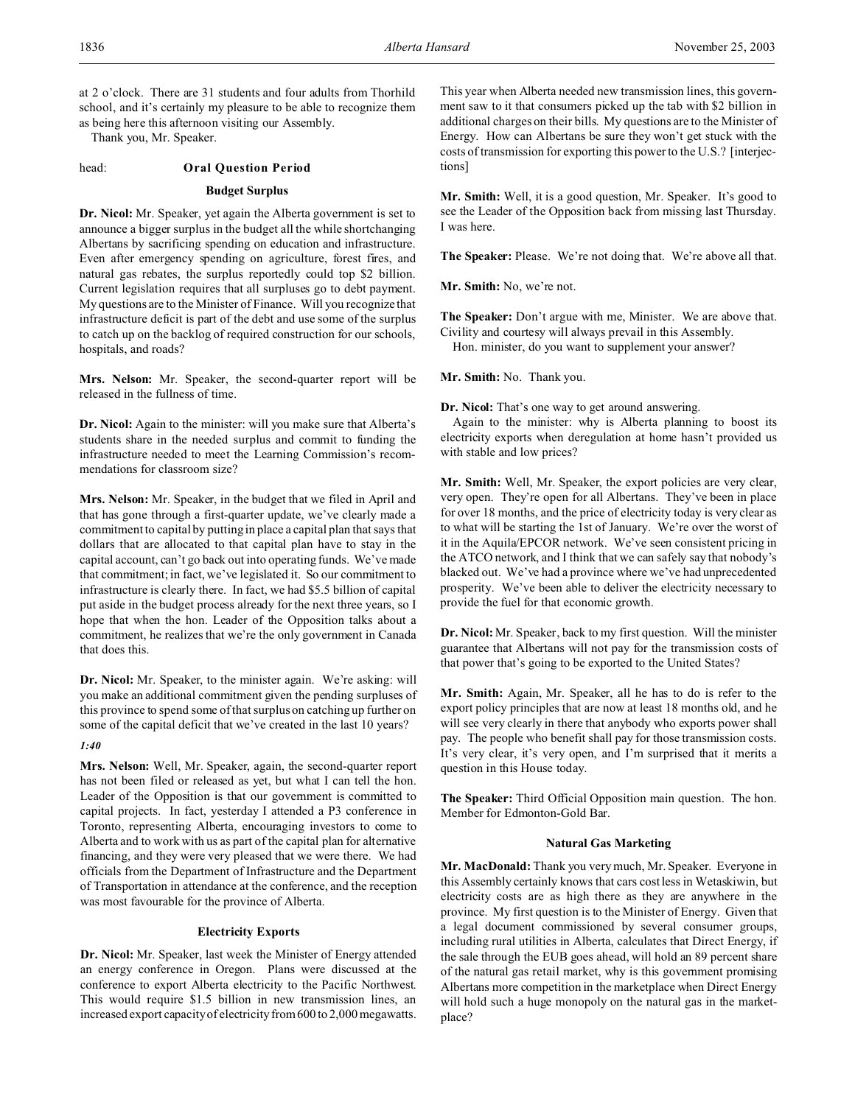at 2 o'clock. There are 31 students and four adults from Thorhild school, and it's certainly my pleasure to be able to recognize them as being here this afternoon visiting our Assembly.

Thank you, Mr. Speaker.

### head: **Oral Question Period**

#### **Budget Surplus**

**Dr. Nicol:** Mr. Speaker, yet again the Alberta government is set to announce a bigger surplus in the budget all the while shortchanging Albertans by sacrificing spending on education and infrastructure. Even after emergency spending on agriculture, forest fires, and natural gas rebates, the surplus reportedly could top \$2 billion. Current legislation requires that all surpluses go to debt payment. My questions are to the Minister of Finance. Will you recognize that infrastructure deficit is part of the debt and use some of the surplus to catch up on the backlog of required construction for our schools, hospitals, and roads?

**Mrs. Nelson:** Mr. Speaker, the second-quarter report will be released in the fullness of time.

**Dr. Nicol:** Again to the minister: will you make sure that Alberta's students share in the needed surplus and commit to funding the infrastructure needed to meet the Learning Commission's recommendations for classroom size?

**Mrs. Nelson:** Mr. Speaker, in the budget that we filed in April and that has gone through a first-quarter update, we've clearly made a commitment to capital by putting in place a capital plan that says that dollars that are allocated to that capital plan have to stay in the capital account, can't go back out into operating funds. We've made that commitment; in fact, we've legislated it. So our commitment to infrastructure is clearly there. In fact, we had \$5.5 billion of capital put aside in the budget process already for the next three years, so I hope that when the hon. Leader of the Opposition talks about a commitment, he realizes that we're the only government in Canada that does this.

**Dr. Nicol:** Mr. Speaker, to the minister again. We're asking: will you make an additional commitment given the pending surpluses of this province to spend some of that surplus on catching up further on some of the capital deficit that we've created in the last 10 years?

#### *1:40*

**Mrs. Nelson:** Well, Mr. Speaker, again, the second-quarter report has not been filed or released as yet, but what I can tell the hon. Leader of the Opposition is that our government is committed to capital projects. In fact, yesterday I attended a P3 conference in Toronto, representing Alberta, encouraging investors to come to Alberta and to work with us as part of the capital plan for alternative financing, and they were very pleased that we were there. We had officials from the Department of Infrastructure and the Department of Transportation in attendance at the conference, and the reception was most favourable for the province of Alberta.

### **Electricity Exports**

**Dr. Nicol:** Mr. Speaker, last week the Minister of Energy attended an energy conference in Oregon. Plans were discussed at the conference to export Alberta electricity to the Pacific Northwest. This would require \$1.5 billion in new transmission lines, an increased export capacity of electricity from 600 to 2,000 megawatts.

This year when Alberta needed new transmission lines, this government saw to it that consumers picked up the tab with \$2 billion in additional charges on their bills. My questions are to the Minister of Energy. How can Albertans be sure they won't get stuck with the costs of transmission for exporting this power to the U.S.? [interjections]

**Mr. Smith:** Well, it is a good question, Mr. Speaker. It's good to see the Leader of the Opposition back from missing last Thursday. I was here.

**The Speaker:** Please. We're not doing that. We're above all that.

**Mr. Smith:** No, we're not.

**The Speaker:** Don't argue with me, Minister. We are above that. Civility and courtesy will always prevail in this Assembly.

Hon. minister, do you want to supplement your answer?

**Mr. Smith:** No. Thank you.

**Dr. Nicol:** That's one way to get around answering.

Again to the minister: why is Alberta planning to boost its electricity exports when deregulation at home hasn't provided us with stable and low prices?

**Mr. Smith:** Well, Mr. Speaker, the export policies are very clear, very open. They're open for all Albertans. They've been in place for over 18 months, and the price of electricity today is very clear as to what will be starting the 1st of January. We're over the worst of it in the Aquila/EPCOR network. We've seen consistent pricing in the ATCO network, and I think that we can safely say that nobody's blacked out. We've had a province where we've had unprecedented prosperity. We've been able to deliver the electricity necessary to provide the fuel for that economic growth.

**Dr. Nicol:** Mr. Speaker, back to my first question. Will the minister guarantee that Albertans will not pay for the transmission costs of that power that's going to be exported to the United States?

**Mr. Smith:** Again, Mr. Speaker, all he has to do is refer to the export policy principles that are now at least 18 months old, and he will see very clearly in there that anybody who exports power shall pay. The people who benefit shall pay for those transmission costs. It's very clear, it's very open, and I'm surprised that it merits a question in this House today.

**The Speaker:** Third Official Opposition main question. The hon. Member for Edmonton-Gold Bar.

### **Natural Gas Marketing**

**Mr. MacDonald:** Thank you very much, Mr. Speaker. Everyone in this Assembly certainly knows that cars cost less in Wetaskiwin, but electricity costs are as high there as they are anywhere in the province. My first question is to the Minister of Energy. Given that a legal document commissioned by several consumer groups, including rural utilities in Alberta, calculates that Direct Energy, if the sale through the EUB goes ahead, will hold an 89 percent share of the natural gas retail market, why is this government promising Albertans more competition in the marketplace when Direct Energy will hold such a huge monopoly on the natural gas in the marketplace?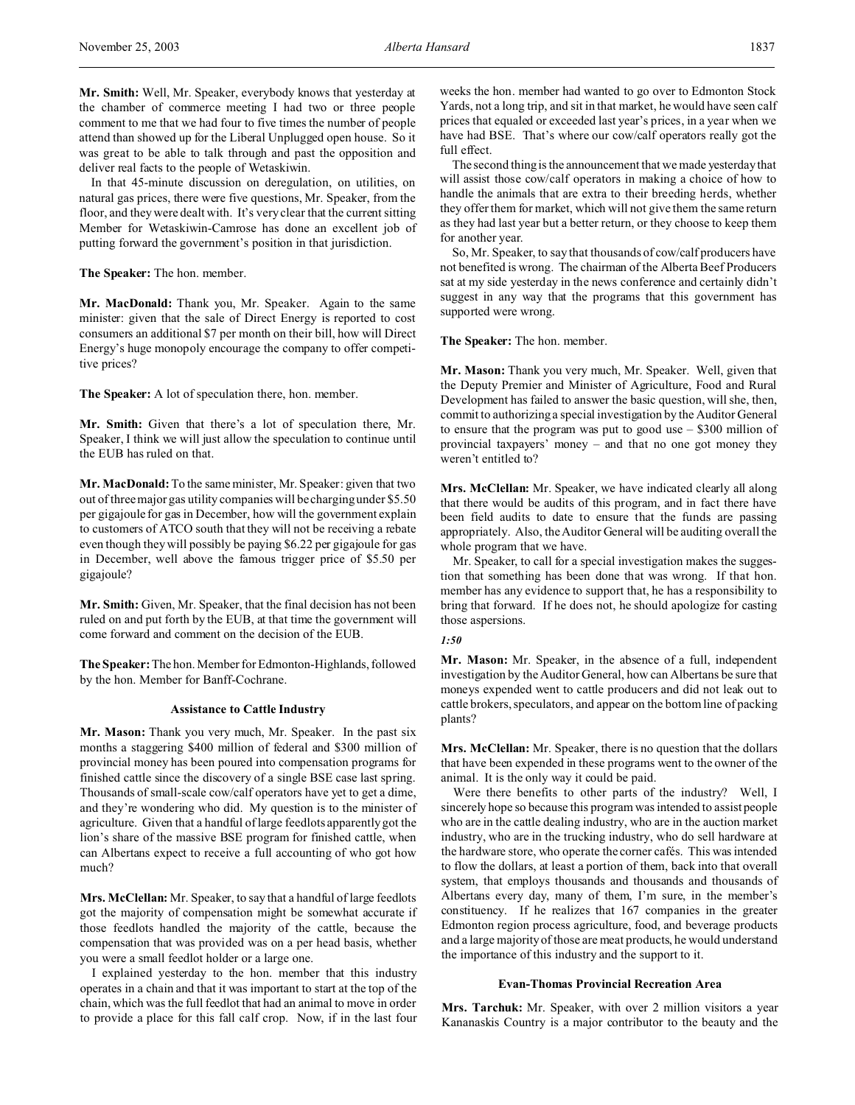**Mr. Smith:** Well, Mr. Speaker, everybody knows that yesterday at the chamber of commerce meeting I had two or three people comment to me that we had four to five times the number of people attend than showed up for the Liberal Unplugged open house. So it was great to be able to talk through and past the opposition and deliver real facts to the people of Wetaskiwin.

In that 45-minute discussion on deregulation, on utilities, on natural gas prices, there were five questions, Mr. Speaker, from the floor, and they were dealt with. It's very clear that the current sitting Member for Wetaskiwin-Camrose has done an excellent job of putting forward the government's position in that jurisdiction.

**The Speaker:** The hon. member.

**Mr. MacDonald:** Thank you, Mr. Speaker. Again to the same minister: given that the sale of Direct Energy is reported to cost consumers an additional \$7 per month on their bill, how will Direct Energy's huge monopoly encourage the company to offer competitive prices?

**The Speaker:** A lot of speculation there, hon. member.

**Mr. Smith:** Given that there's a lot of speculation there, Mr. Speaker, I think we will just allow the speculation to continue until the EUB has ruled on that.

**Mr. MacDonald:** To the same minister, Mr. Speaker: given that two out of three major gas utility companies will be charging under \$5.50 per gigajoule for gas in December, how will the government explain to customers of ATCO south that they will not be receiving a rebate even though they will possibly be paying \$6.22 per gigajoule for gas in December, well above the famous trigger price of \$5.50 per gigajoule?

**Mr. Smith:** Given, Mr. Speaker, that the final decision has not been ruled on and put forth by the EUB, at that time the government will come forward and comment on the decision of the EUB.

**The Speaker:** The hon. Member for Edmonton-Highlands, followed by the hon. Member for Banff-Cochrane.

#### **Assistance to Cattle Industry**

**Mr. Mason:** Thank you very much, Mr. Speaker. In the past six months a staggering \$400 million of federal and \$300 million of provincial money has been poured into compensation programs for finished cattle since the discovery of a single BSE case last spring. Thousands of small-scale cow/calf operators have yet to get a dime, and they're wondering who did. My question is to the minister of agriculture. Given that a handful of large feedlots apparently got the lion's share of the massive BSE program for finished cattle, when can Albertans expect to receive a full accounting of who got how much?

**Mrs. McClellan:** Mr. Speaker, to say that a handful of large feedlots got the majority of compensation might be somewhat accurate if those feedlots handled the majority of the cattle, because the compensation that was provided was on a per head basis, whether you were a small feedlot holder or a large one.

I explained yesterday to the hon. member that this industry operates in a chain and that it was important to start at the top of the chain, which was the full feedlot that had an animal to move in order to provide a place for this fall calf crop. Now, if in the last four

weeks the hon. member had wanted to go over to Edmonton Stock Yards, not a long trip, and sit in that market, he would have seen calf prices that equaled or exceeded last year's prices, in a year when we have had BSE. That's where our cow/calf operators really got the full effect.

The second thing is the announcement that we made yesterday that will assist those cow/calf operators in making a choice of how to handle the animals that are extra to their breeding herds, whether they offer them for market, which will not give them the same return as they had last year but a better return, or they choose to keep them for another year.

So, Mr. Speaker, to say that thousands of cow/calf producers have not benefited is wrong. The chairman of the Alberta Beef Producers sat at my side yesterday in the news conference and certainly didn't suggest in any way that the programs that this government has supported were wrong.

**The Speaker:** The hon. member.

**Mr. Mason:** Thank you very much, Mr. Speaker. Well, given that the Deputy Premier and Minister of Agriculture, Food and Rural Development has failed to answer the basic question, will she, then, commit to authorizing a special investigation by the Auditor General to ensure that the program was put to good use – \$300 million of provincial taxpayers' money – and that no one got money they weren't entitled to?

**Mrs. McClellan:** Mr. Speaker, we have indicated clearly all along that there would be audits of this program, and in fact there have been field audits to date to ensure that the funds are passing appropriately. Also, the Auditor General will be auditing overall the whole program that we have.

Mr. Speaker, to call for a special investigation makes the suggestion that something has been done that was wrong. If that hon. member has any evidence to support that, he has a responsibility to bring that forward. If he does not, he should apologize for casting those aspersions.

## *1:50*

**Mr. Mason:** Mr. Speaker, in the absence of a full, independent investigation by the Auditor General, how can Albertans be sure that moneys expended went to cattle producers and did not leak out to cattle brokers, speculators, and appear on the bottom line of packing plants?

**Mrs. McClellan:** Mr. Speaker, there is no question that the dollars that have been expended in these programs went to the owner of the animal. It is the only way it could be paid.

Were there benefits to other parts of the industry? Well, I sincerely hope so because this program was intended to assist people who are in the cattle dealing industry, who are in the auction market industry, who are in the trucking industry, who do sell hardware at the hardware store, who operate the corner cafés. This was intended to flow the dollars, at least a portion of them, back into that overall system, that employs thousands and thousands and thousands of Albertans every day, many of them, I'm sure, in the member's constituency. If he realizes that 167 companies in the greater Edmonton region process agriculture, food, and beverage products and a large majority of those are meat products, he would understand the importance of this industry and the support to it.

#### **Evan-Thomas Provincial Recreation Area**

**Mrs. Tarchuk:** Mr. Speaker, with over 2 million visitors a year Kananaskis Country is a major contributor to the beauty and the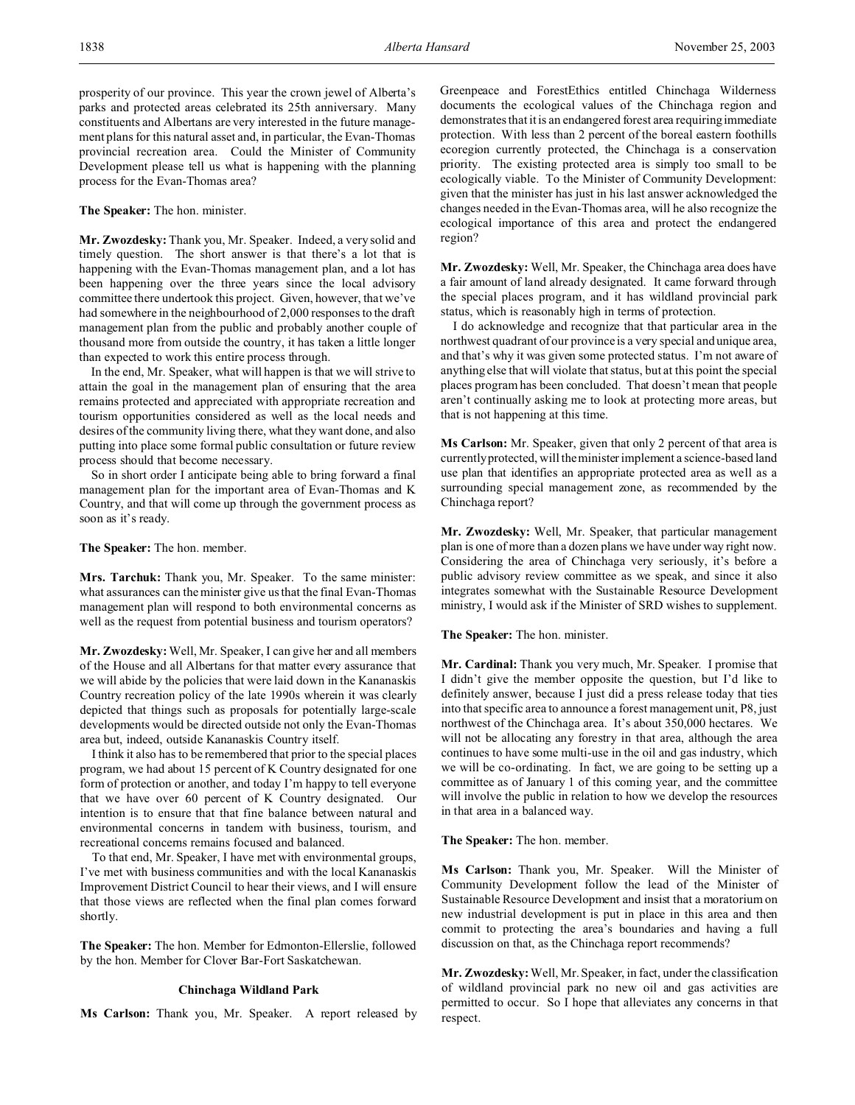**The Speaker:** The hon. minister.

**Mr. Zwozdesky:** Thank you, Mr. Speaker. Indeed, a very solid and timely question. The short answer is that there's a lot that is happening with the Evan-Thomas management plan, and a lot has been happening over the three years since the local advisory committee there undertook this project. Given, however, that we've had somewhere in the neighbourhood of 2,000 responses to the draft management plan from the public and probably another couple of thousand more from outside the country, it has taken a little longer than expected to work this entire process through.

In the end, Mr. Speaker, what will happen is that we will strive to attain the goal in the management plan of ensuring that the area remains protected and appreciated with appropriate recreation and tourism opportunities considered as well as the local needs and desires of the community living there, what they want done, and also putting into place some formal public consultation or future review process should that become necessary.

So in short order I anticipate being able to bring forward a final management plan for the important area of Evan-Thomas and K Country, and that will come up through the government process as soon as it's ready.

**The Speaker:** The hon. member.

**Mrs. Tarchuk:** Thank you, Mr. Speaker. To the same minister: what assurances can the minister give us that the final Evan-Thomas management plan will respond to both environmental concerns as well as the request from potential business and tourism operators?

**Mr. Zwozdesky:** Well, Mr. Speaker, I can give her and all members of the House and all Albertans for that matter every assurance that we will abide by the policies that were laid down in the Kananaskis Country recreation policy of the late 1990s wherein it was clearly depicted that things such as proposals for potentially large-scale developments would be directed outside not only the Evan-Thomas area but, indeed, outside Kananaskis Country itself.

I think it also has to be remembered that prior to the special places program, we had about 15 percent of K Country designated for one form of protection or another, and today I'm happy to tell everyone that we have over 60 percent of K Country designated. Our intention is to ensure that that fine balance between natural and environmental concerns in tandem with business, tourism, and recreational concerns remains focused and balanced.

To that end, Mr. Speaker, I have met with environmental groups, I've met with business communities and with the local Kananaskis Improvement District Council to hear their views, and I will ensure that those views are reflected when the final plan comes forward shortly.

**The Speaker:** The hon. Member for Edmonton-Ellerslie, followed by the hon. Member for Clover Bar-Fort Saskatchewan.

### **Chinchaga Wildland Park**

**Ms Carlson:** Thank you, Mr. Speaker. A report released by

Greenpeace and ForestEthics entitled Chinchaga Wilderness documents the ecological values of the Chinchaga region and demonstrates that it is an endangered forest area requiring immediate protection. With less than 2 percent of the boreal eastern foothills ecoregion currently protected, the Chinchaga is a conservation priority. The existing protected area is simply too small to be ecologically viable. To the Minister of Community Development: given that the minister has just in his last answer acknowledged the changes needed in the Evan-Thomas area, will he also recognize the ecological importance of this area and protect the endangered region?

**Mr. Zwozdesky:** Well, Mr. Speaker, the Chinchaga area does have a fair amount of land already designated. It came forward through the special places program, and it has wildland provincial park status, which is reasonably high in terms of protection.

I do acknowledge and recognize that that particular area in the northwest quadrant of our province is a very special and unique area, and that's why it was given some protected status. I'm not aware of anything else that will violate that status, but at this point the special places program has been concluded. That doesn't mean that people aren't continually asking me to look at protecting more areas, but that is not happening at this time.

**Ms Carlson:** Mr. Speaker, given that only 2 percent of that area is currently protected, will the minister implement a science-based land use plan that identifies an appropriate protected area as well as a surrounding special management zone, as recommended by the Chinchaga report?

**Mr. Zwozdesky:** Well, Mr. Speaker, that particular management plan is one of more than a dozen plans we have under way right now. Considering the area of Chinchaga very seriously, it's before a public advisory review committee as we speak, and since it also integrates somewhat with the Sustainable Resource Development ministry, I would ask if the Minister of SRD wishes to supplement.

**The Speaker:** The hon. minister.

**Mr. Cardinal:** Thank you very much, Mr. Speaker. I promise that I didn't give the member opposite the question, but I'd like to definitely answer, because I just did a press release today that ties into that specific area to announce a forest management unit, P8, just northwest of the Chinchaga area. It's about 350,000 hectares. We will not be allocating any forestry in that area, although the area continues to have some multi-use in the oil and gas industry, which we will be co-ordinating. In fact, we are going to be setting up a committee as of January 1 of this coming year, and the committee will involve the public in relation to how we develop the resources in that area in a balanced way.

**The Speaker:** The hon. member.

**Ms Carlson:** Thank you, Mr. Speaker. Will the Minister of Community Development follow the lead of the Minister of Sustainable Resource Development and insist that a moratorium on new industrial development is put in place in this area and then commit to protecting the area's boundaries and having a full discussion on that, as the Chinchaga report recommends?

**Mr. Zwozdesky:**Well, Mr. Speaker, in fact, under the classification of wildland provincial park no new oil and gas activities are permitted to occur. So I hope that alleviates any concerns in that respect.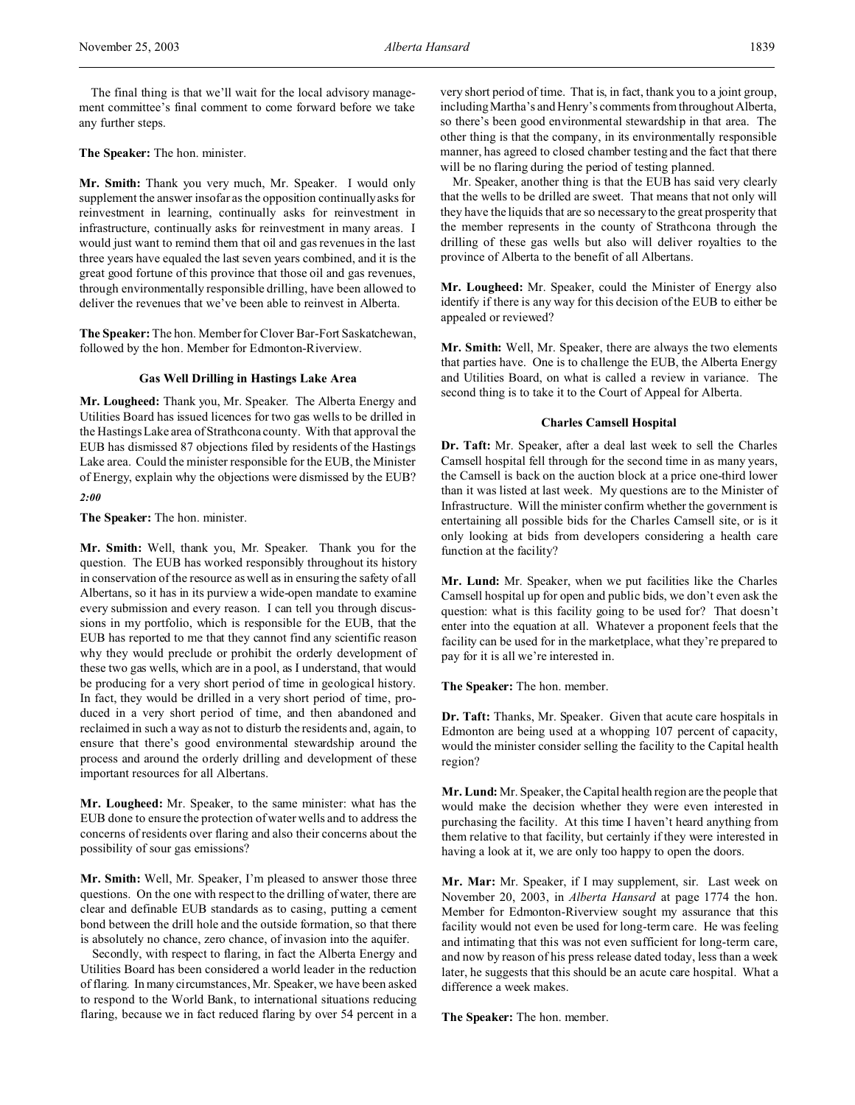The final thing is that we'll wait for the local advisory management committee's final comment to come forward before we take any further steps.

**The Speaker:** The hon. minister.

**Mr. Smith:** Thank you very much, Mr. Speaker. I would only supplement the answer insofar as the opposition continually asks for reinvestment in learning, continually asks for reinvestment in infrastructure, continually asks for reinvestment in many areas. I would just want to remind them that oil and gas revenues in the last three years have equaled the last seven years combined, and it is the great good fortune of this province that those oil and gas revenues, through environmentally responsible drilling, have been allowed to deliver the revenues that we've been able to reinvest in Alberta.

**The Speaker:** The hon. Member for Clover Bar-Fort Saskatchewan, followed by the hon. Member for Edmonton-Riverview.

### **Gas Well Drilling in Hastings Lake Area**

**Mr. Lougheed:** Thank you, Mr. Speaker. The Alberta Energy and Utilities Board has issued licences for two gas wells to be drilled in the Hastings Lake area of Strathcona county. With that approval the EUB has dismissed 87 objections filed by residents of the Hastings Lake area. Could the minister responsible for the EUB, the Minister of Energy, explain why the objections were dismissed by the EUB?

*2:00*

**The Speaker:** The hon. minister.

**Mr. Smith:** Well, thank you, Mr. Speaker. Thank you for the question. The EUB has worked responsibly throughout its history in conservation of the resource as well as in ensuring the safety of all Albertans, so it has in its purview a wide-open mandate to examine every submission and every reason. I can tell you through discussions in my portfolio, which is responsible for the EUB, that the EUB has reported to me that they cannot find any scientific reason why they would preclude or prohibit the orderly development of these two gas wells, which are in a pool, as I understand, that would be producing for a very short period of time in geological history. In fact, they would be drilled in a very short period of time, produced in a very short period of time, and then abandoned and reclaimed in such a way as not to disturb the residents and, again, to ensure that there's good environmental stewardship around the process and around the orderly drilling and development of these important resources for all Albertans.

**Mr. Lougheed:** Mr. Speaker, to the same minister: what has the EUB done to ensure the protection of water wells and to address the concerns of residents over flaring and also their concerns about the possibility of sour gas emissions?

**Mr. Smith:** Well, Mr. Speaker, I'm pleased to answer those three questions. On the one with respect to the drilling of water, there are clear and definable EUB standards as to casing, putting a cement bond between the drill hole and the outside formation, so that there is absolutely no chance, zero chance, of invasion into the aquifer.

Secondly, with respect to flaring, in fact the Alberta Energy and Utilities Board has been considered a world leader in the reduction of flaring. In many circumstances, Mr. Speaker, we have been asked to respond to the World Bank, to international situations reducing flaring, because we in fact reduced flaring by over 54 percent in a

very short period of time. That is, in fact, thank you to a joint group, including Martha's and Henry's comments from throughout Alberta, so there's been good environmental stewardship in that area. The other thing is that the company, in its environmentally responsible manner, has agreed to closed chamber testing and the fact that there will be no flaring during the period of testing planned.

Mr. Speaker, another thing is that the EUB has said very clearly that the wells to be drilled are sweet. That means that not only will they have the liquids that are so necessary to the great prosperity that the member represents in the county of Strathcona through the drilling of these gas wells but also will deliver royalties to the province of Alberta to the benefit of all Albertans.

**Mr. Lougheed:** Mr. Speaker, could the Minister of Energy also identify if there is any way for this decision of the EUB to either be appealed or reviewed?

**Mr. Smith:** Well, Mr. Speaker, there are always the two elements that parties have. One is to challenge the EUB, the Alberta Energy and Utilities Board, on what is called a review in variance. The second thing is to take it to the Court of Appeal for Alberta.

### **Charles Camsell Hospital**

**Dr. Taft:** Mr. Speaker, after a deal last week to sell the Charles Camsell hospital fell through for the second time in as many years, the Camsell is back on the auction block at a price one-third lower than it was listed at last week. My questions are to the Minister of Infrastructure. Will the minister confirm whether the government is entertaining all possible bids for the Charles Camsell site, or is it only looking at bids from developers considering a health care function at the facility?

**Mr. Lund:** Mr. Speaker, when we put facilities like the Charles Camsell hospital up for open and public bids, we don't even ask the question: what is this facility going to be used for? That doesn't enter into the equation at all. Whatever a proponent feels that the facility can be used for in the marketplace, what they're prepared to pay for it is all we're interested in.

**The Speaker:** The hon. member.

**Dr. Taft:** Thanks, Mr. Speaker. Given that acute care hospitals in Edmonton are being used at a whopping 107 percent of capacity, would the minister consider selling the facility to the Capital health region?

**Mr. Lund:** Mr. Speaker, the Capital health region are the people that would make the decision whether they were even interested in purchasing the facility. At this time I haven't heard anything from them relative to that facility, but certainly if they were interested in having a look at it, we are only too happy to open the doors.

**Mr. Mar:** Mr. Speaker, if I may supplement, sir. Last week on November 20, 2003, in *Alberta Hansard* at page 1774 the hon. Member for Edmonton-Riverview sought my assurance that this facility would not even be used for long-term care. He was feeling and intimating that this was not even sufficient for long-term care, and now by reason of his press release dated today, less than a week later, he suggests that this should be an acute care hospital. What a difference a week makes.

**The Speaker:** The hon. member.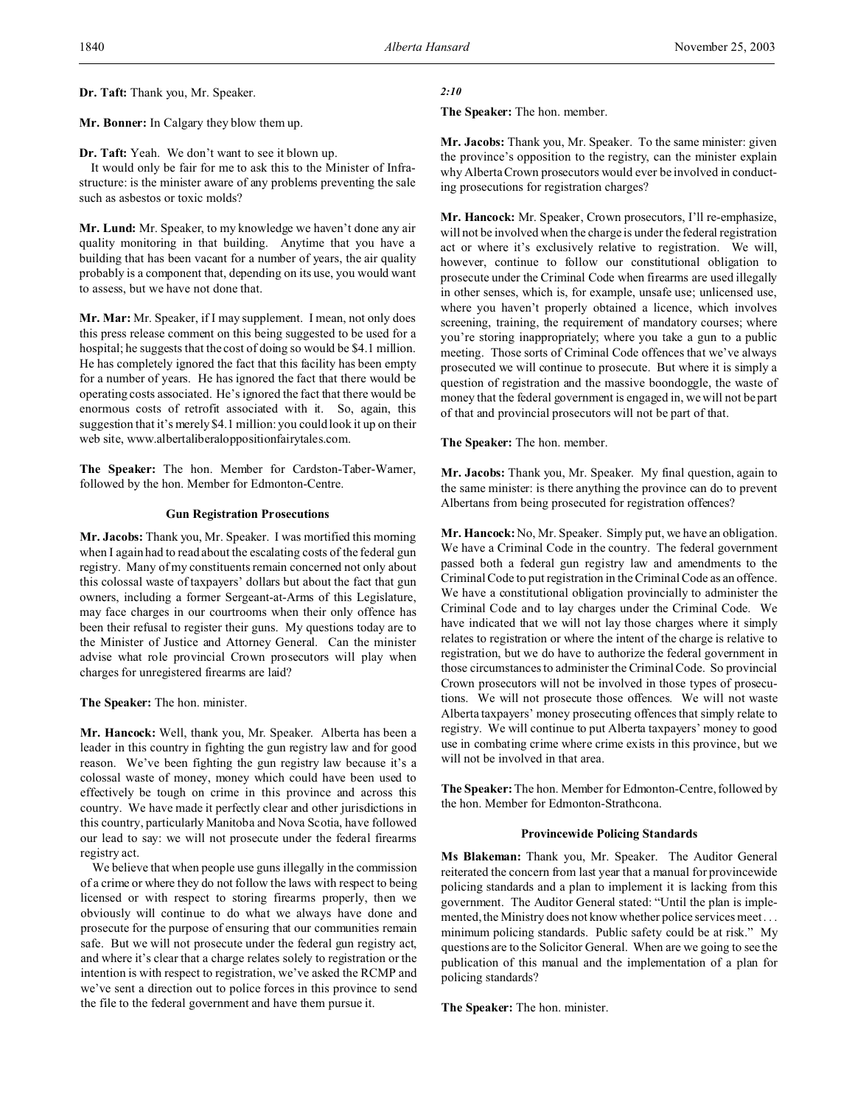**Dr. Taft:** Thank you, Mr. Speaker.

**Mr. Bonner:** In Calgary they blow them up.

**Dr. Taft:** Yeah. We don't want to see it blown up.

It would only be fair for me to ask this to the Minister of Infrastructure: is the minister aware of any problems preventing the sale such as asbestos or toxic molds?

**Mr. Lund:** Mr. Speaker, to my knowledge we haven't done any air quality monitoring in that building. Anytime that you have a building that has been vacant for a number of years, the air quality probably is a component that, depending on its use, you would want to assess, but we have not done that.

**Mr. Mar:** Mr. Speaker, if I may supplement. I mean, not only does this press release comment on this being suggested to be used for a hospital; he suggests that the cost of doing so would be \$4.1 million. He has completely ignored the fact that this facility has been empty for a number of years. He has ignored the fact that there would be operating costs associated. He's ignored the fact that there would be enormous costs of retrofit associated with it. So, again, this suggestion that it's merely \$4.1 million: you could look it up on their web site, www.albertaliberaloppositionfairytales.com.

**The Speaker:** The hon. Member for Cardston-Taber-Warner, followed by the hon. Member for Edmonton-Centre.

### **Gun Registration Prosecutions**

**Mr. Jacobs:** Thank you, Mr. Speaker. I was mortified this morning when I again had to read about the escalating costs of the federal gun registry. Many of my constituents remain concerned not only about this colossal waste of taxpayers' dollars but about the fact that gun owners, including a former Sergeant-at-Arms of this Legislature, may face charges in our courtrooms when their only offence has been their refusal to register their guns. My questions today are to the Minister of Justice and Attorney General. Can the minister advise what role provincial Crown prosecutors will play when charges for unregistered firearms are laid?

**The Speaker:** The hon. minister.

**Mr. Hancock:** Well, thank you, Mr. Speaker. Alberta has been a leader in this country in fighting the gun registry law and for good reason. We've been fighting the gun registry law because it's a colossal waste of money, money which could have been used to effectively be tough on crime in this province and across this country. We have made it perfectly clear and other jurisdictions in this country, particularly Manitoba and Nova Scotia, have followed our lead to say: we will not prosecute under the federal firearms registry act.

We believe that when people use guns illegally in the commission of a crime or where they do not follow the laws with respect to being licensed or with respect to storing firearms properly, then we obviously will continue to do what we always have done and prosecute for the purpose of ensuring that our communities remain safe. But we will not prosecute under the federal gun registry act, and where it's clear that a charge relates solely to registration or the intention is with respect to registration, we've asked the RCMP and we've sent a direction out to police forces in this province to send the file to the federal government and have them pursue it.

## *2:10*

**The Speaker:** The hon. member.

**Mr. Jacobs:** Thank you, Mr. Speaker. To the same minister: given the province's opposition to the registry, can the minister explain why Alberta Crown prosecutors would ever be involved in conducting prosecutions for registration charges?

**Mr. Hancock:** Mr. Speaker, Crown prosecutors, I'll re-emphasize, will not be involved when the charge is under the federal registration act or where it's exclusively relative to registration. We will, however, continue to follow our constitutional obligation to prosecute under the Criminal Code when firearms are used illegally in other senses, which is, for example, unsafe use; unlicensed use, where you haven't properly obtained a licence, which involves screening, training, the requirement of mandatory courses; where you're storing inappropriately; where you take a gun to a public meeting. Those sorts of Criminal Code offences that we've always prosecuted we will continue to prosecute. But where it is simply a question of registration and the massive boondoggle, the waste of money that the federal government is engaged in, we will not be part of that and provincial prosecutors will not be part of that.

**The Speaker:** The hon. member.

**Mr. Jacobs:** Thank you, Mr. Speaker. My final question, again to the same minister: is there anything the province can do to prevent Albertans from being prosecuted for registration offences?

**Mr. Hancock:** No, Mr. Speaker. Simply put, we have an obligation. We have a Criminal Code in the country. The federal government passed both a federal gun registry law and amendments to the Criminal Code to put registration in the Criminal Code as an offence. We have a constitutional obligation provincially to administer the Criminal Code and to lay charges under the Criminal Code. We have indicated that we will not lay those charges where it simply relates to registration or where the intent of the charge is relative to registration, but we do have to authorize the federal government in those circumstances to administer the Criminal Code. So provincial Crown prosecutors will not be involved in those types of prosecutions. We will not prosecute those offences. We will not waste Alberta taxpayers' money prosecuting offences that simply relate to registry. We will continue to put Alberta taxpayers' money to good use in combating crime where crime exists in this province, but we will not be involved in that area.

**The Speaker:** The hon. Member for Edmonton-Centre, followed by the hon. Member for Edmonton-Strathcona.

### **Provincewide Policing Standards**

**Ms Blakeman:** Thank you, Mr. Speaker. The Auditor General reiterated the concern from last year that a manual for provincewide policing standards and a plan to implement it is lacking from this government. The Auditor General stated: "Until the plan is implemented, the Ministry does not know whether police services meet . . . minimum policing standards. Public safety could be at risk." My questions are to the Solicitor General. When are we going to see the publication of this manual and the implementation of a plan for policing standards?

**The Speaker:** The hon. minister.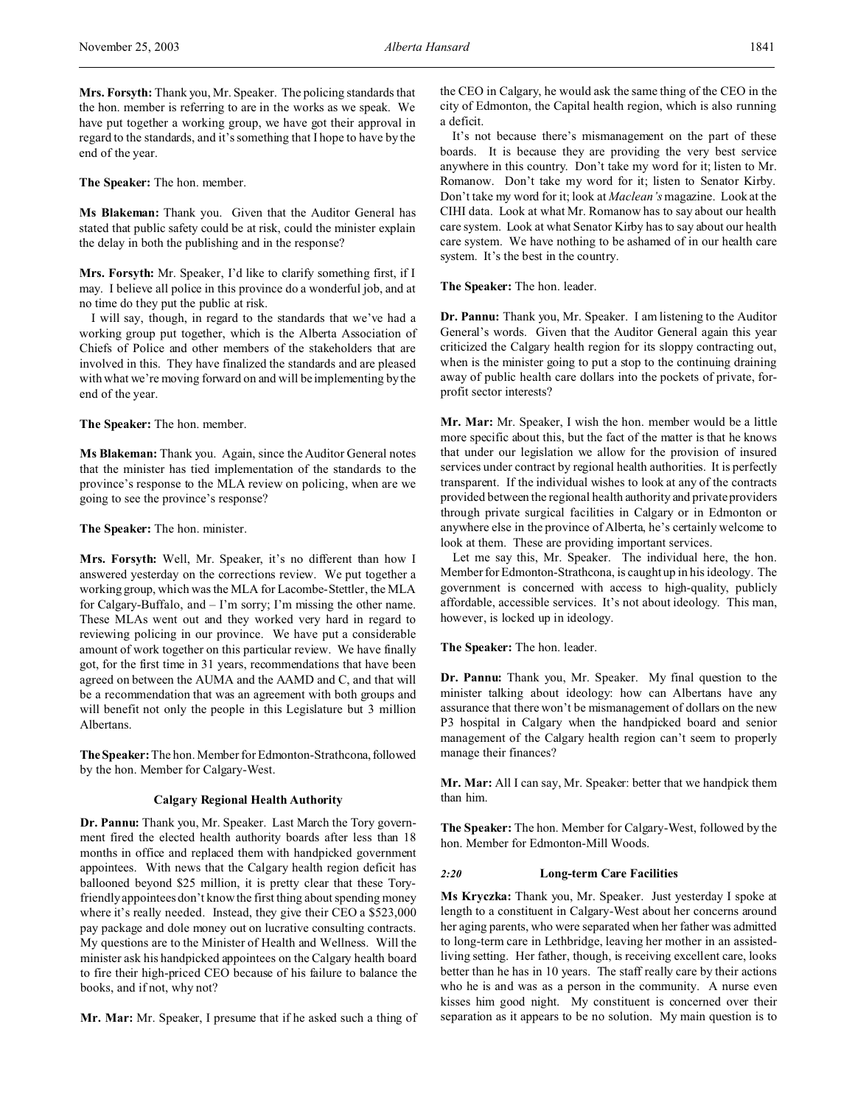**Mrs. Forsyth:** Thank you, Mr. Speaker. The policing standards that the hon. member is referring to are in the works as we speak. We have put together a working group, we have got their approval in regard to the standards, and it's something that I hope to have by the end of the year.

**The Speaker:** The hon. member.

**Ms Blakeman:** Thank you. Given that the Auditor General has stated that public safety could be at risk, could the minister explain the delay in both the publishing and in the response?

**Mrs. Forsyth:** Mr. Speaker, I'd like to clarify something first, if I may. I believe all police in this province do a wonderful job, and at no time do they put the public at risk.

I will say, though, in regard to the standards that we've had a working group put together, which is the Alberta Association of Chiefs of Police and other members of the stakeholders that are involved in this. They have finalized the standards and are pleased with what we're moving forward on and will be implementing by the end of the year.

**The Speaker:** The hon. member.

**Ms Blakeman:** Thank you. Again, since the Auditor General notes that the minister has tied implementation of the standards to the province's response to the MLA review on policing, when are we going to see the province's response?

**The Speaker:** The hon. minister.

**Mrs. Forsyth:** Well, Mr. Speaker, it's no different than how I answered yesterday on the corrections review. We put together a working group, which was the MLA for Lacombe-Stettler, the MLA for Calgary-Buffalo, and – I'm sorry; I'm missing the other name. These MLAs went out and they worked very hard in regard to reviewing policing in our province. We have put a considerable amount of work together on this particular review. We have finally got, for the first time in 31 years, recommendations that have been agreed on between the AUMA and the AAMD and C, and that will be a recommendation that was an agreement with both groups and will benefit not only the people in this Legislature but 3 million Albertans.

The Speaker: The hon. Member for Edmonton-Strathcona, followed by the hon. Member for Calgary-West.

### **Calgary Regional Health Authority**

**Dr. Pannu:** Thank you, Mr. Speaker. Last March the Tory government fired the elected health authority boards after less than 18 months in office and replaced them with handpicked government appointees. With news that the Calgary health region deficit has ballooned beyond \$25 million, it is pretty clear that these Toryfriendly appointees don't know the first thing about spending money where it's really needed. Instead, they give their CEO a \$523,000 pay package and dole money out on lucrative consulting contracts. My questions are to the Minister of Health and Wellness. Will the minister ask his handpicked appointees on the Calgary health board to fire their high-priced CEO because of his failure to balance the books, and if not, why not?

**Mr. Mar:** Mr. Speaker, I presume that if he asked such a thing of

the CEO in Calgary, he would ask the same thing of the CEO in the city of Edmonton, the Capital health region, which is also running a deficit.

It's not because there's mismanagement on the part of these boards. It is because they are providing the very best service anywhere in this country. Don't take my word for it; listen to Mr. Romanow. Don't take my word for it; listen to Senator Kirby. Don't take my word for it; look at *Maclean's* magazine. Look at the CIHI data. Look at what Mr. Romanow has to say about our health care system. Look at what Senator Kirby has to say about our health care system. We have nothing to be ashamed of in our health care system. It's the best in the country.

**The Speaker:** The hon. leader.

**Dr. Pannu:** Thank you, Mr. Speaker. I am listening to the Auditor General's words. Given that the Auditor General again this year criticized the Calgary health region for its sloppy contracting out, when is the minister going to put a stop to the continuing draining away of public health care dollars into the pockets of private, forprofit sector interests?

**Mr. Mar:** Mr. Speaker, I wish the hon. member would be a little more specific about this, but the fact of the matter is that he knows that under our legislation we allow for the provision of insured services under contract by regional health authorities. It is perfectly transparent. If the individual wishes to look at any of the contracts provided between the regional health authority and private providers through private surgical facilities in Calgary or in Edmonton or anywhere else in the province of Alberta, he's certainly welcome to look at them. These are providing important services.

Let me say this, Mr. Speaker. The individual here, the hon. Member for Edmonton-Strathcona, is caught up in his ideology. The government is concerned with access to high-quality, publicly affordable, accessible services. It's not about ideology. This man, however, is locked up in ideology.

**The Speaker:** The hon. leader.

**Dr. Pannu:** Thank you, Mr. Speaker. My final question to the minister talking about ideology: how can Albertans have any assurance that there won't be mismanagement of dollars on the new P3 hospital in Calgary when the handpicked board and senior management of the Calgary health region can't seem to properly manage their finances?

**Mr. Mar:** All I can say, Mr. Speaker: better that we handpick them than him.

**The Speaker:** The hon. Member for Calgary-West, followed by the hon. Member for Edmonton-Mill Woods.

## *2:20* **Long-term Care Facilities**

**Ms Kryczka:** Thank you, Mr. Speaker. Just yesterday I spoke at length to a constituent in Calgary-West about her concerns around her aging parents, who were separated when her father was admitted to long-term care in Lethbridge, leaving her mother in an assistedliving setting. Her father, though, is receiving excellent care, looks better than he has in 10 years. The staff really care by their actions who he is and was as a person in the community. A nurse even kisses him good night. My constituent is concerned over their separation as it appears to be no solution. My main question is to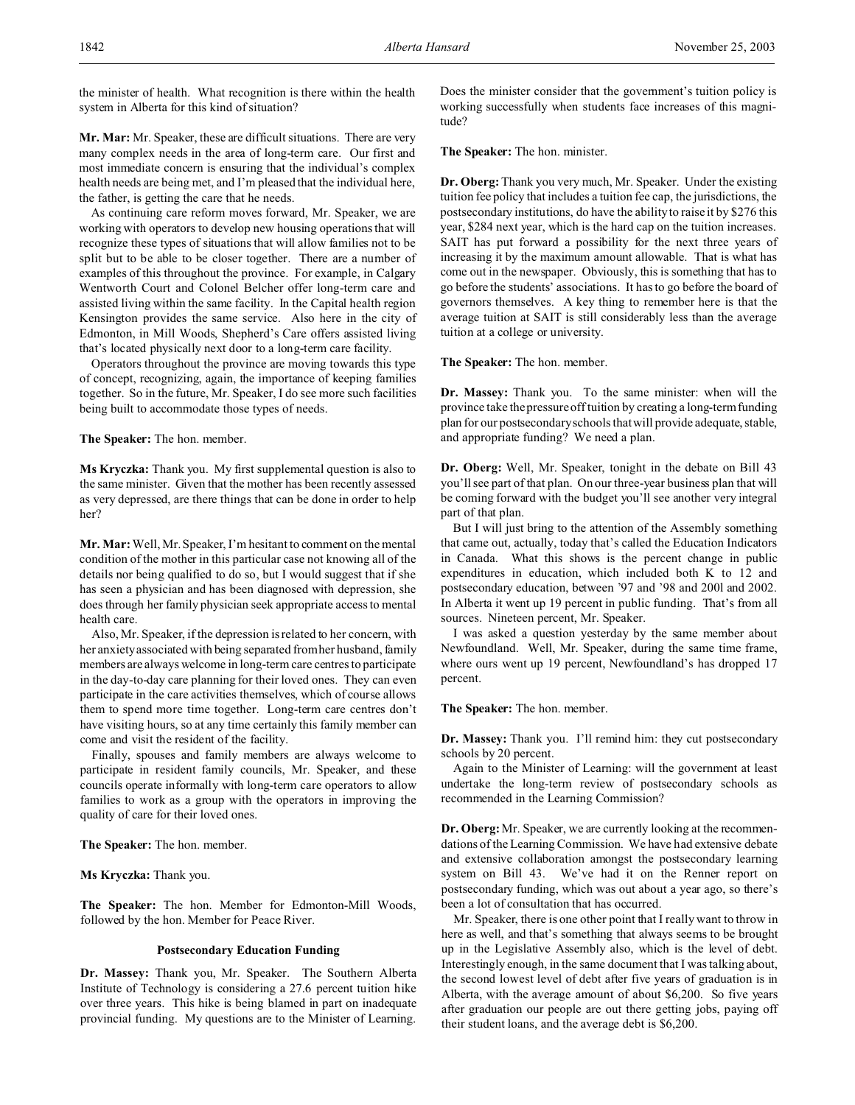the minister of health. What recognition is there within the health system in Alberta for this kind of situation?

**Mr. Mar:** Mr. Speaker, these are difficult situations. There are very many complex needs in the area of long-term care. Our first and most immediate concern is ensuring that the individual's complex health needs are being met, and I'm pleased that the individual here, the father, is getting the care that he needs.

As continuing care reform moves forward, Mr. Speaker, we are working with operators to develop new housing operations that will recognize these types of situations that will allow families not to be split but to be able to be closer together. There are a number of examples of this throughout the province. For example, in Calgary Wentworth Court and Colonel Belcher offer long-term care and assisted living within the same facility. In the Capital health region Kensington provides the same service. Also here in the city of Edmonton, in Mill Woods, Shepherd's Care offers assisted living that's located physically next door to a long-term care facility.

Operators throughout the province are moving towards this type of concept, recognizing, again, the importance of keeping families together. So in the future, Mr. Speaker, I do see more such facilities being built to accommodate those types of needs.

**The Speaker:** The hon. member.

**Ms Kryczka:** Thank you. My first supplemental question is also to the same minister. Given that the mother has been recently assessed as very depressed, are there things that can be done in order to help her?

**Mr. Mar:** Well, Mr. Speaker, I'm hesitant to comment on the mental condition of the mother in this particular case not knowing all of the details nor being qualified to do so, but I would suggest that if she has seen a physician and has been diagnosed with depression, she does through her family physician seek appropriate access to mental health care.

Also, Mr. Speaker, if the depression is related to her concern, with her anxiety associated with being separated from her husband, family members are always welcome in long-term care centres to participate in the day-to-day care planning for their loved ones. They can even participate in the care activities themselves, which of course allows them to spend more time together. Long-term care centres don't have visiting hours, so at any time certainly this family member can come and visit the resident of the facility.

Finally, spouses and family members are always welcome to participate in resident family councils, Mr. Speaker, and these councils operate informally with long-term care operators to allow families to work as a group with the operators in improving the quality of care for their loved ones.

**The Speaker:** The hon. member.

**Ms Kryczka:** Thank you.

**The Speaker:** The hon. Member for Edmonton-Mill Woods, followed by the hon. Member for Peace River.

### **Postsecondary Education Funding**

**Dr. Massey:** Thank you, Mr. Speaker. The Southern Alberta Institute of Technology is considering a 27.6 percent tuition hike over three years. This hike is being blamed in part on inadequate provincial funding. My questions are to the Minister of Learning.

Does the minister consider that the government's tuition policy is working successfully when students face increases of this magnitude?

**The Speaker:** The hon. minister.

**Dr. Oberg:**Thank you very much, Mr. Speaker. Under the existing tuition fee policy that includes a tuition fee cap, the jurisdictions, the postsecondary institutions, do have the ability to raise it by \$276 this year, \$284 next year, which is the hard cap on the tuition increases. SAIT has put forward a possibility for the next three years of increasing it by the maximum amount allowable. That is what has come out in the newspaper. Obviously, this is something that has to go before the students' associations. It has to go before the board of governors themselves. A key thing to remember here is that the average tuition at SAIT is still considerably less than the average tuition at a college or university.

**The Speaker:** The hon. member.

**Dr. Massey:** Thank you. To the same minister: when will the province take the pressure off tuition by creating a long-term funding plan for our postsecondary schools that will provide adequate, stable, and appropriate funding? We need a plan.

**Dr. Oberg:** Well, Mr. Speaker, tonight in the debate on Bill 43 you'll see part of that plan. On our three-year business plan that will be coming forward with the budget you'll see another very integral part of that plan.

But I will just bring to the attention of the Assembly something that came out, actually, today that's called the Education Indicators in Canada. What this shows is the percent change in public expenditures in education, which included both K to 12 and postsecondary education, between '97 and '98 and 200l and 2002. In Alberta it went up 19 percent in public funding. That's from all sources. Nineteen percent, Mr. Speaker.

I was asked a question yesterday by the same member about Newfoundland. Well, Mr. Speaker, during the same time frame, where ours went up 19 percent, Newfoundland's has dropped 17 percent.

**The Speaker:** The hon. member.

**Dr. Massey:** Thank you. I'll remind him: they cut postsecondary schools by 20 percent.

Again to the Minister of Learning: will the government at least undertake the long-term review of postsecondary schools as recommended in the Learning Commission?

**Dr. Oberg:**Mr. Speaker, we are currently looking at the recommendations of the Learning Commission. We have had extensive debate and extensive collaboration amongst the postsecondary learning system on Bill 43. We've had it on the Renner report on postsecondary funding, which was out about a year ago, so there's been a lot of consultation that has occurred.

Mr. Speaker, there is one other point that I really want to throw in here as well, and that's something that always seems to be brought up in the Legislative Assembly also, which is the level of debt. Interestingly enough, in the same document that I was talking about, the second lowest level of debt after five years of graduation is in Alberta, with the average amount of about \$6,200. So five years after graduation our people are out there getting jobs, paying off their student loans, and the average debt is \$6,200.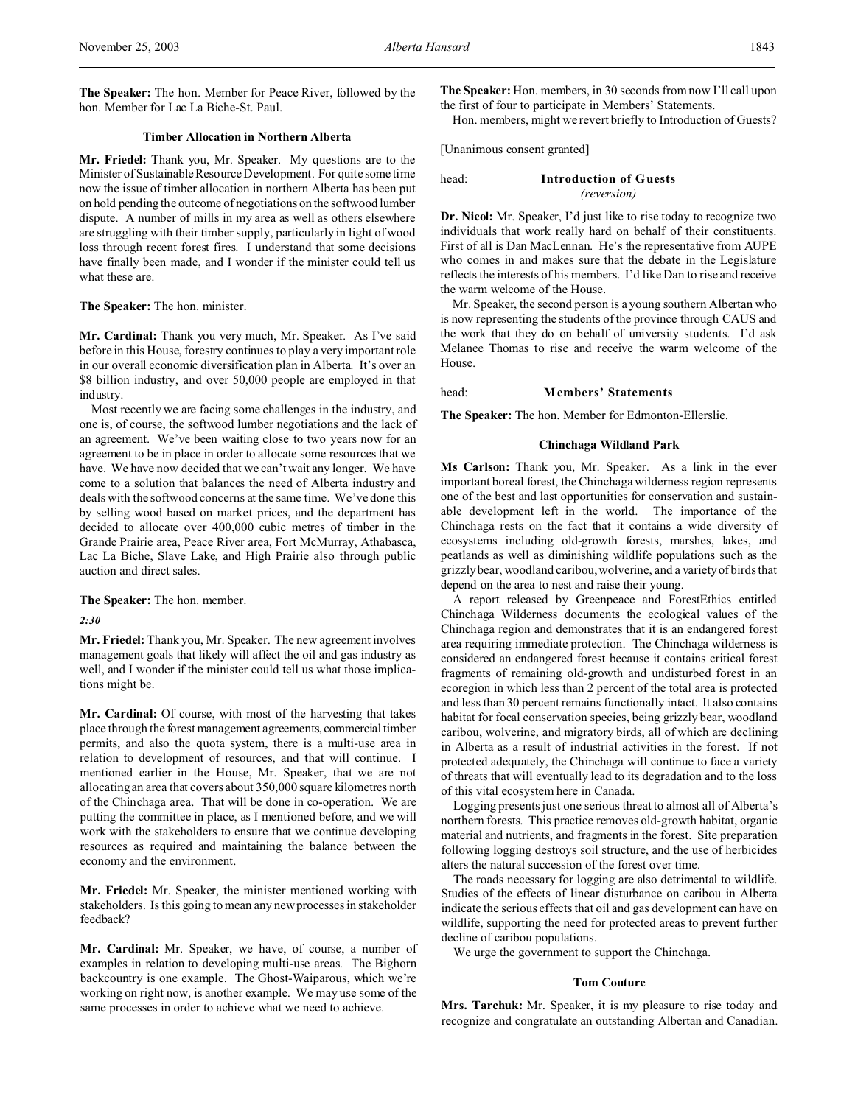**The Speaker:** The hon. Member for Peace River, followed by the hon. Member for Lac La Biche-St. Paul.

### **Timber Allocation in Northern Alberta**

**Mr. Friedel:** Thank you, Mr. Speaker. My questions are to the Minister of Sustainable Resource Development. For quite some time now the issue of timber allocation in northern Alberta has been put on hold pending the outcome of negotiations on the softwood lumber dispute. A number of mills in my area as well as others elsewhere are struggling with their timber supply, particularly in light of wood loss through recent forest fires. I understand that some decisions have finally been made, and I wonder if the minister could tell us what these are.

### **The Speaker:** The hon. minister.

**Mr. Cardinal:** Thank you very much, Mr. Speaker. As I've said before in this House, forestry continues to play a very important role in our overall economic diversification plan in Alberta. It's over an \$8 billion industry, and over 50,000 people are employed in that industry.

Most recently we are facing some challenges in the industry, and one is, of course, the softwood lumber negotiations and the lack of an agreement. We've been waiting close to two years now for an agreement to be in place in order to allocate some resources that we have. We have now decided that we can't wait any longer. We have come to a solution that balances the need of Alberta industry and deals with the softwood concerns at the same time. We've done this by selling wood based on market prices, and the department has decided to allocate over 400,000 cubic metres of timber in the Grande Prairie area, Peace River area, Fort McMurray, Athabasca, Lac La Biche, Slave Lake, and High Prairie also through public auction and direct sales.

**The Speaker:** The hon. member.

*2:30*

**Mr. Friedel:** Thank you, Mr. Speaker. The new agreement involves management goals that likely will affect the oil and gas industry as well, and I wonder if the minister could tell us what those implications might be.

**Mr. Cardinal:** Of course, with most of the harvesting that takes place through the forest management agreements, commercial timber permits, and also the quota system, there is a multi-use area in relation to development of resources, and that will continue. I mentioned earlier in the House, Mr. Speaker, that we are not allocating an area that covers about 350,000 square kilometres north of the Chinchaga area. That will be done in co-operation. We are putting the committee in place, as I mentioned before, and we will work with the stakeholders to ensure that we continue developing resources as required and maintaining the balance between the economy and the environment.

**Mr. Friedel:** Mr. Speaker, the minister mentioned working with stakeholders. Is this going to mean any new processes in stakeholder feedback?

**Mr. Cardinal:** Mr. Speaker, we have, of course, a number of examples in relation to developing multi-use areas. The Bighorn backcountry is one example. The Ghost-Waiparous, which we're working on right now, is another example. We may use some of the same processes in order to achieve what we need to achieve.

**The Speaker:** Hon. members, in 30 seconds from now I'll call upon the first of four to participate in Members' Statements.

Hon. members, might we revert briefly to Introduction of Guests?

[Unanimous consent granted]

### head: **Introduction of Guests** *(reversion)*

**Dr. Nicol:** Mr. Speaker, I'd just like to rise today to recognize two individuals that work really hard on behalf of their constituents. First of all is Dan MacLennan. He's the representative from AUPE who comes in and makes sure that the debate in the Legislature reflects the interests of his members. I'd like Dan to rise and receive the warm welcome of the House.

Mr. Speaker, the second person is a young southern Albertan who is now representing the students of the province through CAUS and the work that they do on behalf of university students. I'd ask Melanee Thomas to rise and receive the warm welcome of the House.

head: **Members' Statements**

**The Speaker:** The hon. Member for Edmonton-Ellerslie.

#### **Chinchaga Wildland Park**

**Ms Carlson:** Thank you, Mr. Speaker. As a link in the ever important boreal forest, the Chinchaga wilderness region represents one of the best and last opportunities for conservation and sustainable development left in the world. The importance of the Chinchaga rests on the fact that it contains a wide diversity of ecosystems including old-growth forests, marshes, lakes, and peatlands as well as diminishing wildlife populations such as the grizzly bear, woodland caribou, wolverine, and a variety of birds that depend on the area to nest and raise their young.

A report released by Greenpeace and ForestEthics entitled Chinchaga Wilderness documents the ecological values of the Chinchaga region and demonstrates that it is an endangered forest area requiring immediate protection. The Chinchaga wilderness is considered an endangered forest because it contains critical forest fragments of remaining old-growth and undisturbed forest in an ecoregion in which less than 2 percent of the total area is protected and less than 30 percent remains functionally intact. It also contains habitat for focal conservation species, being grizzly bear, woodland caribou, wolverine, and migratory birds, all of which are declining in Alberta as a result of industrial activities in the forest. If not protected adequately, the Chinchaga will continue to face a variety of threats that will eventually lead to its degradation and to the loss of this vital ecosystem here in Canada.

Logging presents just one serious threat to almost all of Alberta's northern forests. This practice removes old-growth habitat, organic material and nutrients, and fragments in the forest. Site preparation following logging destroys soil structure, and the use of herbicides alters the natural succession of the forest over time.

The roads necessary for logging are also detrimental to wildlife. Studies of the effects of linear disturbance on caribou in Alberta indicate the serious effects that oil and gas development can have on wildlife, supporting the need for protected areas to prevent further decline of caribou populations.

We urge the government to support the Chinchaga.

### **Tom Couture**

**Mrs. Tarchuk:** Mr. Speaker, it is my pleasure to rise today and recognize and congratulate an outstanding Albertan and Canadian.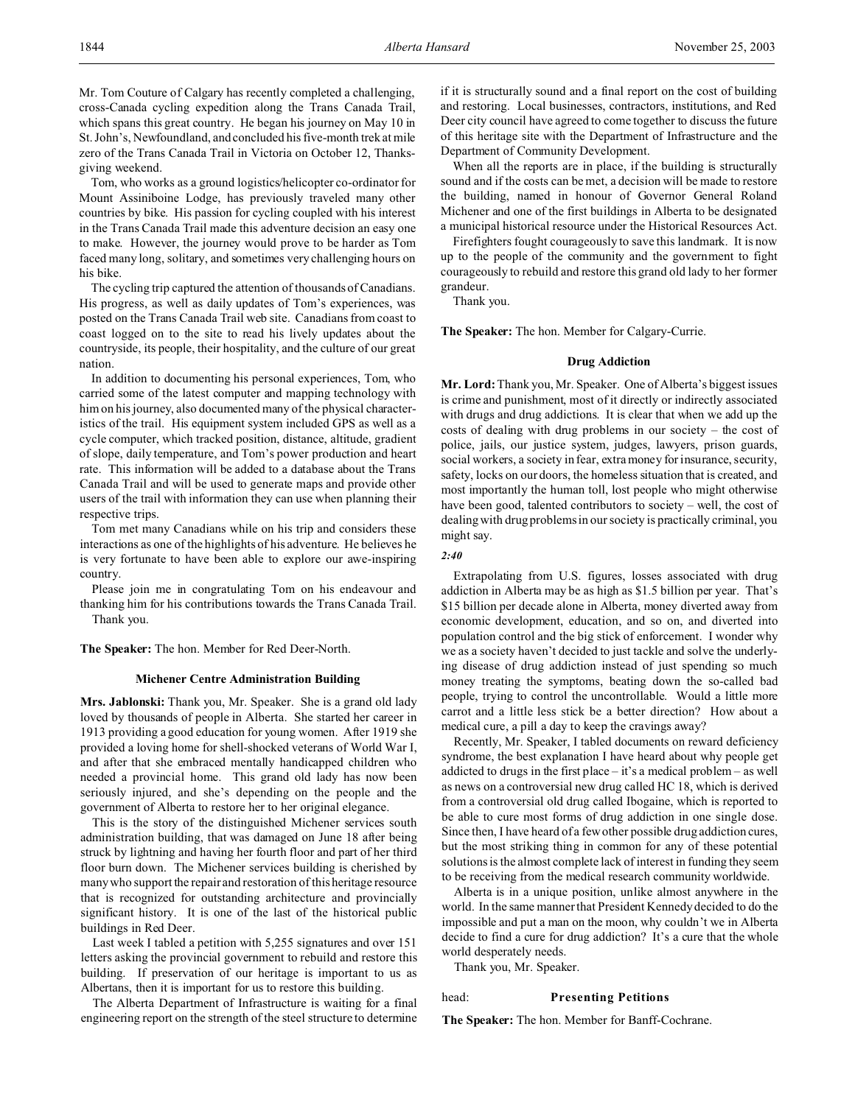Mr. Tom Couture of Calgary has recently completed a challenging, cross-Canada cycling expedition along the Trans Canada Trail, which spans this great country. He began his journey on May 10 in St. John's, Newfoundland, and concluded his five-month trek at mile zero of the Trans Canada Trail in Victoria on October 12, Thanksgiving weekend.

Tom, who works as a ground logistics/helicopter co-ordinator for Mount Assiniboine Lodge, has previously traveled many other countries by bike. His passion for cycling coupled with his interest in the Trans Canada Trail made this adventure decision an easy one to make. However, the journey would prove to be harder as Tom faced many long, solitary, and sometimes very challenging hours on his bike.

The cycling trip captured the attention of thousands of Canadians. His progress, as well as daily updates of Tom's experiences, was posted on the Trans Canada Trail web site. Canadians from coast to coast logged on to the site to read his lively updates about the countryside, its people, their hospitality, and the culture of our great nation.

In addition to documenting his personal experiences, Tom, who carried some of the latest computer and mapping technology with him on his journey, also documented many of the physical characteristics of the trail. His equipment system included GPS as well as a cycle computer, which tracked position, distance, altitude, gradient of slope, daily temperature, and Tom's power production and heart rate. This information will be added to a database about the Trans Canada Trail and will be used to generate maps and provide other users of the trail with information they can use when planning their respective trips.

Tom met many Canadians while on his trip and considers these interactions as one of the highlights of his adventure. He believes he is very fortunate to have been able to explore our awe-inspiring country.

Please join me in congratulating Tom on his endeavour and thanking him for his contributions towards the Trans Canada Trail. Thank you.

**The Speaker:** The hon. Member for Red Deer-North.

#### **Michener Centre Administration Building**

**Mrs. Jablonski:** Thank you, Mr. Speaker. She is a grand old lady loved by thousands of people in Alberta. She started her career in 1913 providing a good education for young women. After 1919 she provided a loving home for shell-shocked veterans of World War I, and after that she embraced mentally handicapped children who needed a provincial home. This grand old lady has now been seriously injured, and she's depending on the people and the government of Alberta to restore her to her original elegance.

This is the story of the distinguished Michener services south administration building, that was damaged on June 18 after being struck by lightning and having her fourth floor and part of her third floor burn down. The Michener services building is cherished by many who support the repair and restoration of this heritage resource that is recognized for outstanding architecture and provincially significant history. It is one of the last of the historical public buildings in Red Deer.

Last week I tabled a petition with 5,255 signatures and over 151 letters asking the provincial government to rebuild and restore this building. If preservation of our heritage is important to us as Albertans, then it is important for us to restore this building.

The Alberta Department of Infrastructure is waiting for a final engineering report on the strength of the steel structure to determine if it is structurally sound and a final report on the cost of building and restoring. Local businesses, contractors, institutions, and Red Deer city council have agreed to come together to discuss the future of this heritage site with the Department of Infrastructure and the Department of Community Development.

When all the reports are in place, if the building is structurally sound and if the costs can be met, a decision will be made to restore the building, named in honour of Governor General Roland Michener and one of the first buildings in Alberta to be designated a municipal historical resource under the Historical Resources Act.

Firefighters fought courageously to save this landmark. It is now up to the people of the community and the government to fight courageously to rebuild and restore this grand old lady to her former grandeur.

Thank you.

**The Speaker:** The hon. Member for Calgary-Currie.

#### **Drug Addiction**

**Mr. Lord:**Thank you, Mr. Speaker. One of Alberta's biggest issues is crime and punishment, most of it directly or indirectly associated with drugs and drug addictions. It is clear that when we add up the costs of dealing with drug problems in our society – the cost of police, jails, our justice system, judges, lawyers, prison guards, social workers, a society in fear, extra money for insurance, security, safety, locks on our doors, the homeless situation that is created, and most importantly the human toll, lost people who might otherwise have been good, talented contributors to society – well, the cost of dealing with drug problems in our society is practically criminal, you might say.

#### *2:40*

Extrapolating from U.S. figures, losses associated with drug addiction in Alberta may be as high as \$1.5 billion per year. That's \$15 billion per decade alone in Alberta, money diverted away from economic development, education, and so on, and diverted into population control and the big stick of enforcement. I wonder why we as a society haven't decided to just tackle and solve the underlying disease of drug addiction instead of just spending so much money treating the symptoms, beating down the so-called bad people, trying to control the uncontrollable. Would a little more carrot and a little less stick be a better direction? How about a medical cure, a pill a day to keep the cravings away?

Recently, Mr. Speaker, I tabled documents on reward deficiency syndrome, the best explanation I have heard about why people get addicted to drugs in the first place – it's a medical problem – as well as news on a controversial new drug called HC 18, which is derived from a controversial old drug called Ibogaine, which is reported to be able to cure most forms of drug addiction in one single dose. Since then, I have heard of a few other possible drug addiction cures, but the most striking thing in common for any of these potential solutions is the almost complete lack of interest in funding they seem to be receiving from the medical research community worldwide.

Alberta is in a unique position, unlike almost anywhere in the world. In the same manner that President Kennedy decided to do the impossible and put a man on the moon, why couldn't we in Alberta decide to find a cure for drug addiction? It's a cure that the whole world desperately needs.

Thank you, Mr. Speaker.

#### head: **Presenting Petitions**

**The Speaker:** The hon. Member for Banff-Cochrane.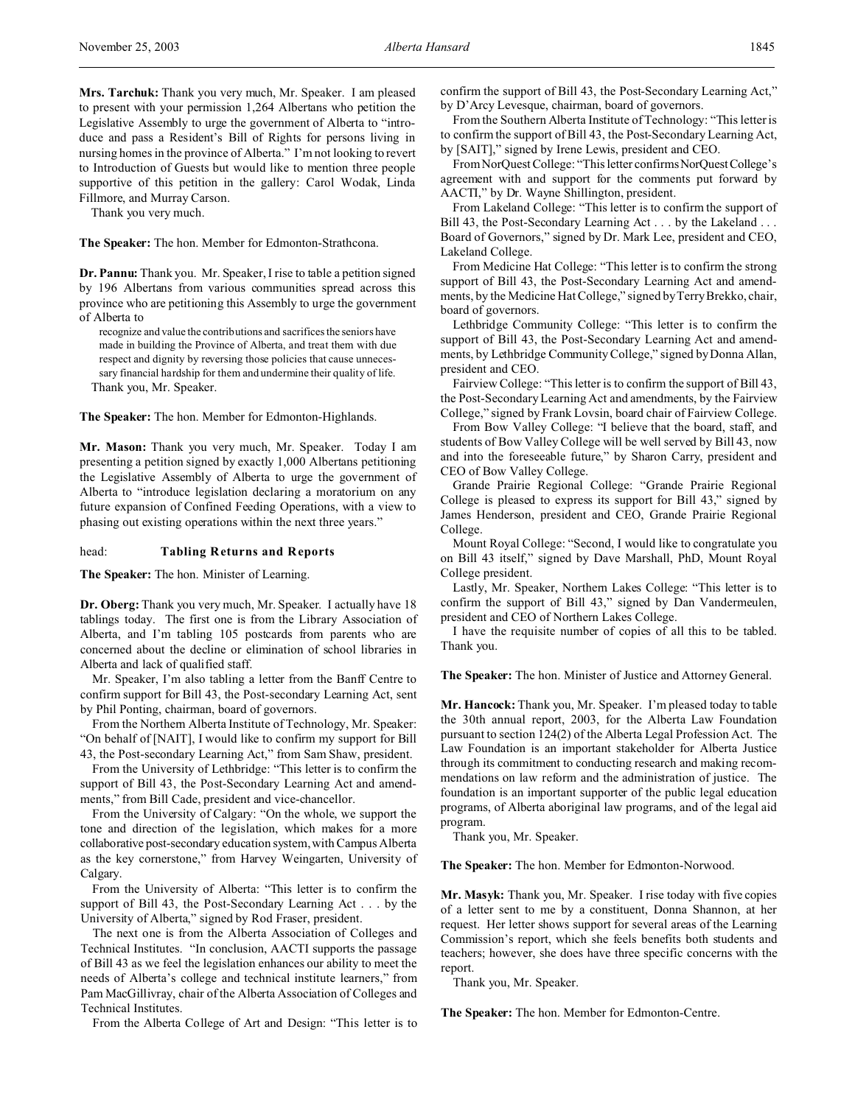**Mrs. Tarchuk:** Thank you very much, Mr. Speaker. I am pleased to present with your permission 1,264 Albertans who petition the Legislative Assembly to urge the government of Alberta to "introduce and pass a Resident's Bill of Rights for persons living in nursing homes in the province of Alberta." I'm not looking to revert to Introduction of Guests but would like to mention three people supportive of this petition in the gallery: Carol Wodak, Linda Fillmore, and Murray Carson.

Thank you very much.

**The Speaker:** The hon. Member for Edmonton-Strathcona.

**Dr. Pannu:** Thank you. Mr. Speaker, I rise to table a petition signed by 196 Albertans from various communities spread across this province who are petitioning this Assembly to urge the government of Alberta to

recognize and value the contributions and sacrifices the seniors have made in building the Province of Alberta, and treat them with due respect and dignity by reversing those policies that cause unnecessary financial hardship for them and undermine their quality of life. Thank you, Mr. Speaker.

**The Speaker:** The hon. Member for Edmonton-Highlands.

**Mr. Mason:** Thank you very much, Mr. Speaker. Today I am presenting a petition signed by exactly 1,000 Albertans petitioning the Legislative Assembly of Alberta to urge the government of Alberta to "introduce legislation declaring a moratorium on any future expansion of Confined Feeding Operations, with a view to phasing out existing operations within the next three years."

#### head: **Tabling Returns and Reports**

**The Speaker:** The hon. Minister of Learning.

**Dr. Oberg:** Thank you very much, Mr. Speaker. I actually have 18 tablings today. The first one is from the Library Association of Alberta, and I'm tabling 105 postcards from parents who are concerned about the decline or elimination of school libraries in Alberta and lack of qualified staff.

Mr. Speaker, I'm also tabling a letter from the Banff Centre to confirm support for Bill 43, the Post-secondary Learning Act, sent by Phil Ponting, chairman, board of governors.

From the Northern Alberta Institute of Technology, Mr. Speaker: "On behalf of [NAIT], I would like to confirm my support for Bill 43, the Post-secondary Learning Act," from Sam Shaw, president.

From the University of Lethbridge: "This letter is to confirm the support of Bill 43, the Post-Secondary Learning Act and amendments," from Bill Cade, president and vice-chancellor.

From the University of Calgary: "On the whole, we support the tone and direction of the legislation, which makes for a more collaborative post-secondary education system, with Campus Alberta as the key cornerstone," from Harvey Weingarten, University of Calgary.

From the University of Alberta: "This letter is to confirm the support of Bill 43, the Post-Secondary Learning Act . . . by the University of Alberta," signed by Rod Fraser, president.

The next one is from the Alberta Association of Colleges and Technical Institutes. "In conclusion, AACTI supports the passage of Bill 43 as we feel the legislation enhances our ability to meet the needs of Alberta's college and technical institute learners," from Pam MacGillivray, chair of the Alberta Association of Colleges and Technical Institutes.

From the Alberta College of Art and Design: "This letter is to

confirm the support of Bill 43, the Post-Secondary Learning Act," by D'Arcy Levesque, chairman, board of governors.

From the Southern Alberta Institute of Technology: "This letter is to confirm the support of Bill 43, the Post-Secondary Learning Act, by [SAIT]," signed by Irene Lewis, president and CEO.

From NorQuest College: "This letter confirms NorQuestCollege's agreement with and support for the comments put forward by AACTI," by Dr. Wayne Shillington, president.

From Lakeland College: "This letter is to confirm the support of Bill 43, the Post-Secondary Learning Act . . . by the Lakeland . . . Board of Governors," signed by Dr. Mark Lee, president and CEO, Lakeland College.

From Medicine Hat College: "This letter is to confirm the strong support of Bill 43, the Post-Secondary Learning Act and amendments, by the Medicine Hat College," signed by Terry Brekko, chair, board of governors.

Lethbridge Community College: "This letter is to confirm the support of Bill 43, the Post-Secondary Learning Act and amendments, by Lethbridge Community College," signed by Donna Allan, president and CEO.

Fairview College: "This letter is to confirm the support of Bill 43, the Post-Secondary Learning Act and amendments, by the Fairview College," signed by Frank Lovsin, board chair of Fairview College.

From Bow Valley College: "I believe that the board, staff, and students of Bow Valley College will be well served by Bill 43, now and into the foreseeable future," by Sharon Carry, president and CEO of Bow Valley College.

Grande Prairie Regional College: "Grande Prairie Regional College is pleased to express its support for Bill 43," signed by James Henderson, president and CEO, Grande Prairie Regional College.

Mount Royal College: "Second, I would like to congratulate you on Bill 43 itself," signed by Dave Marshall, PhD, Mount Royal College president.

Lastly, Mr. Speaker, Northern Lakes College: "This letter is to confirm the support of Bill 43," signed by Dan Vandermeulen, president and CEO of Northern Lakes College.

I have the requisite number of copies of all this to be tabled. Thank you.

**The Speaker:** The hon. Minister of Justice and Attorney General.

**Mr. Hancock:** Thank you, Mr. Speaker. I'm pleased today to table the 30th annual report, 2003, for the Alberta Law Foundation pursuant to section 124(2) of the Alberta Legal Profession Act. The Law Foundation is an important stakeholder for Alberta Justice through its commitment to conducting research and making recommendations on law reform and the administration of justice. The foundation is an important supporter of the public legal education programs, of Alberta aboriginal law programs, and of the legal aid program.

Thank you, Mr. Speaker.

**The Speaker:** The hon. Member for Edmonton-Norwood.

**Mr. Masyk:** Thank you, Mr. Speaker. I rise today with five copies of a letter sent to me by a constituent, Donna Shannon, at her request. Her letter shows support for several areas of the Learning Commission's report, which she feels benefits both students and teachers; however, she does have three specific concerns with the report.

Thank you, Mr. Speaker.

**The Speaker:** The hon. Member for Edmonton-Centre.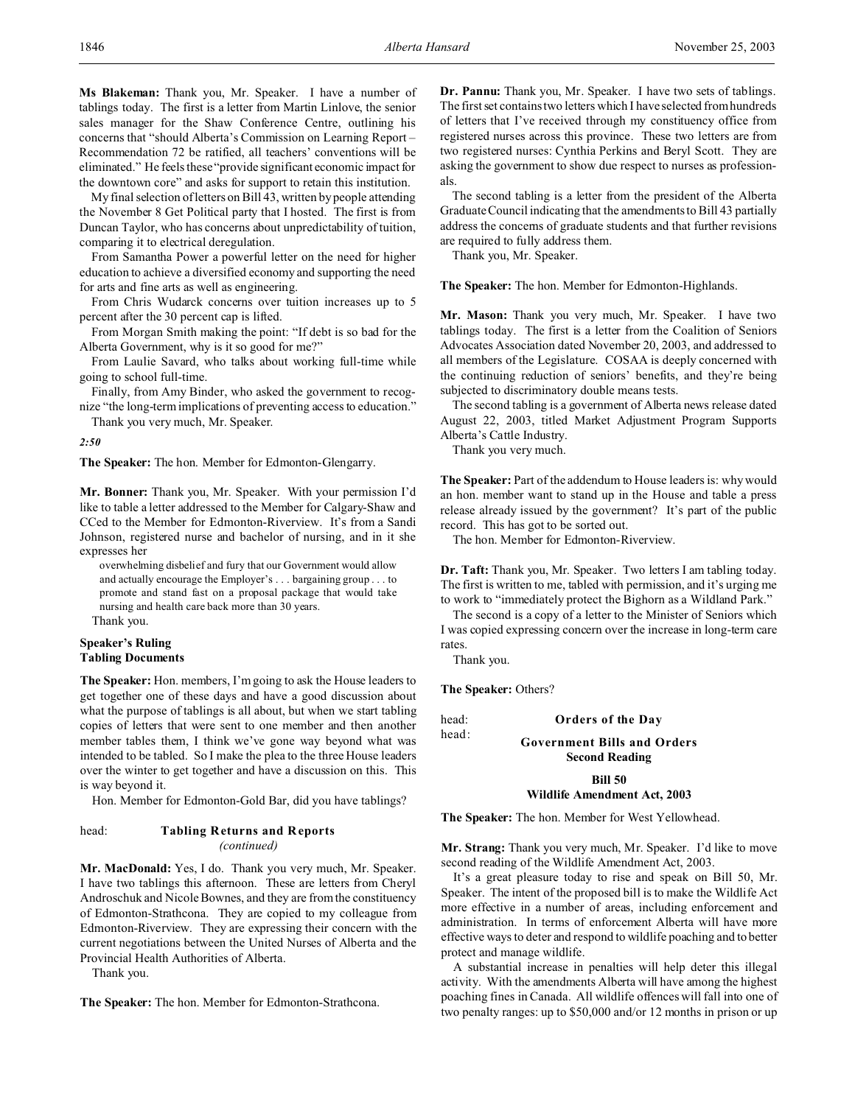My final selection of letters on Bill 43, written by people attending the November 8 Get Political party that I hosted. The first is from Duncan Taylor, who has concerns about unpredictability of tuition, comparing it to electrical deregulation.

From Samantha Power a powerful letter on the need for higher education to achieve a diversified economy and supporting the need for arts and fine arts as well as engineering.

From Chris Wudarck concerns over tuition increases up to 5 percent after the 30 percent cap is lifted.

From Morgan Smith making the point: "If debt is so bad for the Alberta Government, why is it so good for me?"

From Laulie Savard, who talks about working full-time while going to school full-time.

Finally, from Amy Binder, who asked the government to recognize "the long-term implications of preventing access to education."

Thank you very much, Mr. Speaker.

*2:50*

**The Speaker:** The hon. Member for Edmonton-Glengarry.

**Mr. Bonner:** Thank you, Mr. Speaker. With your permission I'd like to table a letter addressed to the Member for Calgary-Shaw and CCed to the Member for Edmonton-Riverview. It's from a Sandi Johnson, registered nurse and bachelor of nursing, and in it she expresses her

overwhelming disbelief and fury that our Government would allow and actually encourage the Employer's . . . bargaining group . . . to promote and stand fast on a proposal package that would take nursing and health care back more than 30 years.

Thank you.

### **Speaker's Ruling Tabling Documents**

**The Speaker:** Hon. members, I'm going to ask the House leaders to get together one of these days and have a good discussion about what the purpose of tablings is all about, but when we start tabling copies of letters that were sent to one member and then another member tables them, I think we've gone way beyond what was intended to be tabled. So I make the plea to the three House leaders over the winter to get together and have a discussion on this. This is way beyond it.

Hon. Member for Edmonton-Gold Bar, did you have tablings?

## head: **Tabling Returns and Reports** *(continued)*

**Mr. MacDonald:** Yes, I do. Thank you very much, Mr. Speaker. I have two tablings this afternoon. These are letters from Cheryl Androschuk and Nicole Bownes, and they are from the constituency of Edmonton-Strathcona. They are copied to my colleague from Edmonton-Riverview. They are expressing their concern with the current negotiations between the United Nurses of Alberta and the Provincial Health Authorities of Alberta.

Thank you.

**The Speaker:** The hon. Member for Edmonton-Strathcona.

**Dr. Pannu:** Thank you, Mr. Speaker. I have two sets of tablings. The first set contains two letters which I have selected from hundreds of letters that I've received through my constituency office from registered nurses across this province. These two letters are from two registered nurses: Cynthia Perkins and Beryl Scott. They are asking the government to show due respect to nurses as professionals.

The second tabling is a letter from the president of the Alberta Graduate Council indicating that the amendments to Bill 43 partially address the concerns of graduate students and that further revisions are required to fully address them.

Thank you, Mr. Speaker.

**The Speaker:** The hon. Member for Edmonton-Highlands.

**Mr. Mason:** Thank you very much, Mr. Speaker. I have two tablings today. The first is a letter from the Coalition of Seniors Advocates Association dated November 20, 2003, and addressed to all members of the Legislature. COSAA is deeply concerned with the continuing reduction of seniors' benefits, and they're being subjected to discriminatory double means tests.

The second tabling is a government of Alberta news release dated August 22, 2003, titled Market Adjustment Program Supports Alberta's Cattle Industry.

Thank you very much.

The Speaker: Part of the addendum to House leaders is: why would an hon. member want to stand up in the House and table a press release already issued by the government? It's part of the public record. This has got to be sorted out.

The hon. Member for Edmonton-Riverview.

**Dr. Taft:** Thank you, Mr. Speaker. Two letters I am tabling today. The first is written to me, tabled with permission, and it's urging me to work to "immediately protect the Bighorn as a Wildland Park."

The second is a copy of a letter to the Minister of Seniors which I was copied expressing concern over the increase in long-term care rates.

Thank you.

**The Speaker:** Others?

head: **Orders of the Day**

head: **Government Bills and Orders**

**Second Reading**

## **Bill 50**

**Wildlife Amendment Act, 2003**

**The Speaker:** The hon. Member for West Yellowhead.

**Mr. Strang:** Thank you very much, Mr. Speaker. I'd like to move second reading of the Wildlife Amendment Act, 2003.

It's a great pleasure today to rise and speak on Bill 50, Mr. Speaker. The intent of the proposed bill is to make the Wildlife Act more effective in a number of areas, including enforcement and administration. In terms of enforcement Alberta will have more effective ways to deter and respond to wildlife poaching and to better protect and manage wildlife.

A substantial increase in penalties will help deter this illegal activity. With the amendments Alberta will have among the highest poaching fines in Canada. All wildlife offences will fall into one of two penalty ranges: up to \$50,000 and/or 12 months in prison or up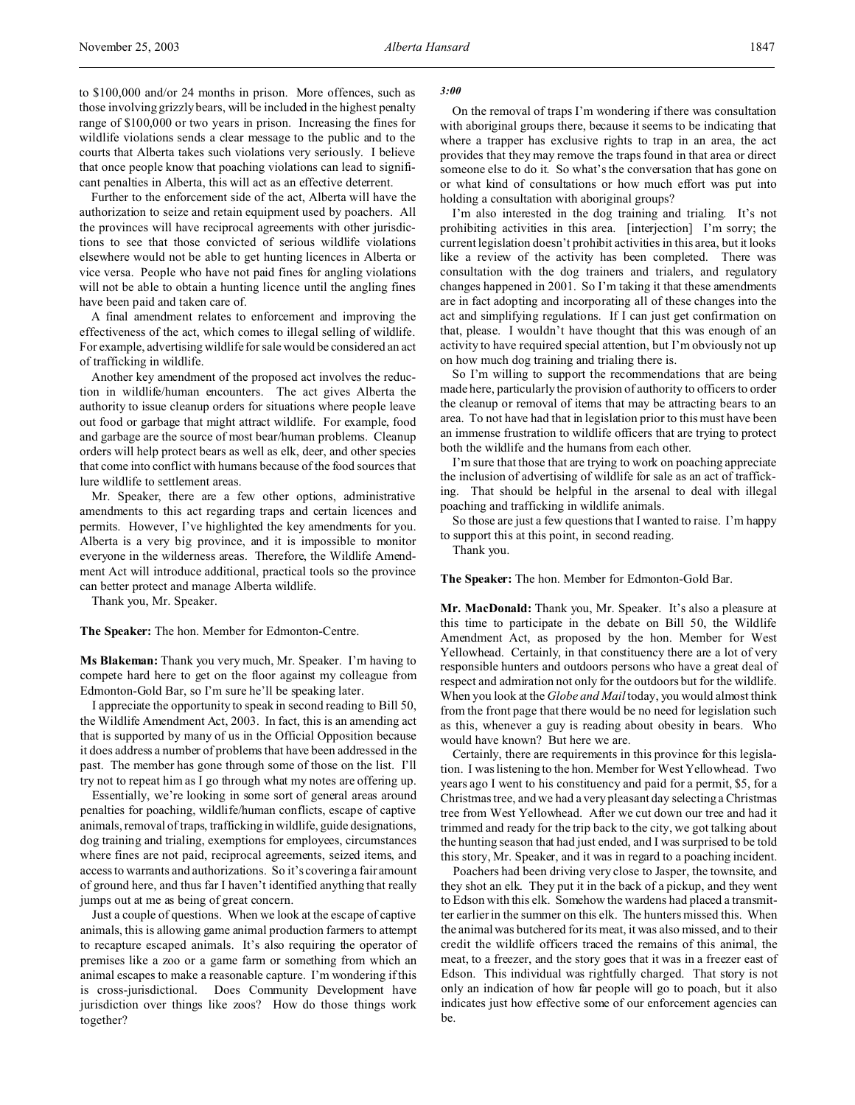to \$100,000 and/or 24 months in prison. More offences, such as those involving grizzly bears, will be included in the highest penalty range of \$100,000 or two years in prison. Increasing the fines for wildlife violations sends a clear message to the public and to the courts that Alberta takes such violations very seriously. I believe that once people know that poaching violations can lead to significant penalties in Alberta, this will act as an effective deterrent.

Further to the enforcement side of the act, Alberta will have the authorization to seize and retain equipment used by poachers. All the provinces will have reciprocal agreements with other jurisdictions to see that those convicted of serious wildlife violations elsewhere would not be able to get hunting licences in Alberta or vice versa. People who have not paid fines for angling violations will not be able to obtain a hunting licence until the angling fines have been paid and taken care of.

A final amendment relates to enforcement and improving the effectiveness of the act, which comes to illegal selling of wildlife. For example, advertising wildlife for sale would be considered an act of trafficking in wildlife.

Another key amendment of the proposed act involves the reduction in wildlife/human encounters. The act gives Alberta the authority to issue cleanup orders for situations where people leave out food or garbage that might attract wildlife. For example, food and garbage are the source of most bear/human problems. Cleanup orders will help protect bears as well as elk, deer, and other species that come into conflict with humans because of the food sources that lure wildlife to settlement areas.

Mr. Speaker, there are a few other options, administrative amendments to this act regarding traps and certain licences and permits. However, I've highlighted the key amendments for you. Alberta is a very big province, and it is impossible to monitor everyone in the wilderness areas. Therefore, the Wildlife Amendment Act will introduce additional, practical tools so the province can better protect and manage Alberta wildlife.

Thank you, Mr. Speaker.

**The Speaker:** The hon. Member for Edmonton-Centre.

**Ms Blakeman:** Thank you very much, Mr. Speaker. I'm having to compete hard here to get on the floor against my colleague from Edmonton-Gold Bar, so I'm sure he'll be speaking later.

I appreciate the opportunity to speak in second reading to Bill 50, the Wildlife Amendment Act, 2003. In fact, this is an amending act that is supported by many of us in the Official Opposition because it does address a number of problems that have been addressed in the past. The member has gone through some of those on the list. I'll try not to repeat him as I go through what my notes are offering up.

Essentially, we're looking in some sort of general areas around penalties for poaching, wildlife/human conflicts, escape of captive animals, removal of traps, trafficking in wildlife, guide designations, dog training and trialing, exemptions for employees, circumstances where fines are not paid, reciprocal agreements, seized items, and access to warrants and authorizations. So it's covering a fair amount of ground here, and thus far I haven't identified anything that really jumps out at me as being of great concern.

Just a couple of questions. When we look at the escape of captive animals, this is allowing game animal production farmers to attempt to recapture escaped animals. It's also requiring the operator of premises like a zoo or a game farm or something from which an animal escapes to make a reasonable capture. I'm wondering if this is cross-jurisdictional. Does Community Development have jurisdiction over things like zoos? How do those things work together?

#### *3:00*

On the removal of traps I'm wondering if there was consultation with aboriginal groups there, because it seems to be indicating that where a trapper has exclusive rights to trap in an area, the act provides that they may remove the traps found in that area or direct someone else to do it. So what's the conversation that has gone on or what kind of consultations or how much effort was put into holding a consultation with aboriginal groups?

I'm also interested in the dog training and trialing. It's not prohibiting activities in this area. [interjection] I'm sorry; the current legislation doesn't prohibit activities in this area, but it looks like a review of the activity has been completed. There was consultation with the dog trainers and trialers, and regulatory changes happened in 2001. So I'm taking it that these amendments are in fact adopting and incorporating all of these changes into the act and simplifying regulations. If I can just get confirmation on that, please. I wouldn't have thought that this was enough of an activity to have required special attention, but I'm obviously not up on how much dog training and trialing there is.

So I'm willing to support the recommendations that are being made here, particularly the provision of authority to officers to order the cleanup or removal of items that may be attracting bears to an area. To not have had that in legislation prior to this must have been an immense frustration to wildlife officers that are trying to protect both the wildlife and the humans from each other.

I'm sure that those that are trying to work on poaching appreciate the inclusion of advertising of wildlife for sale as an act of trafficking. That should be helpful in the arsenal to deal with illegal poaching and trafficking in wildlife animals.

So those are just a few questions that I wanted to raise. I'm happy to support this at this point, in second reading.

Thank you.

**The Speaker:** The hon. Member for Edmonton-Gold Bar.

**Mr. MacDonald:** Thank you, Mr. Speaker. It's also a pleasure at this time to participate in the debate on Bill 50, the Wildlife Amendment Act, as proposed by the hon. Member for West Yellowhead. Certainly, in that constituency there are a lot of very responsible hunters and outdoors persons who have a great deal of respect and admiration not only for the outdoors but for the wildlife. When you look at the *Globe and Mail* today, you would almost think from the front page that there would be no need for legislation such as this, whenever a guy is reading about obesity in bears. Who would have known? But here we are.

Certainly, there are requirements in this province for this legislation. I was listening to the hon. Member for West Yellowhead. Two years ago I went to his constituency and paid for a permit, \$5, for a Christmas tree, and we had a very pleasant day selecting a Christmas tree from West Yellowhead. After we cut down our tree and had it trimmed and ready for the trip back to the city, we got talking about the hunting season that had just ended, and I was surprised to be told this story, Mr. Speaker, and it was in regard to a poaching incident.

Poachers had been driving very close to Jasper, the townsite, and they shot an elk. They put it in the back of a pickup, and they went to Edson with this elk. Somehow the wardens had placed a transmitter earlier in the summer on this elk. The hunters missed this. When the animal was butchered for its meat, it was also missed, and to their credit the wildlife officers traced the remains of this animal, the meat, to a freezer, and the story goes that it was in a freezer east of Edson. This individual was rightfully charged. That story is not only an indication of how far people will go to poach, but it also indicates just how effective some of our enforcement agencies can be.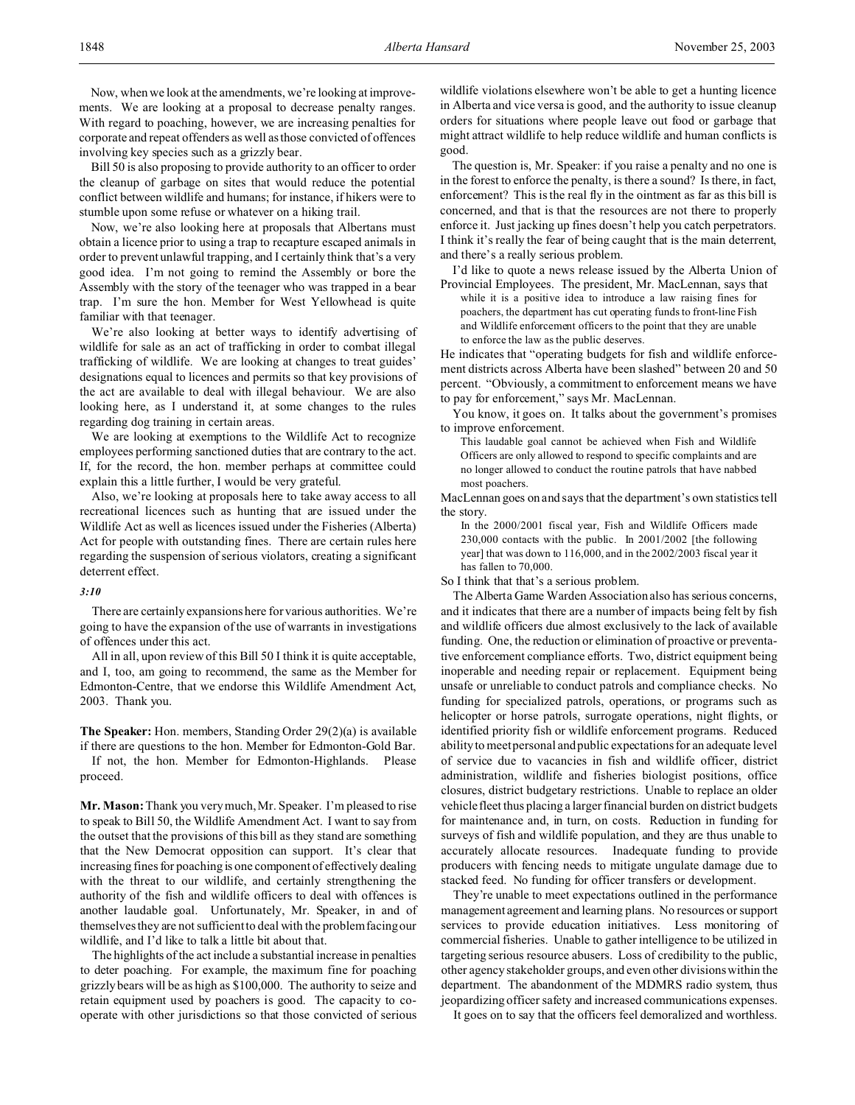Now, when we look at the amendments, we're looking at improvements. We are looking at a proposal to decrease penalty ranges. With regard to poaching, however, we are increasing penalties for corporate and repeat offenders as well as those convicted of offences involving key species such as a grizzly bear.

Bill 50 is also proposing to provide authority to an officer to order the cleanup of garbage on sites that would reduce the potential conflict between wildlife and humans; for instance, if hikers were to stumble upon some refuse or whatever on a hiking trail.

Now, we're also looking here at proposals that Albertans must obtain a licence prior to using a trap to recapture escaped animals in order to prevent unlawful trapping, and I certainly think that's a very good idea. I'm not going to remind the Assembly or bore the Assembly with the story of the teenager who was trapped in a bear trap. I'm sure the hon. Member for West Yellowhead is quite familiar with that teenager.

We're also looking at better ways to identify advertising of wildlife for sale as an act of trafficking in order to combat illegal trafficking of wildlife. We are looking at changes to treat guides' designations equal to licences and permits so that key provisions of the act are available to deal with illegal behaviour. We are also looking here, as I understand it, at some changes to the rules regarding dog training in certain areas.

We are looking at exemptions to the Wildlife Act to recognize employees performing sanctioned duties that are contrary to the act. If, for the record, the hon. member perhaps at committee could explain this a little further, I would be very grateful.

Also, we're looking at proposals here to take away access to all recreational licences such as hunting that are issued under the Wildlife Act as well as licences issued under the Fisheries (Alberta) Act for people with outstanding fines. There are certain rules here regarding the suspension of serious violators, creating a significant deterrent effect.

#### *3:10*

There are certainly expansions here for various authorities. We're going to have the expansion of the use of warrants in investigations of offences under this act.

All in all, upon review of this Bill 50 I think it is quite acceptable, and I, too, am going to recommend, the same as the Member for Edmonton-Centre, that we endorse this Wildlife Amendment Act, 2003. Thank you.

**The Speaker:** Hon. members, Standing Order 29(2)(a) is available if there are questions to the hon. Member for Edmonton-Gold Bar.

If not, the hon. Member for Edmonton-Highlands. Please proceed.

**Mr. Mason:** Thank you very much, Mr. Speaker. I'm pleased to rise to speak to Bill 50, the Wildlife Amendment Act. I want to say from the outset that the provisions of this bill as they stand are something that the New Democrat opposition can support. It's clear that increasing fines for poaching is one component of effectively dealing with the threat to our wildlife, and certainly strengthening the authority of the fish and wildlife officers to deal with offences is another laudable goal. Unfortunately, Mr. Speaker, in and of themselves they are not sufficient to deal with the problem facing our wildlife, and I'd like to talk a little bit about that.

The highlights of the act include a substantial increase in penalties to deter poaching. For example, the maximum fine for poaching grizzly bears will be as high as \$100,000. The authority to seize and retain equipment used by poachers is good. The capacity to cooperate with other jurisdictions so that those convicted of serious wildlife violations elsewhere won't be able to get a hunting licence in Alberta and vice versa is good, and the authority to issue cleanup orders for situations where people leave out food or garbage that might attract wildlife to help reduce wildlife and human conflicts is good.

The question is, Mr. Speaker: if you raise a penalty and no one is in the forest to enforce the penalty, is there a sound? Is there, in fact, enforcement? This is the real fly in the ointment as far as this bill is concerned, and that is that the resources are not there to properly enforce it. Just jacking up fines doesn't help you catch perpetrators. I think it's really the fear of being caught that is the main deterrent, and there's a really serious problem.

I'd like to quote a news release issued by the Alberta Union of

Provincial Employees. The president, Mr. MacLennan, says that while it is a positive idea to introduce a law raising fines for poachers, the department has cut operating funds to front-line Fish and Wildlife enforcement officers to the point that they are unable to enforce the law as the public deserves.

He indicates that "operating budgets for fish and wildlife enforcement districts across Alberta have been slashed" between 20 and 50 percent. "Obviously, a commitment to enforcement means we have to pay for enforcement," says Mr. MacLennan.

You know, it goes on. It talks about the government's promises to improve enforcement.

This laudable goal cannot be achieved when Fish and Wildlife Officers are only allowed to respond to specific complaints and are no longer allowed to conduct the routine patrols that have nabbed most poachers.

MacLennan goes on and says that the department's own statistics tell the story.

In the 2000/2001 fiscal year, Fish and Wildlife Officers made 230,000 contacts with the public. In 2001/2002 [the following year] that was down to 116,000, and in the 2002/2003 fiscal year it has fallen to 70,000.

So I think that that's a serious problem.

The Alberta Game Warden Association also has serious concerns, and it indicates that there are a number of impacts being felt by fish and wildlife officers due almost exclusively to the lack of available funding. One, the reduction or elimination of proactive or preventative enforcement compliance efforts. Two, district equipment being inoperable and needing repair or replacement. Equipment being unsafe or unreliable to conduct patrols and compliance checks. No funding for specialized patrols, operations, or programs such as helicopter or horse patrols, surrogate operations, night flights, or identified priority fish or wildlife enforcement programs. Reduced ability to meet personal and public expectations for an adequate level of service due to vacancies in fish and wildlife officer, district administration, wildlife and fisheries biologist positions, office closures, district budgetary restrictions. Unable to replace an older vehicle fleet thus placing a larger financial burden on district budgets for maintenance and, in turn, on costs. Reduction in funding for surveys of fish and wildlife population, and they are thus unable to accurately allocate resources. Inadequate funding to provide producers with fencing needs to mitigate ungulate damage due to stacked feed. No funding for officer transfers or development.

They're unable to meet expectations outlined in the performance management agreement and learning plans. No resources or support services to provide education initiatives. Less monitoring of commercial fisheries. Unable to gather intelligence to be utilized in targeting serious resource abusers. Loss of credibility to the public, other agency stakeholder groups, and even other divisions within the department. The abandonment of the MDMRS radio system, thus jeopardizing officer safety and increased communications expenses.

It goes on to say that the officers feel demoralized and worthless.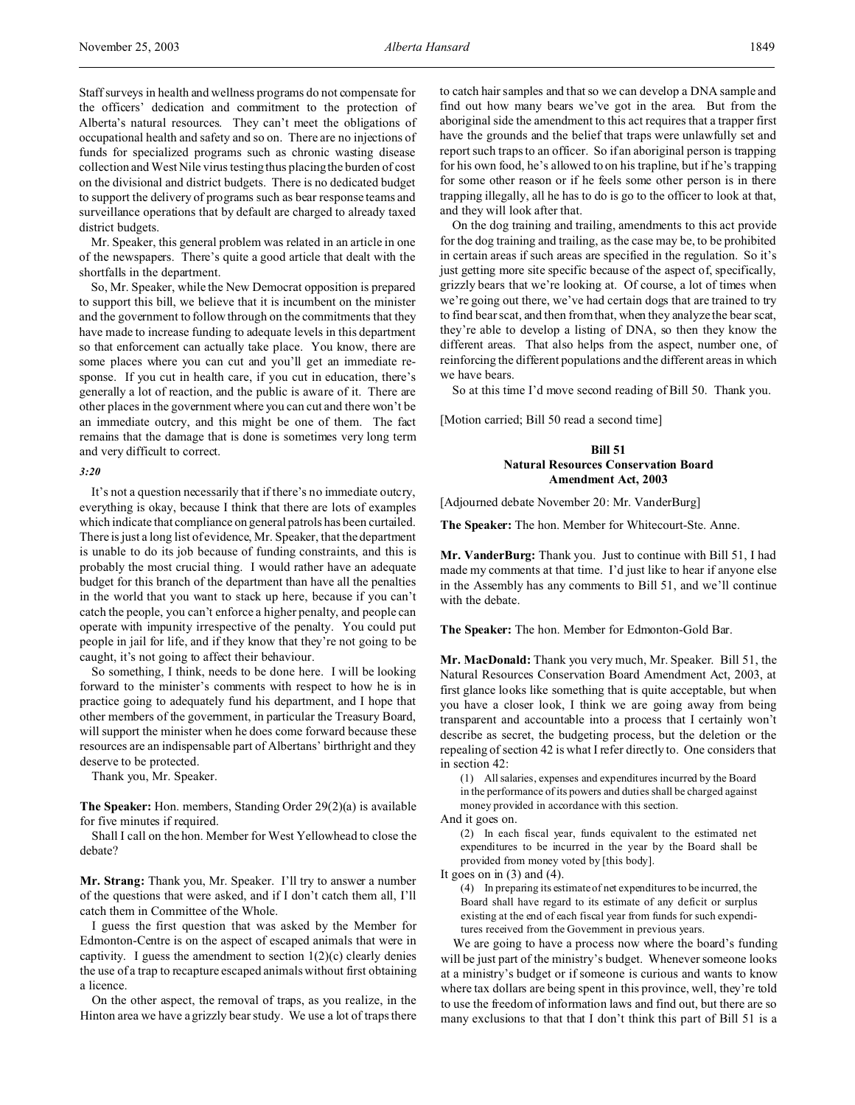Staff surveys in health and wellness programs do not compensate for the officers' dedication and commitment to the protection of Alberta's natural resources. They can't meet the obligations of occupational health and safety and so on. There are no injections of funds for specialized programs such as chronic wasting disease collection and West Nile virus testing thus placing the burden of cost on the divisional and district budgets. There is no dedicated budget to support the delivery of programs such as bear response teams and surveillance operations that by default are charged to already taxed district budgets.

Mr. Speaker, this general problem was related in an article in one of the newspapers. There's quite a good article that dealt with the shortfalls in the department.

So, Mr. Speaker, while the New Democrat opposition is prepared to support this bill, we believe that it is incumbent on the minister and the government to follow through on the commitments that they have made to increase funding to adequate levels in this department so that enforcement can actually take place. You know, there are some places where you can cut and you'll get an immediate response. If you cut in health care, if you cut in education, there's generally a lot of reaction, and the public is aware of it. There are other places in the government where you can cut and there won't be an immediate outcry, and this might be one of them. The fact remains that the damage that is done is sometimes very long term and very difficult to correct.

#### *3:20*

It's not a question necessarily that if there's no immediate outcry, everything is okay, because I think that there are lots of examples which indicate that compliance on general patrols has been curtailed. There is just a long list of evidence, Mr. Speaker, that the department is unable to do its job because of funding constraints, and this is probably the most crucial thing. I would rather have an adequate budget for this branch of the department than have all the penalties in the world that you want to stack up here, because if you can't catch the people, you can't enforce a higher penalty, and people can operate with impunity irrespective of the penalty. You could put people in jail for life, and if they know that they're not going to be caught, it's not going to affect their behaviour.

So something, I think, needs to be done here. I will be looking forward to the minister's comments with respect to how he is in practice going to adequately fund his department, and I hope that other members of the government, in particular the Treasury Board, will support the minister when he does come forward because these resources are an indispensable part of Albertans' birthright and they deserve to be protected.

Thank you, Mr. Speaker.

**The Speaker:** Hon. members, Standing Order 29(2)(a) is available for five minutes if required.

Shall I call on the hon. Member for West Yellowhead to close the debate?

**Mr. Strang:** Thank you, Mr. Speaker. I'll try to answer a number of the questions that were asked, and if I don't catch them all, I'll catch them in Committee of the Whole.

I guess the first question that was asked by the Member for Edmonton-Centre is on the aspect of escaped animals that were in captivity. I guess the amendment to section  $1(2)(c)$  clearly denies the use of a trap to recapture escaped animals without first obtaining a licence.

On the other aspect, the removal of traps, as you realize, in the Hinton area we have a grizzly bear study. We use a lot of traps there to catch hair samples and that so we can develop a DNA sample and find out how many bears we've got in the area. But from the aboriginal side the amendment to this act requires that a trapper first have the grounds and the belief that traps were unlawfully set and report such traps to an officer. So if an aboriginal person is trapping for his own food, he's allowed to on his trapline, but if he's trapping for some other reason or if he feels some other person is in there trapping illegally, all he has to do is go to the officer to look at that, and they will look after that.

On the dog training and trailing, amendments to this act provide for the dog training and trailing, as the case may be, to be prohibited in certain areas if such areas are specified in the regulation. So it's just getting more site specific because of the aspect of, specifically, grizzly bears that we're looking at. Of course, a lot of times when we're going out there, we've had certain dogs that are trained to try to find bear scat, and then from that, when they analyze the bear scat, they're able to develop a listing of DNA, so then they know the different areas. That also helps from the aspect, number one, of reinforcing the different populations and the different areas in which we have bears.

So at this time I'd move second reading of Bill 50. Thank you.

[Motion carried; Bill 50 read a second time]

### **Bill 51 Natural Resources Conservation Board Amendment Act, 2003**

[Adjourned debate November 20: Mr. VanderBurg]

**The Speaker:** The hon. Member for Whitecourt-Ste. Anne.

**Mr. VanderBurg:** Thank you. Just to continue with Bill 51, I had made my comments at that time. I'd just like to hear if anyone else in the Assembly has any comments to Bill 51, and we'll continue with the debate.

**The Speaker:** The hon. Member for Edmonton-Gold Bar.

**Mr. MacDonald:** Thank you very much, Mr. Speaker. Bill 51, the Natural Resources Conservation Board Amendment Act, 2003, at first glance looks like something that is quite acceptable, but when you have a closer look, I think we are going away from being transparent and accountable into a process that I certainly won't describe as secret, the budgeting process, but the deletion or the repealing of section 42 is what I refer directly to. One considers that in section 42:

(1) All salaries, expenses and expenditures incurred by the Board in the performance of its powers and duties shall be charged against money provided in accordance with this section.

And it goes on.

(2) In each fiscal year, funds equivalent to the estimated net expenditures to be incurred in the year by the Board shall be provided from money voted by [this body].

It goes on in  $(3)$  and  $(4)$ .

(4) In preparing its estimate of net expenditures to be incurred, the Board shall have regard to its estimate of any deficit or surplus existing at the end of each fiscal year from funds for such expenditures received from the Government in previous years.

We are going to have a process now where the board's funding will be just part of the ministry's budget. Whenever someone looks at a ministry's budget or if someone is curious and wants to know where tax dollars are being spent in this province, well, they're told to use the freedom of information laws and find out, but there are so many exclusions to that that I don't think this part of Bill 51 is a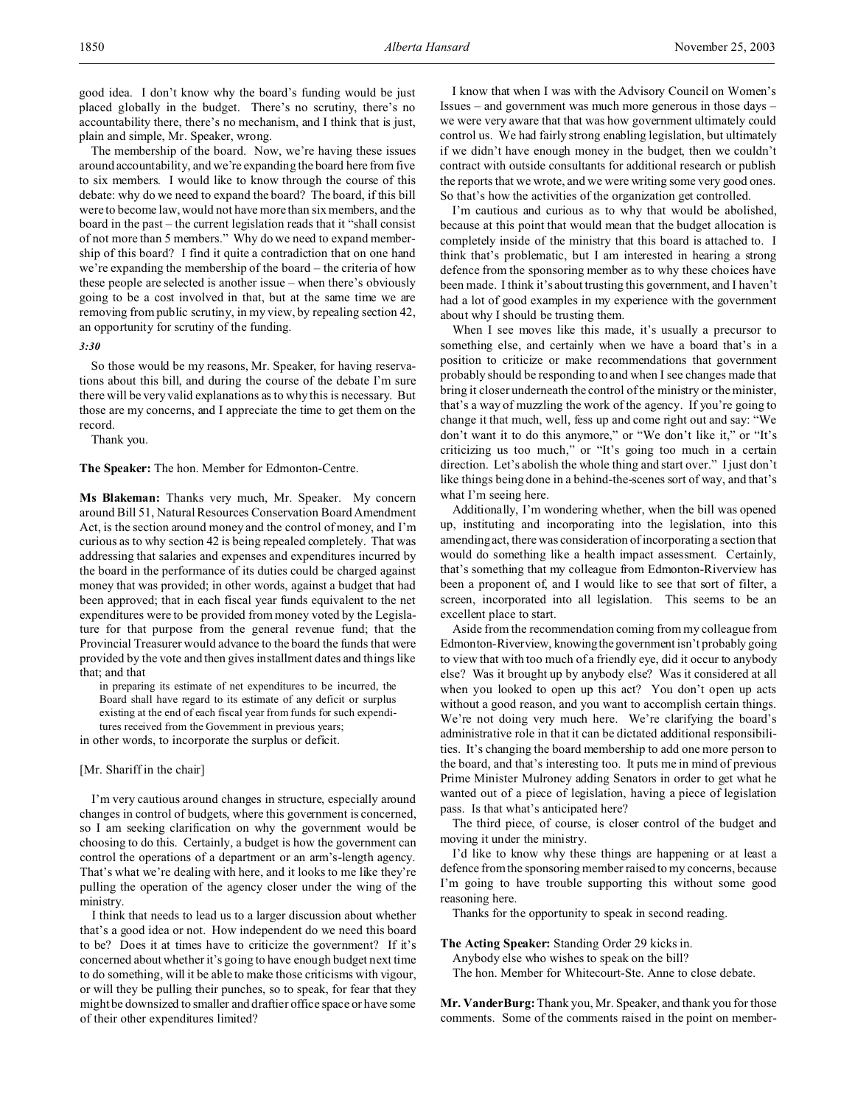good idea. I don't know why the board's funding would be just placed globally in the budget. There's no scrutiny, there's no accountability there, there's no mechanism, and I think that is just, plain and simple, Mr. Speaker, wrong.

The membership of the board. Now, we're having these issues around accountability, and we're expanding the board here from five to six members. I would like to know through the course of this debate: why do we need to expand the board? The board, if this bill were to become law, would not have more than six members, and the board in the past – the current legislation reads that it "shall consist of not more than 5 members." Why do we need to expand membership of this board? I find it quite a contradiction that on one hand we're expanding the membership of the board – the criteria of how these people are selected is another issue – when there's obviously going to be a cost involved in that, but at the same time we are removing from public scrutiny, in my view, by repealing section 42, an opportunity for scrutiny of the funding.

### *3:30*

So those would be my reasons, Mr. Speaker, for having reservations about this bill, and during the course of the debate I'm sure there will be very valid explanations as to why this is necessary. But those are my concerns, and I appreciate the time to get them on the record.

Thank you.

#### **The Speaker:** The hon. Member for Edmonton-Centre.

**Ms Blakeman:** Thanks very much, Mr. Speaker. My concern around Bill 51, Natural Resources Conservation Board Amendment Act, is the section around money and the control of money, and I'm curious as to why section 42 is being repealed completely. That was addressing that salaries and expenses and expenditures incurred by the board in the performance of its duties could be charged against money that was provided; in other words, against a budget that had been approved; that in each fiscal year funds equivalent to the net expenditures were to be provided from money voted by the Legislature for that purpose from the general revenue fund; that the Provincial Treasurer would advance to the board the funds that were provided by the vote and then gives installment dates and things like that; and that

in preparing its estimate of net expenditures to be incurred, the Board shall have regard to its estimate of any deficit or surplus existing at the end of each fiscal year from funds for such expenditures received from the Government in previous years;

in other words, to incorporate the surplus or deficit.

#### [Mr. Shariff in the chair]

I'm very cautious around changes in structure, especially around changes in control of budgets, where this government is concerned, so I am seeking clarification on why the government would be choosing to do this. Certainly, a budget is how the government can control the operations of a department or an arm's-length agency. That's what we're dealing with here, and it looks to me like they're pulling the operation of the agency closer under the wing of the ministry.

I think that needs to lead us to a larger discussion about whether that's a good idea or not. How independent do we need this board to be? Does it at times have to criticize the government? If it's concerned about whether it's going to have enough budget next time to do something, will it be able to make those criticisms with vigour, or will they be pulling their punches, so to speak, for fear that they might be downsized to smaller and draftier office space or have some of their other expenditures limited?

I know that when I was with the Advisory Council on Women's Issues – and government was much more generous in those days – we were very aware that that was how government ultimately could control us. We had fairly strong enabling legislation, but ultimately if we didn't have enough money in the budget, then we couldn't contract with outside consultants for additional research or publish the reports that we wrote, and we were writing some very good ones. So that's how the activities of the organization get controlled.

I'm cautious and curious as to why that would be abolished, because at this point that would mean that the budget allocation is completely inside of the ministry that this board is attached to. I think that's problematic, but I am interested in hearing a strong defence from the sponsoring member as to why these choices have been made. I think it's about trusting this government, and I haven't had a lot of good examples in my experience with the government about why I should be trusting them.

When I see moves like this made, it's usually a precursor to something else, and certainly when we have a board that's in a position to criticize or make recommendations that government probably should be responding to and when I see changes made that bring it closer underneath the control of the ministry or the minister, that's a way of muzzling the work of the agency. If you're going to change it that much, well, fess up and come right out and say: "We don't want it to do this anymore," or "We don't like it," or "It's criticizing us too much," or "It's going too much in a certain direction. Let's abolish the whole thing and start over." I just don't like things being done in a behind-the-scenes sort of way, and that's what I'm seeing here.

Additionally, I'm wondering whether, when the bill was opened up, instituting and incorporating into the legislation, into this amending act, there was consideration of incorporating a section that would do something like a health impact assessment. Certainly, that's something that my colleague from Edmonton-Riverview has been a proponent of, and I would like to see that sort of filter, a screen, incorporated into all legislation. This seems to be an excellent place to start.

Aside from the recommendation coming from my colleague from Edmonton-Riverview, knowingthegovernment isn't probably going to view that with too much of a friendly eye, did it occur to anybody else? Was it brought up by anybody else? Was it considered at all when you looked to open up this act? You don't open up acts without a good reason, and you want to accomplish certain things. We're not doing very much here. We're clarifying the board's administrative role in that it can be dictated additional responsibilities. It's changing the board membership to add one more person to the board, and that's interesting too. It puts me in mind of previous Prime Minister Mulroney adding Senators in order to get what he wanted out of a piece of legislation, having a piece of legislation pass. Is that what's anticipated here?

The third piece, of course, is closer control of the budget and moving it under the ministry.

I'd like to know why these things are happening or at least a defence from the sponsoring member raised to my concerns, because I'm going to have trouble supporting this without some good reasoning here.

Thanks for the opportunity to speak in second reading.

### **The Acting Speaker:** Standing Order 29 kicks in.

Anybody else who wishes to speak on the bill?

The hon. Member for Whitecourt-Ste. Anne to close debate.

**Mr. VanderBurg:** Thank you, Mr. Speaker, and thank you for those comments. Some of the comments raised in the point on member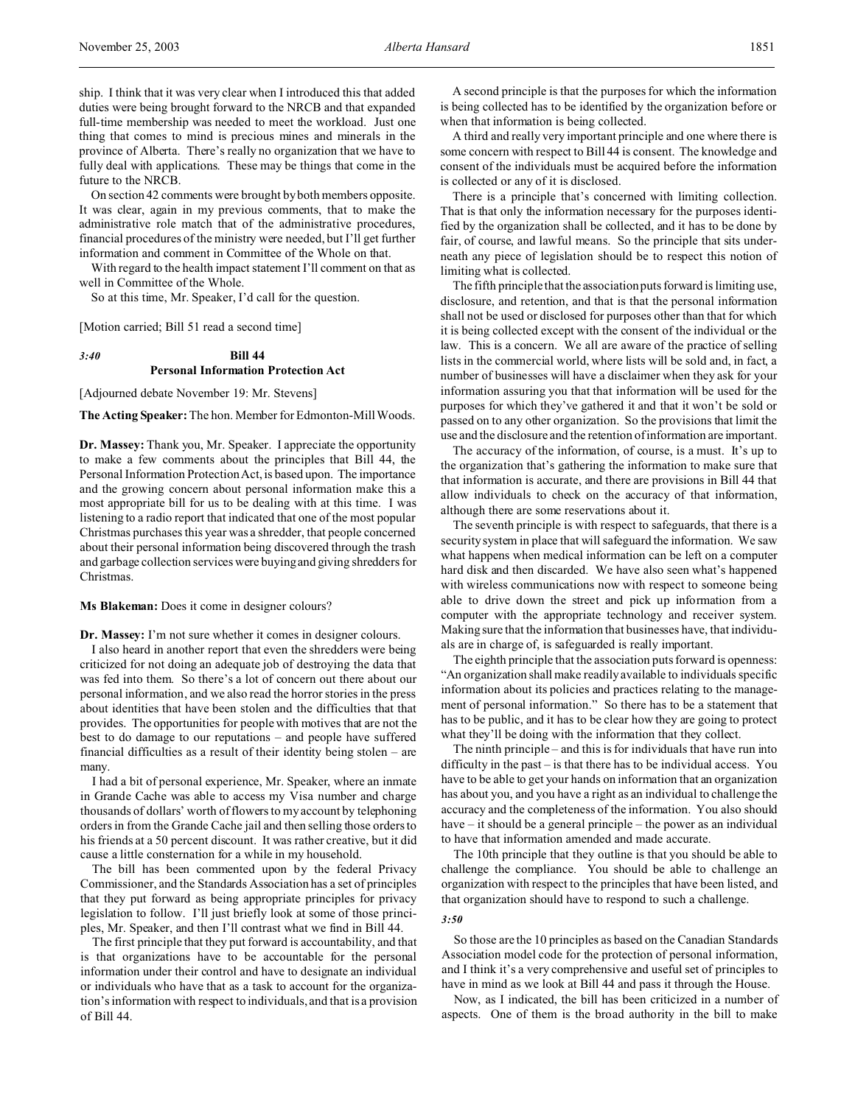ship. I think that it was very clear when I introduced this that added duties were being brought forward to the NRCB and that expanded full-time membership was needed to meet the workload. Just one thing that comes to mind is precious mines and minerals in the province of Alberta. There's really no organization that we have to fully deal with applications. These may be things that come in the future to the NRCB.

On section 42 comments were brought by both members opposite. It was clear, again in my previous comments, that to make the administrative role match that of the administrative procedures, financial procedures of the ministry were needed, but I'll get further information and comment in Committee of the Whole on that.

With regard to the health impact statement I'll comment on that as well in Committee of the Whole.

So at this time, Mr. Speaker, I'd call for the question.

[Motion carried; Bill 51 read a second time]

### *3:40* **Bill 44 Personal Information Protection Act**

[Adjourned debate November 19: Mr. Stevens]

**The Acting Speaker:** The hon. Member for Edmonton-Mill Woods.

**Dr. Massey:** Thank you, Mr. Speaker. I appreciate the opportunity to make a few comments about the principles that Bill 44, the Personal Information Protection Act, is based upon. The importance and the growing concern about personal information make this a most appropriate bill for us to be dealing with at this time. I was listening to a radio report that indicated that one of the most popular Christmas purchases this year was a shredder, that people concerned about their personal information being discovered through the trash and garbage collection services were buying and giving shredders for Christmas.

**Ms Blakeman:** Does it come in designer colours?

**Dr. Massey:** I'm not sure whether it comes in designer colours.

I also heard in another report that even the shredders were being criticized for not doing an adequate job of destroying the data that was fed into them. So there's a lot of concern out there about our personal information, and we also read the horror stories in the press about identities that have been stolen and the difficulties that that provides. The opportunities for people with motives that are not the best to do damage to our reputations – and people have suffered financial difficulties as a result of their identity being stolen – are many.

I had a bit of personal experience, Mr. Speaker, where an inmate in Grande Cache was able to access my Visa number and charge thousands of dollars' worth of flowers to my account by telephoning orders in from the Grande Cache jail and then selling those orders to his friends at a 50 percent discount. It was rather creative, but it did cause a little consternation for a while in my household.

The bill has been commented upon by the federal Privacy Commissioner, and the Standards Association has a set of principles that they put forward as being appropriate principles for privacy legislation to follow. I'll just briefly look at some of those principles, Mr. Speaker, and then I'll contrast what we find in Bill 44.

The first principle that they put forward is accountability, and that is that organizations have to be accountable for the personal information under their control and have to designate an individual or individuals who have that as a task to account for the organization's information with respect to individuals, and that is a provision of Bill 44.

A second principle is that the purposes for which the information is being collected has to be identified by the organization before or when that information is being collected.

A third and really very important principle and one where there is some concern with respect to Bill 44 is consent. The knowledge and consent of the individuals must be acquired before the information is collected or any of it is disclosed.

There is a principle that's concerned with limiting collection. That is that only the information necessary for the purposes identified by the organization shall be collected, and it has to be done by fair, of course, and lawful means. So the principle that sits underneath any piece of legislation should be to respect this notion of limiting what is collected.

The fifth principle that the association puts forward is limiting use, disclosure, and retention, and that is that the personal information shall not be used or disclosed for purposes other than that for which it is being collected except with the consent of the individual or the law. This is a concern. We all are aware of the practice of selling lists in the commercial world, where lists will be sold and, in fact, a number of businesses will have a disclaimer when they ask for your information assuring you that that information will be used for the purposes for which they've gathered it and that it won't be sold or passed on to any other organization. So the provisions that limit the use and the disclosure and the retention of information are important.

The accuracy of the information, of course, is a must. It's up to the organization that's gathering the information to make sure that that information is accurate, and there are provisions in Bill 44 that allow individuals to check on the accuracy of that information, although there are some reservations about it.

The seventh principle is with respect to safeguards, that there is a security system in place that will safeguard the information. We saw what happens when medical information can be left on a computer hard disk and then discarded. We have also seen what's happened with wireless communications now with respect to someone being able to drive down the street and pick up information from a computer with the appropriate technology and receiver system. Making sure that the information that businesses have, that individuals are in charge of, is safeguarded is really important.

The eighth principle that the association puts forward is openness: "An organization shall make readily available to individuals specific information about its policies and practices relating to the management of personal information." So there has to be a statement that has to be public, and it has to be clear how they are going to protect what they'll be doing with the information that they collect.

The ninth principle – and this is for individuals that have run into difficulty in the past – is that there has to be individual access. You have to be able to get your hands on information that an organization has about you, and you have a right as an individual to challenge the accuracy and the completeness of the information. You also should have – it should be a general principle – the power as an individual to have that information amended and made accurate.

The 10th principle that they outline is that you should be able to challenge the compliance. You should be able to challenge an organization with respect to the principles that have been listed, and that organization should have to respond to such a challenge.

### *3:50*

So those are the 10 principles as based on the Canadian Standards Association model code for the protection of personal information, and I think it's a very comprehensive and useful set of principles to have in mind as we look at Bill 44 and pass it through the House.

Now, as I indicated, the bill has been criticized in a number of aspects. One of them is the broad authority in the bill to make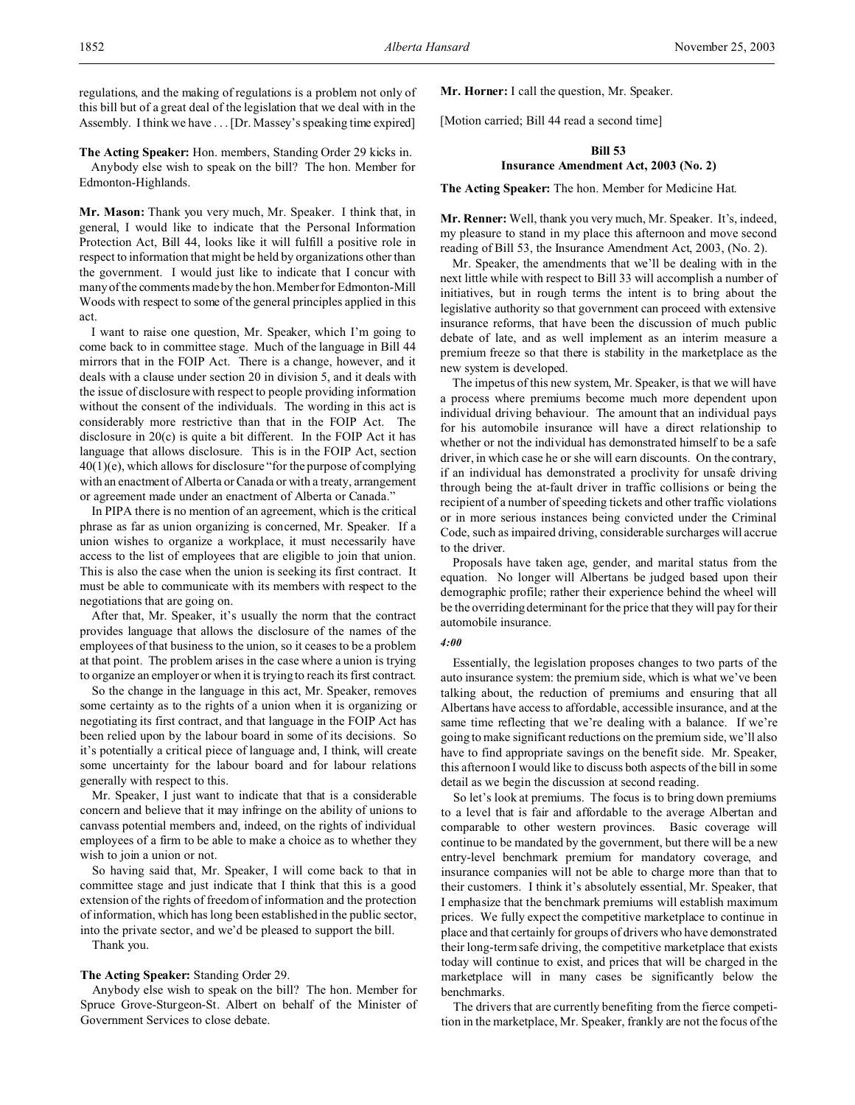regulations, and the making of regulations is a problem not only of this bill but of a great deal of the legislation that we deal with in the Assembly. I think we have . . . [Dr. Massey's speaking time expired]

**The Acting Speaker:** Hon. members, Standing Order 29 kicks in. Anybody else wish to speak on the bill? The hon. Member for Edmonton-Highlands.

**Mr. Mason:** Thank you very much, Mr. Speaker. I think that, in general, I would like to indicate that the Personal Information Protection Act, Bill 44, looks like it will fulfill a positive role in respect to information that might be held by organizations other than the government. I would just like to indicate that I concur with many of the comments made by the hon. Member for Edmonton-Mill Woods with respect to some of the general principles applied in this act.

I want to raise one question, Mr. Speaker, which I'm going to come back to in committee stage. Much of the language in Bill 44 mirrors that in the FOIP Act. There is a change, however, and it deals with a clause under section 20 in division 5, and it deals with the issue of disclosure with respect to people providing information without the consent of the individuals. The wording in this act is considerably more restrictive than that in the FOIP Act. The disclosure in 20(c) is quite a bit different. In the FOIP Act it has language that allows disclosure. This is in the FOIP Act, section 40(1)(e), which allows for disclosure "for the purpose of complying with an enactment of Alberta or Canada or with a treaty, arrangement or agreement made under an enactment of Alberta or Canada."

In PIPA there is no mention of an agreement, which is the critical phrase as far as union organizing is concerned, Mr. Speaker. If a union wishes to organize a workplace, it must necessarily have access to the list of employees that are eligible to join that union. This is also the case when the union is seeking its first contract. It must be able to communicate with its members with respect to the negotiations that are going on.

After that, Mr. Speaker, it's usually the norm that the contract provides language that allows the disclosure of the names of the employees of that business to the union, so it ceases to be a problem at that point. The problem arises in the case where a union is trying to organize an employer or when it is trying to reach its first contract.

So the change in the language in this act, Mr. Speaker, removes some certainty as to the rights of a union when it is organizing or negotiating its first contract, and that language in the FOIP Act has been relied upon by the labour board in some of its decisions. So it's potentially a critical piece of language and, I think, will create some uncertainty for the labour board and for labour relations generally with respect to this.

Mr. Speaker, I just want to indicate that that is a considerable concern and believe that it may infringe on the ability of unions to canvass potential members and, indeed, on the rights of individual employees of a firm to be able to make a choice as to whether they wish to join a union or not.

So having said that, Mr. Speaker, I will come back to that in committee stage and just indicate that I think that this is a good extension of the rights of freedom of information and the protection of information, which has long been established in the public sector, into the private sector, and we'd be pleased to support the bill.

Thank you.

### **The Acting Speaker:** Standing Order 29.

Anybody else wish to speak on the bill? The hon. Member for Spruce Grove-Sturgeon-St. Albert on behalf of the Minister of Government Services to close debate.

**Mr. Horner:** I call the question, Mr. Speaker.

[Motion carried; Bill 44 read a second time]

## **Bill 53 Insurance Amendment Act, 2003 (No. 2)**

**The Acting Speaker:** The hon. Member for Medicine Hat.

**Mr. Renner:** Well, thank you very much, Mr. Speaker. It's, indeed, my pleasure to stand in my place this afternoon and move second reading of Bill 53, the Insurance Amendment Act, 2003, (No. 2).

Mr. Speaker, the amendments that we'll be dealing with in the next little while with respect to Bill 33 will accomplish a number of initiatives, but in rough terms the intent is to bring about the legislative authority so that government can proceed with extensive insurance reforms, that have been the discussion of much public debate of late, and as well implement as an interim measure a premium freeze so that there is stability in the marketplace as the new system is developed.

The impetus of this new system, Mr. Speaker, is that we will have a process where premiums become much more dependent upon individual driving behaviour. The amount that an individual pays for his automobile insurance will have a direct relationship to whether or not the individual has demonstrated himself to be a safe driver, in which case he or she will earn discounts. On the contrary, if an individual has demonstrated a proclivity for unsafe driving through being the at-fault driver in traffic collisions or being the recipient of a number of speeding tickets and other traffic violations or in more serious instances being convicted under the Criminal Code, such as impaired driving, considerable surcharges will accrue to the driver.

Proposals have taken age, gender, and marital status from the equation. No longer will Albertans be judged based upon their demographic profile; rather their experience behind the wheel will be the overriding determinant for the price that they will pay for their automobile insurance.

### *4:00*

Essentially, the legislation proposes changes to two parts of the auto insurance system: the premium side, which is what we've been talking about, the reduction of premiums and ensuring that all Albertans have access to affordable, accessible insurance, and at the same time reflecting that we're dealing with a balance. If we're going to make significant reductions on the premium side, we'll also have to find appropriate savings on the benefit side. Mr. Speaker, this afternoon I would like to discuss both aspects of the bill in some detail as we begin the discussion at second reading.

So let's look at premiums. The focus is to bring down premiums to a level that is fair and affordable to the average Albertan and comparable to other western provinces. Basic coverage will continue to be mandated by the government, but there will be a new entry-level benchmark premium for mandatory coverage, and insurance companies will not be able to charge more than that to their customers. I think it's absolutely essential, Mr. Speaker, that I emphasize that the benchmark premiums will establish maximum prices. We fully expect the competitive marketplace to continue in place and that certainly for groups of drivers who have demonstrated their long-term safe driving, the competitive marketplace that exists today will continue to exist, and prices that will be charged in the marketplace will in many cases be significantly below the benchmarks.

The drivers that are currently benefiting from the fierce competition in the marketplace, Mr. Speaker, frankly are not the focus of the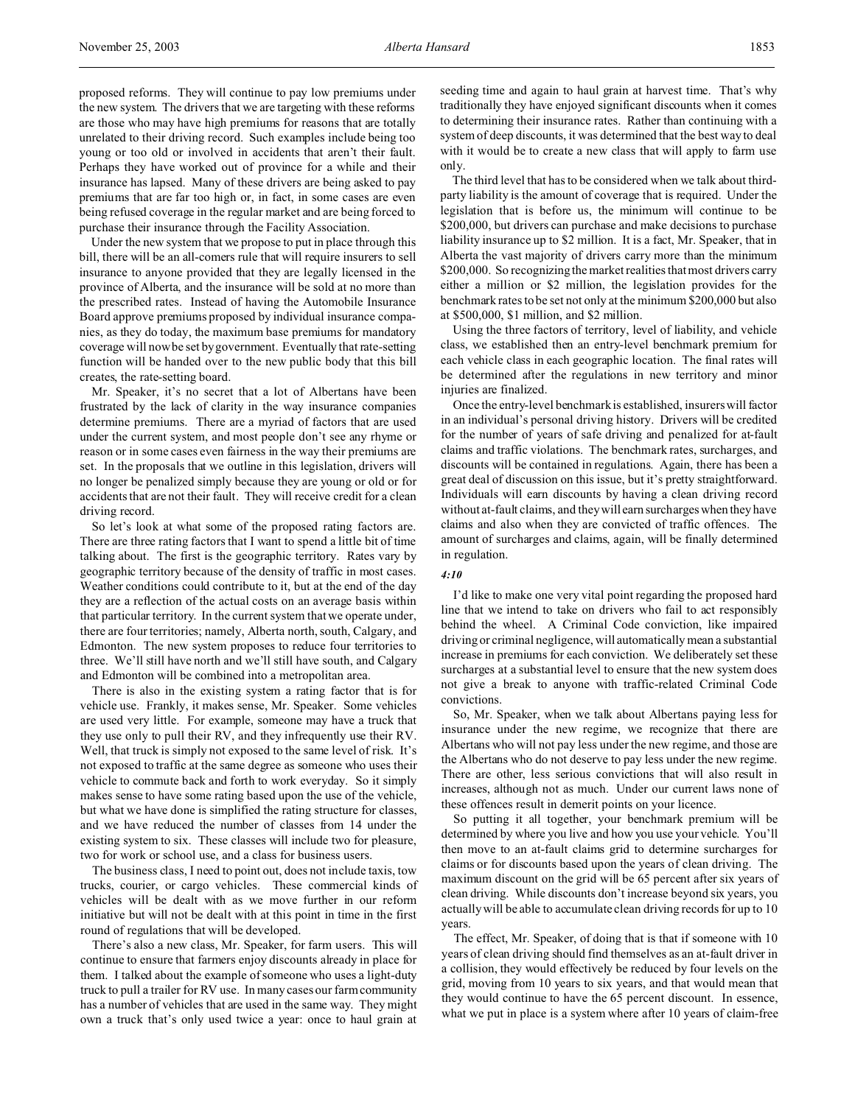proposed reforms. They will continue to pay low premiums under the new system. The drivers that we are targeting with these reforms are those who may have high premiums for reasons that are totally unrelated to their driving record. Such examples include being too young or too old or involved in accidents that aren't their fault. Perhaps they have worked out of province for a while and their insurance has lapsed. Many of these drivers are being asked to pay premiums that are far too high or, in fact, in some cases are even being refused coverage in the regular market and are being forced to purchase their insurance through the Facility Association.

Under the new system that we propose to put in place through this bill, there will be an all-comers rule that will require insurers to sell insurance to anyone provided that they are legally licensed in the province of Alberta, and the insurance will be sold at no more than the prescribed rates. Instead of having the Automobile Insurance Board approve premiums proposed by individual insurance companies, as they do today, the maximum base premiums for mandatory coverage will now be set by government. Eventually that rate-setting function will be handed over to the new public body that this bill creates, the rate-setting board.

Mr. Speaker, it's no secret that a lot of Albertans have been frustrated by the lack of clarity in the way insurance companies determine premiums. There are a myriad of factors that are used under the current system, and most people don't see any rhyme or reason or in some cases even fairness in the way their premiums are set. In the proposals that we outline in this legislation, drivers will no longer be penalized simply because they are young or old or for accidents that are not their fault. They will receive credit for a clean driving record.

So let's look at what some of the proposed rating factors are. There are three rating factors that I want to spend a little bit of time talking about. The first is the geographic territory. Rates vary by geographic territory because of the density of traffic in most cases. Weather conditions could contribute to it, but at the end of the day they are a reflection of the actual costs on an average basis within that particular territory. In the current system that we operate under, there are four territories; namely, Alberta north, south, Calgary, and Edmonton. The new system proposes to reduce four territories to three. We'll still have north and we'll still have south, and Calgary and Edmonton will be combined into a metropolitan area.

There is also in the existing system a rating factor that is for vehicle use. Frankly, it makes sense, Mr. Speaker. Some vehicles are used very little. For example, someone may have a truck that they use only to pull their RV, and they infrequently use their RV. Well, that truck is simply not exposed to the same level of risk. It's not exposed to traffic at the same degree as someone who uses their vehicle to commute back and forth to work everyday. So it simply makes sense to have some rating based upon the use of the vehicle, but what we have done is simplified the rating structure for classes, and we have reduced the number of classes from 14 under the existing system to six. These classes will include two for pleasure, two for work or school use, and a class for business users.

The business class, I need to point out, does not include taxis, tow trucks, courier, or cargo vehicles. These commercial kinds of vehicles will be dealt with as we move further in our reform initiative but will not be dealt with at this point in time in the first round of regulations that will be developed.

There's also a new class, Mr. Speaker, for farm users. This will continue to ensure that farmers enjoy discounts already in place for them. I talked about the example of someone who uses a light-duty truck to pull a trailer for RV use. In many cases our farm community has a number of vehicles that are used in the same way. They might own a truck that's only used twice a year: once to haul grain at

seeding time and again to haul grain at harvest time. That's why traditionally they have enjoyed significant discounts when it comes to determining their insurance rates. Rather than continuing with a system of deep discounts, it was determined that the best way to deal with it would be to create a new class that will apply to farm use only.

The third level that has to be considered when we talk about thirdparty liability is the amount of coverage that is required. Under the legislation that is before us, the minimum will continue to be \$200,000, but drivers can purchase and make decisions to purchase liability insurance up to \$2 million. It is a fact, Mr. Speaker, that in Alberta the vast majority of drivers carry more than the minimum \$200,000. So recognizing the market realities that most drivers carry either a million or \$2 million, the legislation provides for the benchmark rates to be set not only at the minimum \$200,000 but also at \$500,000, \$1 million, and \$2 million.

Using the three factors of territory, level of liability, and vehicle class, we established then an entry-level benchmark premium for each vehicle class in each geographic location. The final rates will be determined after the regulations in new territory and minor injuries are finalized.

Once the entry-level benchmark is established, insurers will factor in an individual's personal driving history. Drivers will be credited for the number of years of safe driving and penalized for at-fault claims and traffic violations. The benchmark rates, surcharges, and discounts will be contained in regulations. Again, there has been a great deal of discussion on this issue, but it's pretty straightforward. Individuals will earn discounts by having a clean driving record without at-fault claims, and they will earn surcharges when they have claims and also when they are convicted of traffic offences. The amount of surcharges and claims, again, will be finally determined in regulation.

## *4:10*

I'd like to make one very vital point regarding the proposed hard line that we intend to take on drivers who fail to act responsibly behind the wheel. A Criminal Code conviction, like impaired driving or criminal negligence, will automatically mean a substantial increase in premiums for each conviction. We deliberately set these surcharges at a substantial level to ensure that the new system does not give a break to anyone with traffic-related Criminal Code convictions.

So, Mr. Speaker, when we talk about Albertans paying less for insurance under the new regime, we recognize that there are Albertans who will not pay less under the new regime, and those are the Albertans who do not deserve to pay less under the new regime. There are other, less serious convictions that will also result in increases, although not as much. Under our current laws none of these offences result in demerit points on your licence.

So putting it all together, your benchmark premium will be determined by where you live and how you use your vehicle. You'll then move to an at-fault claims grid to determine surcharges for claims or for discounts based upon the years of clean driving. The maximum discount on the grid will be 65 percent after six years of clean driving. While discounts don't increase beyond six years, you actually will be able to accumulate clean driving records for up to 10 years.

The effect, Mr. Speaker, of doing that is that if someone with 10 years of clean driving should find themselves as an at-fault driver in a collision, they would effectively be reduced by four levels on the grid, moving from 10 years to six years, and that would mean that they would continue to have the 65 percent discount. In essence, what we put in place is a system where after 10 years of claim-free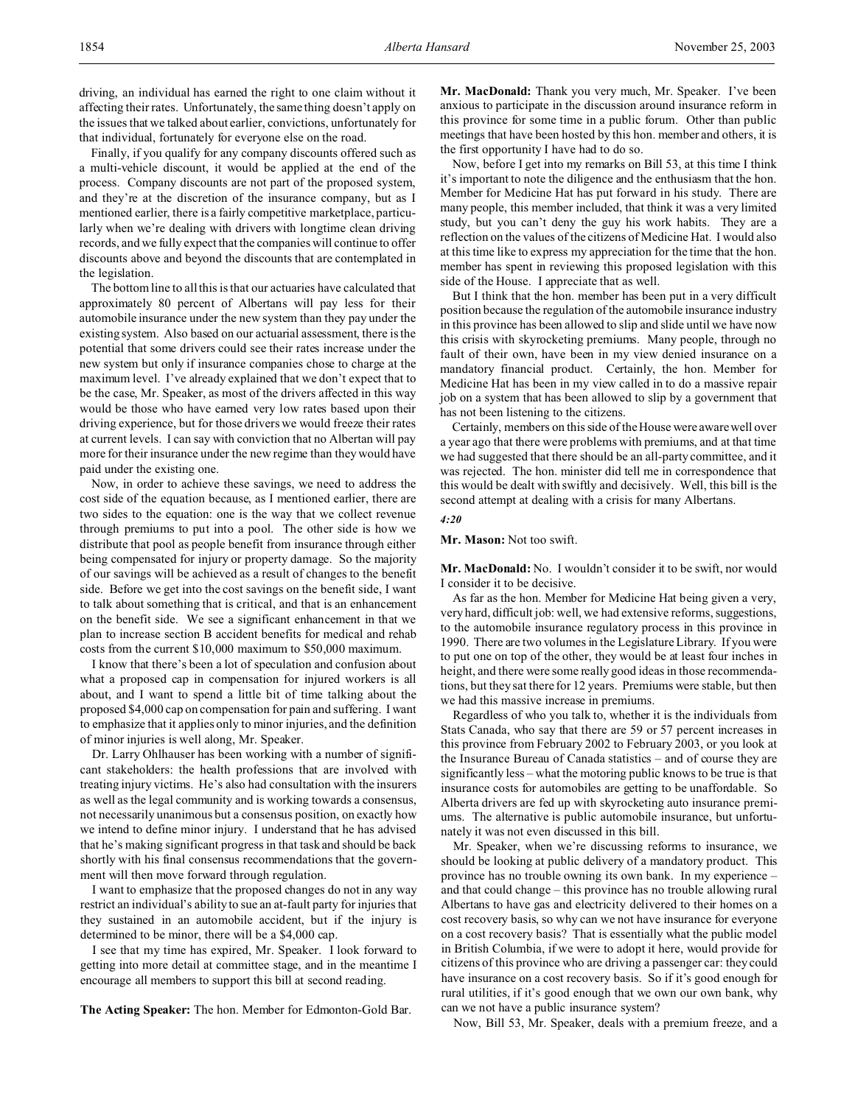Finally, if you qualify for any company discounts offered such as a multi-vehicle discount, it would be applied at the end of the process. Company discounts are not part of the proposed system, and they're at the discretion of the insurance company, but as I mentioned earlier, there is a fairly competitive marketplace, particularly when we're dealing with drivers with longtime clean driving records, and we fully expect that the companies will continue to offer discounts above and beyond the discounts that are contemplated in the legislation.

that individual, fortunately for everyone else on the road.

The bottom line to all this is that our actuaries have calculated that approximately 80 percent of Albertans will pay less for their automobile insurance under the new system than they pay under the existing system. Also based on our actuarial assessment, there is the potential that some drivers could see their rates increase under the new system but only if insurance companies chose to charge at the maximum level. I've already explained that we don't expect that to be the case, Mr. Speaker, as most of the drivers affected in this way would be those who have earned very low rates based upon their driving experience, but for those drivers we would freeze their rates at current levels. I can say with conviction that no Albertan will pay more for their insurance under the new regime than they would have paid under the existing one.

Now, in order to achieve these savings, we need to address the cost side of the equation because, as I mentioned earlier, there are two sides to the equation: one is the way that we collect revenue through premiums to put into a pool. The other side is how we distribute that pool as people benefit from insurance through either being compensated for injury or property damage. So the majority of our savings will be achieved as a result of changes to the benefit side. Before we get into the cost savings on the benefit side, I want to talk about something that is critical, and that is an enhancement on the benefit side. We see a significant enhancement in that we plan to increase section B accident benefits for medical and rehab costs from the current \$10,000 maximum to \$50,000 maximum.

I know that there's been a lot of speculation and confusion about what a proposed cap in compensation for injured workers is all about, and I want to spend a little bit of time talking about the proposed \$4,000 cap on compensation for pain and suffering. I want to emphasize that it applies only to minor injuries, and the definition of minor injuries is well along, Mr. Speaker.

Dr. Larry Ohlhauser has been working with a number of significant stakeholders: the health professions that are involved with treating injury victims. He's also had consultation with the insurers as well as the legal community and is working towards a consensus, not necessarily unanimous but a consensus position, on exactly how we intend to define minor injury. I understand that he has advised that he's making significant progress in that task and should be back shortly with his final consensus recommendations that the government will then move forward through regulation.

I want to emphasize that the proposed changes do not in any way restrict an individual's ability to sue an at-fault party for injuries that they sustained in an automobile accident, but if the injury is determined to be minor, there will be a \$4,000 cap.

I see that my time has expired, Mr. Speaker. I look forward to getting into more detail at committee stage, and in the meantime I encourage all members to support this bill at second reading.

**The Acting Speaker:** The hon. Member for Edmonton-Gold Bar.

**Mr. MacDonald:** Thank you very much, Mr. Speaker. I've been anxious to participate in the discussion around insurance reform in this province for some time in a public forum. Other than public meetings that have been hosted by this hon. member and others, it is the first opportunity I have had to do so.

Now, before I get into my remarks on Bill 53, at this time I think it's important to note the diligence and the enthusiasm that the hon. Member for Medicine Hat has put forward in his study. There are many people, this member included, that think it was a very limited study, but you can't deny the guy his work habits. They are a reflection on the values of the citizens of Medicine Hat. I would also at this time like to express my appreciation for the time that the hon. member has spent in reviewing this proposed legislation with this side of the House. I appreciate that as well.

But I think that the hon. member has been put in a very difficult position because the regulation of the automobile insurance industry in this province has been allowed to slip and slide until we have now this crisis with skyrocketing premiums. Many people, through no fault of their own, have been in my view denied insurance on a mandatory financial product. Certainly, the hon. Member for Medicine Hat has been in my view called in to do a massive repair job on a system that has been allowed to slip by a government that has not been listening to the citizens.

Certainly, members on this side of the House were aware well over a year ago that there were problems with premiums, and at that time we had suggested that there should be an all-party committee, and it was rejected. The hon. minister did tell me in correspondence that this would be dealt with swiftly and decisively. Well, this bill is the second attempt at dealing with a crisis for many Albertans.

### *4:20*

**Mr. Mason:** Not too swift.

**Mr. MacDonald:** No. I wouldn't consider it to be swift, nor would I consider it to be decisive.

As far as the hon. Member for Medicine Hat being given a very, very hard, difficult job: well, we had extensive reforms, suggestions, to the automobile insurance regulatory process in this province in 1990. There are two volumes in the Legislature Library. If you were to put one on top of the other, they would be at least four inches in height, and there were some really good ideas in those recommendations, but they sat there for 12 years. Premiums were stable, but then we had this massive increase in premiums.

Regardless of who you talk to, whether it is the individuals from Stats Canada, who say that there are 59 or 57 percent increases in this province from February 2002 to February 2003, or you look at the Insurance Bureau of Canada statistics – and of course they are significantly less – what the motoring public knows to be true is that insurance costs for automobiles are getting to be unaffordable. So Alberta drivers are fed up with skyrocketing auto insurance premiums. The alternative is public automobile insurance, but unfortunately it was not even discussed in this bill.

Mr. Speaker, when we're discussing reforms to insurance, we should be looking at public delivery of a mandatory product. This province has no trouble owning its own bank. In my experience – and that could change – this province has no trouble allowing rural Albertans to have gas and electricity delivered to their homes on a cost recovery basis, so why can we not have insurance for everyone on a cost recovery basis? That is essentially what the public model in British Columbia, if we were to adopt it here, would provide for citizens of this province who are driving a passenger car: they could have insurance on a cost recovery basis. So if it's good enough for rural utilities, if it's good enough that we own our own bank, why can we not have a public insurance system?

Now, Bill 53, Mr. Speaker, deals with a premium freeze, and a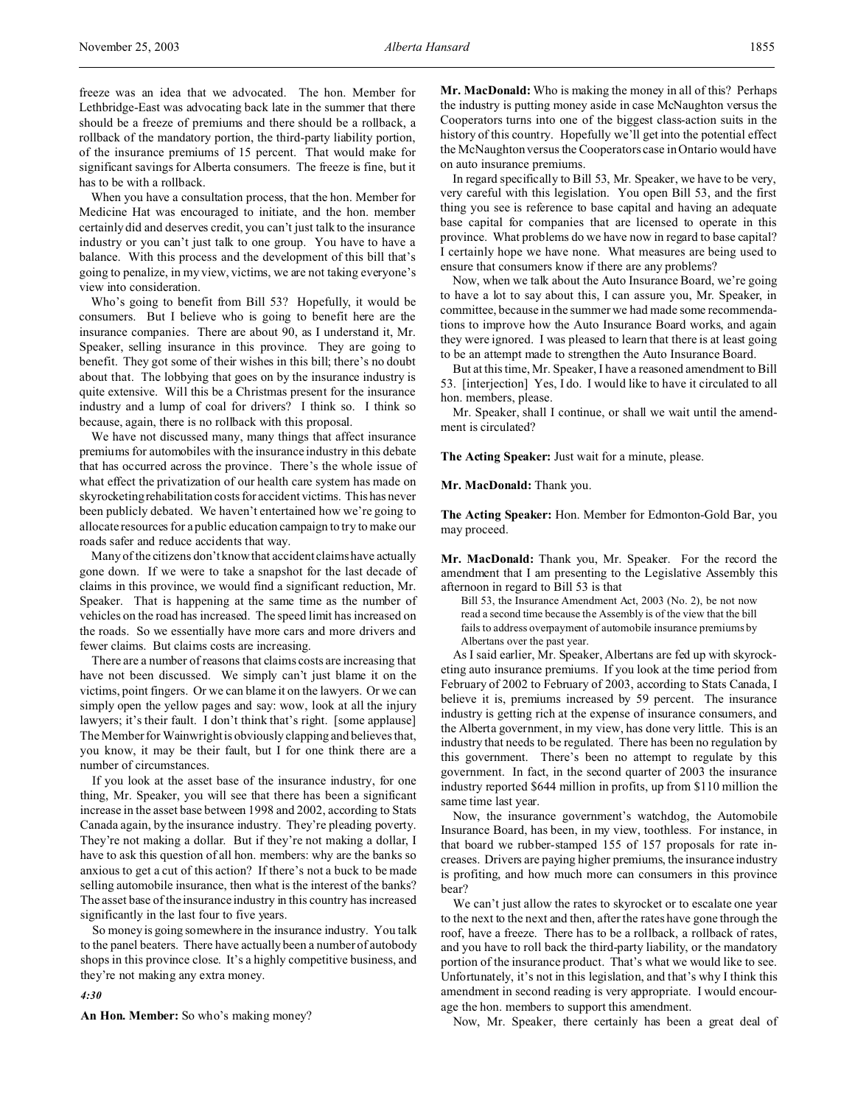freeze was an idea that we advocated. The hon. Member for Lethbridge-East was advocating back late in the summer that there should be a freeze of premiums and there should be a rollback, a rollback of the mandatory portion, the third-party liability portion, of the insurance premiums of 15 percent. That would make for significant savings for Alberta consumers. The freeze is fine, but it has to be with a rollback.

When you have a consultation process, that the hon. Member for Medicine Hat was encouraged to initiate, and the hon. member certainly did and deserves credit, you can't just talk to the insurance industry or you can't just talk to one group. You have to have a balance. With this process and the development of this bill that's going to penalize, in my view, victims, we are not taking everyone's view into consideration.

Who's going to benefit from Bill 53? Hopefully, it would be consumers. But I believe who is going to benefit here are the insurance companies. There are about 90, as I understand it, Mr. Speaker, selling insurance in this province. They are going to benefit. They got some of their wishes in this bill; there's no doubt about that. The lobbying that goes on by the insurance industry is quite extensive. Will this be a Christmas present for the insurance industry and a lump of coal for drivers? I think so. I think so because, again, there is no rollback with this proposal.

We have not discussed many, many things that affect insurance premiums for automobiles with the insurance industry in this debate that has occurred across the province. There's the whole issue of what effect the privatization of our health care system has made on skyrocketing rehabilitation costs for accident victims. This has never been publicly debated. We haven't entertained how we're going to allocate resources for a public education campaign to try to make our roads safer and reduce accidents that way.

Many of the citizens don't know that accident claims have actually gone down. If we were to take a snapshot for the last decade of claims in this province, we would find a significant reduction, Mr. Speaker. That is happening at the same time as the number of vehicles on the road has increased. The speed limit has increased on the roads. So we essentially have more cars and more drivers and fewer claims. But claims costs are increasing.

There are a number of reasons that claims costs are increasing that have not been discussed. We simply can't just blame it on the victims, point fingers. Or we can blame it on the lawyers. Or we can simply open the yellow pages and say: wow, look at all the injury lawyers; it's their fault. I don't think that's right. [some applause] The Member for Wainwright is obviously clapping and believes that, you know, it may be their fault, but I for one think there are a number of circumstances.

If you look at the asset base of the insurance industry, for one thing, Mr. Speaker, you will see that there has been a significant increase in the asset base between 1998 and 2002, according to Stats Canada again, by the insurance industry. They're pleading poverty. They're not making a dollar. But if they're not making a dollar, I have to ask this question of all hon. members: why are the banks so anxious to get a cut of this action? If there's not a buck to be made selling automobile insurance, then what is the interest of the banks? The asset base of the insurance industry in this country has increased significantly in the last four to five years.

So money is going somewhere in the insurance industry. You talk to the panel beaters. There have actually been a number of autobody shops in this province close. It's a highly competitive business, and they're not making any extra money.

#### *4:30*

**An Hon. Member:** So who's making money?

**Mr. MacDonald:** Who is making the money in all of this? Perhaps the industry is putting money aside in case McNaughton versus the Cooperators turns into one of the biggest class-action suits in the history of this country. Hopefully we'll get into the potential effect the McNaughton versus the Cooperators case in Ontario would have on auto insurance premiums.

In regard specifically to Bill 53, Mr. Speaker, we have to be very, very careful with this legislation. You open Bill 53, and the first thing you see is reference to base capital and having an adequate base capital for companies that are licensed to operate in this province. What problems do we have now in regard to base capital? I certainly hope we have none. What measures are being used to ensure that consumers know if there are any problems?

Now, when we talk about the Auto Insurance Board, we're going to have a lot to say about this, I can assure you, Mr. Speaker, in committee, because in the summer we had made some recommendations to improve how the Auto Insurance Board works, and again they were ignored. I was pleased to learn that there is at least going to be an attempt made to strengthen the Auto Insurance Board.

But at this time, Mr. Speaker, I have a reasoned amendment to Bill 53. [interjection] Yes, I do. I would like to have it circulated to all hon. members, please.

Mr. Speaker, shall I continue, or shall we wait until the amendment is circulated?

**The Acting Speaker:** Just wait for a minute, please.

**Mr. MacDonald:** Thank you.

**The Acting Speaker:** Hon. Member for Edmonton-Gold Bar, you may proceed.

**Mr. MacDonald:** Thank you, Mr. Speaker. For the record the amendment that I am presenting to the Legislative Assembly this afternoon in regard to Bill 53 is that

Bill 53, the Insurance Amendment Act, 2003 (No. 2), be not now read a second time because the Assembly is of the view that the bill fails to address overpayment of automobile insurance premiums by Albertans over the past year.

As I said earlier, Mr. Speaker, Albertans are fed up with skyrocketing auto insurance premiums. If you look at the time period from February of 2002 to February of 2003, according to Stats Canada, I believe it is, premiums increased by 59 percent. The insurance industry is getting rich at the expense of insurance consumers, and the Alberta government, in my view, has done very little. This is an industry that needs to be regulated. There has been no regulation by this government. There's been no attempt to regulate by this government. In fact, in the second quarter of 2003 the insurance industry reported \$644 million in profits, up from \$110 million the same time last year.

Now, the insurance government's watchdog, the Automobile Insurance Board, has been, in my view, toothless. For instance, in that board we rubber-stamped 155 of 157 proposals for rate increases. Drivers are paying higher premiums, the insurance industry is profiting, and how much more can consumers in this province bear?

We can't just allow the rates to skyrocket or to escalate one year to the next to the next and then, after the rates have gone through the roof, have a freeze. There has to be a rollback, a rollback of rates, and you have to roll back the third-party liability, or the mandatory portion of the insurance product. That's what we would like to see. Unfortunately, it's not in this legislation, and that's why I think this amendment in second reading is very appropriate. I would encourage the hon. members to support this amendment.

Now, Mr. Speaker, there certainly has been a great deal of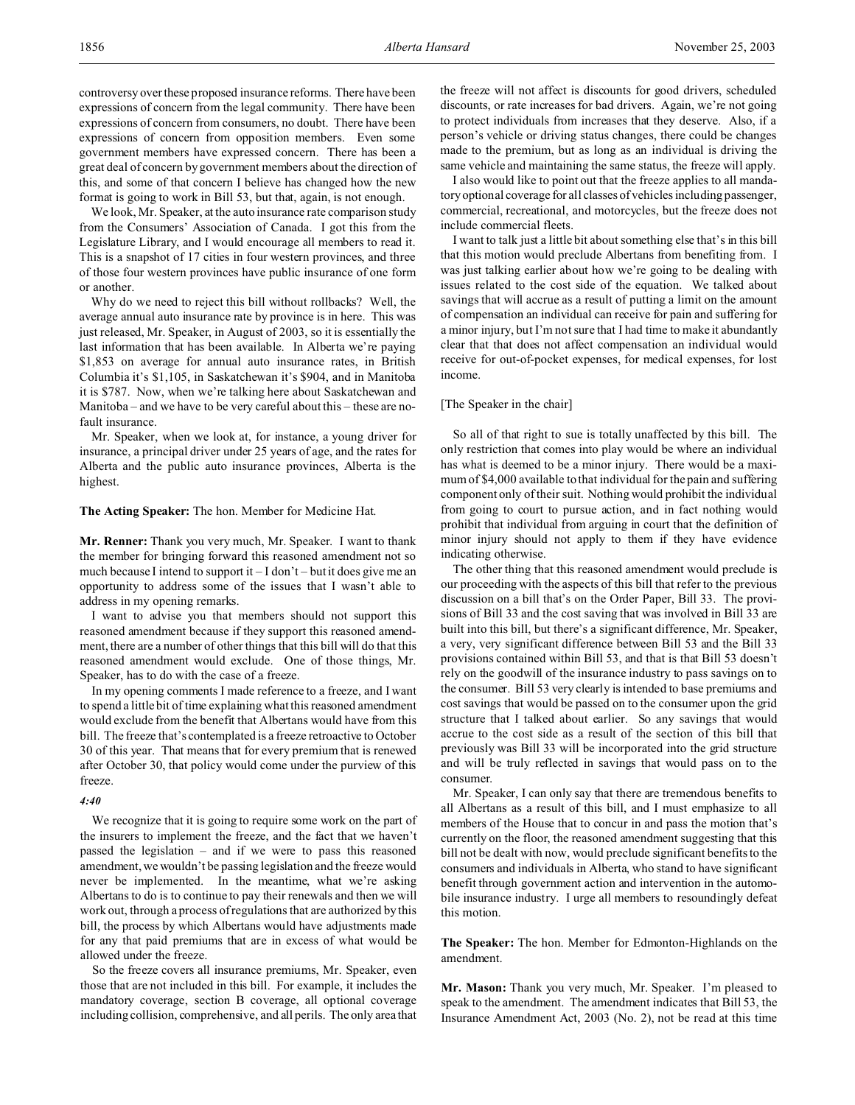controversy over these proposed insurance reforms. There have been expressions of concern from the legal community. There have been expressions of concern from consumers, no doubt. There have been expressions of concern from opposition members. Even some government members have expressed concern. There has been a great deal of concern by government members about the direction of this, and some of that concern I believe has changed how the new format is going to work in Bill 53, but that, again, is not enough.

We look, Mr. Speaker, at the auto insurance rate comparison study from the Consumers' Association of Canada. I got this from the Legislature Library, and I would encourage all members to read it. This is a snapshot of 17 cities in four western provinces, and three of those four western provinces have public insurance of one form or another.

Why do we need to reject this bill without rollbacks? Well, the average annual auto insurance rate by province is in here. This was just released, Mr. Speaker, in August of 2003, so it is essentially the last information that has been available. In Alberta we're paying \$1,853 on average for annual auto insurance rates, in British Columbia it's \$1,105, in Saskatchewan it's \$904, and in Manitoba it is \$787. Now, when we're talking here about Saskatchewan and Manitoba – and we have to be very careful about this – these are nofault insurance.

Mr. Speaker, when we look at, for instance, a young driver for insurance, a principal driver under 25 years of age, and the rates for Alberta and the public auto insurance provinces, Alberta is the highest.

### **The Acting Speaker:** The hon. Member for Medicine Hat.

**Mr. Renner:** Thank you very much, Mr. Speaker. I want to thank the member for bringing forward this reasoned amendment not so much because I intend to support it  $-I$  don't  $-$  but it does give me an opportunity to address some of the issues that I wasn't able to address in my opening remarks.

I want to advise you that members should not support this reasoned amendment because if they support this reasoned amendment, there are a number of other things that this bill will do that this reasoned amendment would exclude. One of those things, Mr. Speaker, has to do with the case of a freeze.

In my opening comments I made reference to a freeze, and I want to spend a little bit of time explaining what this reasoned amendment would exclude from the benefit that Albertans would have from this bill. The freeze that's contemplated is a freeze retroactive to October 30 of this year. That means that for every premium that is renewed after October 30, that policy would come under the purview of this freeze.

### *4:40*

We recognize that it is going to require some work on the part of the insurers to implement the freeze, and the fact that we haven't passed the legislation – and if we were to pass this reasoned amendment, we wouldn't be passing legislation and the freeze would never be implemented. In the meantime, what we're asking Albertans to do is to continue to pay their renewals and then we will work out, through a process of regulations that are authorized by this bill, the process by which Albertans would have adjustments made for any that paid premiums that are in excess of what would be allowed under the freeze.

So the freeze covers all insurance premiums, Mr. Speaker, even those that are not included in this bill. For example, it includes the mandatory coverage, section B coverage, all optional coverage including collision, comprehensive, and all perils. The only area that the freeze will not affect is discounts for good drivers, scheduled discounts, or rate increases for bad drivers. Again, we're not going to protect individuals from increases that they deserve. Also, if a person's vehicle or driving status changes, there could be changes made to the premium, but as long as an individual is driving the same vehicle and maintaining the same status, the freeze will apply.

I also would like to point out that the freeze applies to all mandatory optional coverage for all classes of vehicles including passenger, commercial, recreational, and motorcycles, but the freeze does not include commercial fleets.

I want to talk just a little bit about something else that's in this bill that this motion would preclude Albertans from benefiting from. I was just talking earlier about how we're going to be dealing with issues related to the cost side of the equation. We talked about savings that will accrue as a result of putting a limit on the amount of compensation an individual can receive for pain and suffering for a minor injury, but I'm not sure that I had time to make it abundantly clear that that does not affect compensation an individual would receive for out-of-pocket expenses, for medical expenses, for lost income.

### [The Speaker in the chair]

So all of that right to sue is totally unaffected by this bill. The only restriction that comes into play would be where an individual has what is deemed to be a minor injury. There would be a maximum of \$4,000 available to that individual for the pain and suffering component only of their suit. Nothing would prohibit the individual from going to court to pursue action, and in fact nothing would prohibit that individual from arguing in court that the definition of minor injury should not apply to them if they have evidence indicating otherwise.

The other thing that this reasoned amendment would preclude is our proceeding with the aspects of this bill that refer to the previous discussion on a bill that's on the Order Paper, Bill 33. The provisions of Bill 33 and the cost saving that was involved in Bill 33 are built into this bill, but there's a significant difference, Mr. Speaker, a very, very significant difference between Bill 53 and the Bill 33 provisions contained within Bill 53, and that is that Bill 53 doesn't rely on the goodwill of the insurance industry to pass savings on to the consumer. Bill 53 very clearly is intended to base premiums and cost savings that would be passed on to the consumer upon the grid structure that I talked about earlier. So any savings that would accrue to the cost side as a result of the section of this bill that previously was Bill 33 will be incorporated into the grid structure and will be truly reflected in savings that would pass on to the consumer.

Mr. Speaker, I can only say that there are tremendous benefits to all Albertans as a result of this bill, and I must emphasize to all members of the House that to concur in and pass the motion that's currently on the floor, the reasoned amendment suggesting that this bill not be dealt with now, would preclude significant benefits to the consumers and individuals in Alberta, who stand to have significant benefit through government action and intervention in the automobile insurance industry. I urge all members to resoundingly defeat this motion.

**The Speaker:** The hon. Member for Edmonton-Highlands on the amendment.

**Mr. Mason:** Thank you very much, Mr. Speaker. I'm pleased to speak to the amendment. The amendment indicates that Bill 53, the Insurance Amendment Act, 2003 (No. 2), not be read at this time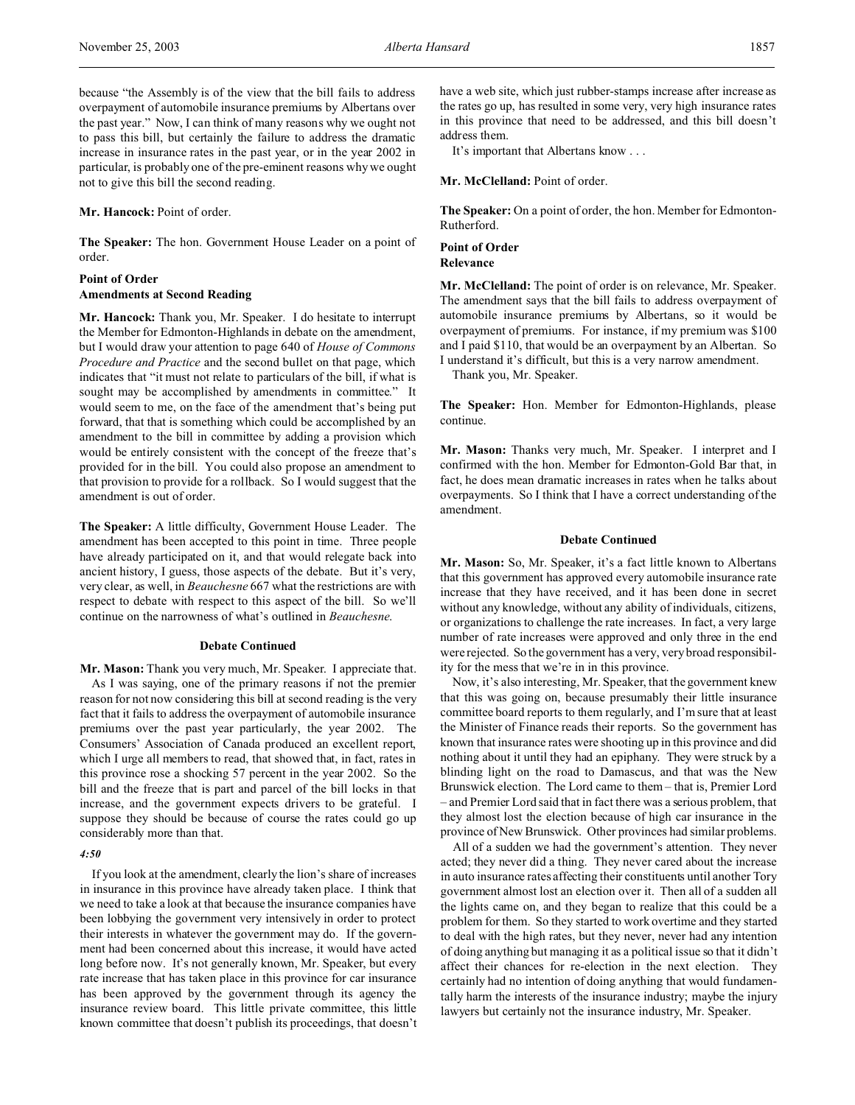because "the Assembly is of the view that the bill fails to address overpayment of automobile insurance premiums by Albertans over the past year." Now, I can think of many reasons why we ought not to pass this bill, but certainly the failure to address the dramatic increase in insurance rates in the past year, or in the year 2002 in particular, is probably one of the pre-eminent reasons why we ought not to give this bill the second reading.

### **Mr. Hancock:** Point of order.

**The Speaker:** The hon. Government House Leader on a point of order.

## **Point of Order Amendments at Second Reading**

**Mr. Hancock:** Thank you, Mr. Speaker. I do hesitate to interrupt the Member for Edmonton-Highlands in debate on the amendment, but I would draw your attention to page 640 of *House of Commons Procedure and Practice* and the second bullet on that page, which indicates that "it must not relate to particulars of the bill, if what is sought may be accomplished by amendments in committee." It would seem to me, on the face of the amendment that's being put forward, that that is something which could be accomplished by an amendment to the bill in committee by adding a provision which would be entirely consistent with the concept of the freeze that's provided for in the bill. You could also propose an amendment to that provision to provide for a rollback. So I would suggest that the amendment is out of order.

**The Speaker:** A little difficulty, Government House Leader. The amendment has been accepted to this point in time. Three people have already participated on it, and that would relegate back into ancient history, I guess, those aspects of the debate. But it's very, very clear, as well, in *Beauchesne* 667 what the restrictions are with respect to debate with respect to this aspect of the bill. So we'll continue on the narrowness of what's outlined in *Beauchesne*.

### **Debate Continued**

**Mr. Mason:** Thank you very much, Mr. Speaker. I appreciate that. As I was saying, one of the primary reasons if not the premier reason for not now considering this bill at second reading is the very fact that it fails to address the overpayment of automobile insurance premiums over the past year particularly, the year 2002. The Consumers' Association of Canada produced an excellent report, which I urge all members to read, that showed that, in fact, rates in this province rose a shocking 57 percent in the year 2002. So the bill and the freeze that is part and parcel of the bill locks in that increase, and the government expects drivers to be grateful. I suppose they should be because of course the rates could go up considerably more than that.

## *4:50*

If you look at the amendment, clearly the lion's share of increases in insurance in this province have already taken place. I think that we need to take a look at that because the insurance companies have been lobbying the government very intensively in order to protect their interests in whatever the government may do. If the government had been concerned about this increase, it would have acted long before now. It's not generally known, Mr. Speaker, but every rate increase that has taken place in this province for car insurance has been approved by the government through its agency the insurance review board. This little private committee, this little known committee that doesn't publish its proceedings, that doesn't

have a web site, which just rubber-stamps increase after increase as the rates go up, has resulted in some very, very high insurance rates in this province that need to be addressed, and this bill doesn't address them.

It's important that Albertans know . . .

**Mr. McClelland:** Point of order.

**The Speaker:** On a point of order, the hon. Member for Edmonton-Rutherford.

### **Point of Order Relevance**

**Mr. McClelland:** The point of order is on relevance, Mr. Speaker. The amendment says that the bill fails to address overpayment of automobile insurance premiums by Albertans, so it would be overpayment of premiums. For instance, if my premium was \$100 and I paid \$110, that would be an overpayment by an Albertan. So I understand it's difficult, but this is a very narrow amendment.

Thank you, Mr. Speaker.

**The Speaker:** Hon. Member for Edmonton-Highlands, please continue.

**Mr. Mason:** Thanks very much, Mr. Speaker. I interpret and I confirmed with the hon. Member for Edmonton-Gold Bar that, in fact, he does mean dramatic increases in rates when he talks about overpayments. So I think that I have a correct understanding of the amendment.

#### **Debate Continued**

**Mr. Mason:** So, Mr. Speaker, it's a fact little known to Albertans that this government has approved every automobile insurance rate increase that they have received, and it has been done in secret without any knowledge, without any ability of individuals, citizens, or organizations to challenge the rate increases. In fact, a very large number of rate increases were approved and only three in the end were rejected. So the government has a very, very broad responsibility for the mess that we're in in this province.

Now, it's also interesting, Mr. Speaker, that the government knew that this was going on, because presumably their little insurance committee board reports to them regularly, and I'm sure that at least the Minister of Finance reads their reports. So the government has known that insurance rates were shooting up in this province and did nothing about it until they had an epiphany. They were struck by a blinding light on the road to Damascus, and that was the New Brunswick election. The Lord came to them – that is, Premier Lord – and Premier Lord said that in fact there was a serious problem, that they almost lost the election because of high car insurance in the province of New Brunswick. Other provinces had similar problems.

All of a sudden we had the government's attention. They never acted; they never did a thing. They never cared about the increase in auto insurance rates affecting their constituents until another Tory government almost lost an election over it. Then all of a sudden all the lights came on, and they began to realize that this could be a problem for them. So they started to work overtime and they started to deal with the high rates, but they never, never had any intention of doing anything but managing it as a political issue so that it didn't affect their chances for re-election in the next election. They certainly had no intention of doing anything that would fundamentally harm the interests of the insurance industry; maybe the injury lawyers but certainly not the insurance industry, Mr. Speaker.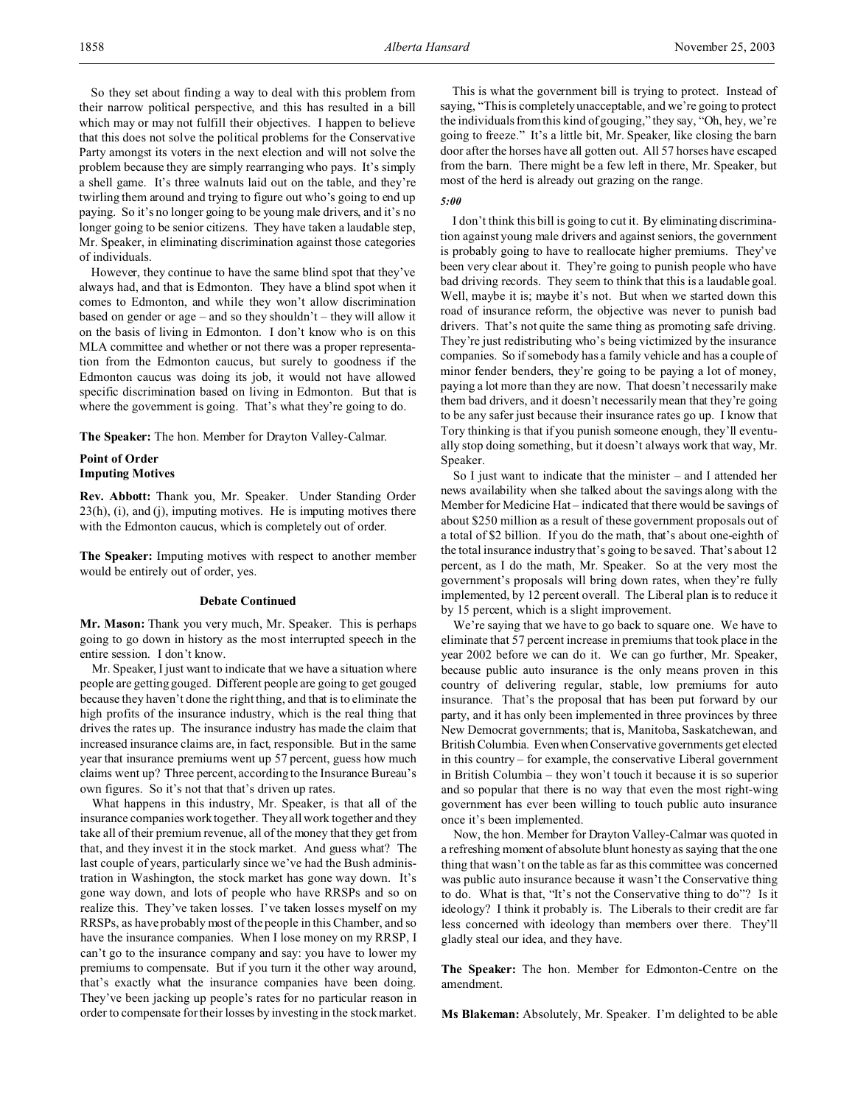So they set about finding a way to deal with this problem from their narrow political perspective, and this has resulted in a bill which may or may not fulfill their objectives. I happen to believe that this does not solve the political problems for the Conservative Party amongst its voters in the next election and will not solve the problem because they are simply rearranging who pays. It's simply a shell game. It's three walnuts laid out on the table, and they're twirling them around and trying to figure out who's going to end up paying. So it's no longer going to be young male drivers, and it's no longer going to be senior citizens. They have taken a laudable step, Mr. Speaker, in eliminating discrimination against those categories of individuals.

However, they continue to have the same blind spot that they've always had, and that is Edmonton. They have a blind spot when it comes to Edmonton, and while they won't allow discrimination based on gender or age – and so they shouldn't – they will allow it on the basis of living in Edmonton. I don't know who is on this MLA committee and whether or not there was a proper representation from the Edmonton caucus, but surely to goodness if the Edmonton caucus was doing its job, it would not have allowed specific discrimination based on living in Edmonton. But that is where the government is going. That's what they're going to do.

**The Speaker:** The hon. Member for Drayton Valley-Calmar.

## **Point of Order Imputing Motives**

**Rev. Abbott:** Thank you, Mr. Speaker. Under Standing Order  $23(h)$ , (i), and (j), imputing motives. He is imputing motives there with the Edmonton caucus, which is completely out of order.

**The Speaker:** Imputing motives with respect to another member would be entirely out of order, yes.

### **Debate Continued**

**Mr. Mason:** Thank you very much, Mr. Speaker. This is perhaps going to go down in history as the most interrupted speech in the entire session. I don't know.

Mr. Speaker, I just want to indicate that we have a situation where people are getting gouged. Different people are going to get gouged because they haven't done the right thing, and that is to eliminate the high profits of the insurance industry, which is the real thing that drives the rates up. The insurance industry has made the claim that increased insurance claims are, in fact, responsible. But in the same year that insurance premiums went up 57 percent, guess how much claims went up? Three percent, according to the Insurance Bureau's own figures. So it's not that that's driven up rates.

What happens in this industry, Mr. Speaker, is that all of the insurance companies work together. They all work together and they take all of their premium revenue, all of the money that they get from that, and they invest it in the stock market. And guess what? The last couple of years, particularly since we've had the Bush administration in Washington, the stock market has gone way down. It's gone way down, and lots of people who have RRSPs and so on realize this. They've taken losses. I've taken losses myself on my RRSPs, as have probably most of the people in this Chamber, and so have the insurance companies. When I lose money on my RRSP, I can't go to the insurance company and say: you have to lower my premiums to compensate. But if you turn it the other way around, that's exactly what the insurance companies have been doing. They've been jacking up people's rates for no particular reason in order to compensate for their losses by investing in the stock market.

This is what the government bill is trying to protect. Instead of saying, "This is completely unacceptable, and we're going to protect the individuals from this kind of gouging," they say, "Oh, hey, we're going to freeze." It's a little bit, Mr. Speaker, like closing the barn door after the horses have all gotten out. All 57 horses have escaped from the barn. There might be a few left in there, Mr. Speaker, but most of the herd is already out grazing on the range.

### *5:00*

I don't think this bill is going to cut it. By eliminating discrimination against young male drivers and against seniors, the government is probably going to have to reallocate higher premiums. They've been very clear about it. They're going to punish people who have bad driving records. They seem to think that this is a laudable goal. Well, maybe it is; maybe it's not. But when we started down this road of insurance reform, the objective was never to punish bad drivers. That's not quite the same thing as promoting safe driving. They're just redistributing who's being victimized by the insurance companies. So if somebody has a family vehicle and has a couple of minor fender benders, they're going to be paying a lot of money, paying a lot more than they are now. That doesn't necessarily make them bad drivers, and it doesn't necessarily mean that they're going to be any safer just because their insurance rates go up. I know that Tory thinking is that if you punish someone enough, they'll eventually stop doing something, but it doesn't always work that way, Mr. Speaker.

So I just want to indicate that the minister – and I attended her news availability when she talked about the savings along with the Member for Medicine Hat – indicated that there would be savings of about \$250 million as a result of these government proposals out of a total of \$2 billion. If you do the math, that's about one-eighth of the total insurance industry that's going to be saved. That's about 12 percent, as I do the math, Mr. Speaker. So at the very most the government's proposals will bring down rates, when they're fully implemented, by 12 percent overall. The Liberal plan is to reduce it by 15 percent, which is a slight improvement.

We're saying that we have to go back to square one. We have to eliminate that 57 percent increase in premiums that took place in the year 2002 before we can do it. We can go further, Mr. Speaker, because public auto insurance is the only means proven in this country of delivering regular, stable, low premiums for auto insurance. That's the proposal that has been put forward by our party, and it has only been implemented in three provinces by three New Democrat governments; that is, Manitoba, Saskatchewan, and British Columbia. Even when Conservative governments get elected in this country – for example, the conservative Liberal government in British Columbia – they won't touch it because it is so superior and so popular that there is no way that even the most right-wing government has ever been willing to touch public auto insurance once it's been implemented.

Now, the hon. Member for Drayton Valley-Calmar was quoted in a refreshing moment of absolute blunt honesty as saying that the one thing that wasn't on the table as far as this committee was concerned was public auto insurance because it wasn't the Conservative thing to do. What is that, "It's not the Conservative thing to do"? Is it ideology? I think it probably is. The Liberals to their credit are far less concerned with ideology than members over there. They'll gladly steal our idea, and they have.

**The Speaker:** The hon. Member for Edmonton-Centre on the amendment.

**Ms Blakeman:** Absolutely, Mr. Speaker. I'm delighted to be able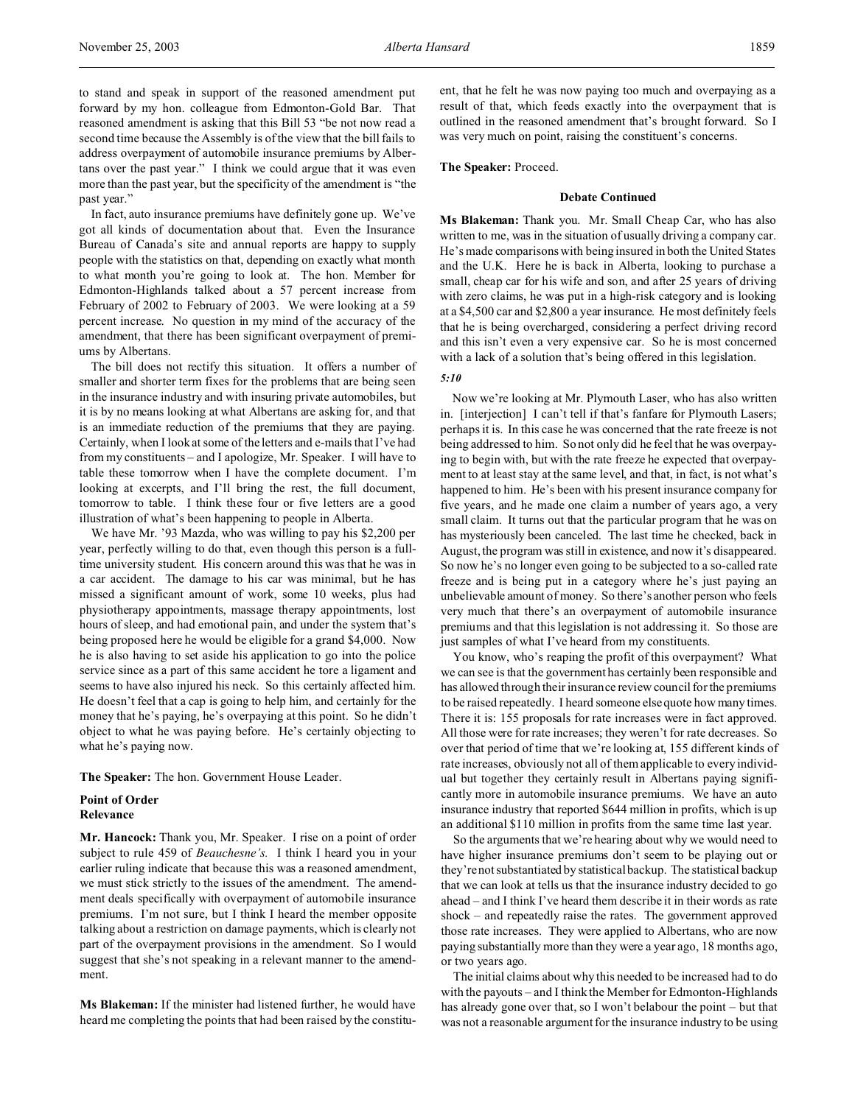to stand and speak in support of the reasoned amendment put forward by my hon. colleague from Edmonton-Gold Bar. That reasoned amendment is asking that this Bill 53 "be not now read a second time because the Assembly is of the view that the bill fails to address overpayment of automobile insurance premiums by Albertans over the past year." I think we could argue that it was even more than the past year, but the specificity of the amendment is "the past year."

In fact, auto insurance premiums have definitely gone up. We've got all kinds of documentation about that. Even the Insurance Bureau of Canada's site and annual reports are happy to supply people with the statistics on that, depending on exactly what month to what month you're going to look at. The hon. Member for Edmonton-Highlands talked about a 57 percent increase from February of 2002 to February of 2003. We were looking at a 59 percent increase. No question in my mind of the accuracy of the amendment, that there has been significant overpayment of premiums by Albertans.

The bill does not rectify this situation. It offers a number of smaller and shorter term fixes for the problems that are being seen in the insurance industry and with insuring private automobiles, but it is by no means looking at what Albertans are asking for, and that is an immediate reduction of the premiums that they are paying. Certainly, when I look at some of the letters and e-mails that I've had from my constituents – and I apologize, Mr. Speaker. I will have to table these tomorrow when I have the complete document. I'm looking at excerpts, and I'll bring the rest, the full document, tomorrow to table. I think these four or five letters are a good illustration of what's been happening to people in Alberta.

We have Mr. '93 Mazda, who was willing to pay his \$2,200 per year, perfectly willing to do that, even though this person is a fulltime university student. His concern around this was that he was in a car accident. The damage to his car was minimal, but he has missed a significant amount of work, some 10 weeks, plus had physiotherapy appointments, massage therapy appointments, lost hours of sleep, and had emotional pain, and under the system that's being proposed here he would be eligible for a grand \$4,000. Now he is also having to set aside his application to go into the police service since as a part of this same accident he tore a ligament and seems to have also injured his neck. So this certainly affected him. He doesn't feel that a cap is going to help him, and certainly for the money that he's paying, he's overpaying at this point. So he didn't object to what he was paying before. He's certainly objecting to what he's paying now.

**The Speaker:** The hon. Government House Leader.

## **Point of Order Relevance**

**Mr. Hancock:** Thank you, Mr. Speaker. I rise on a point of order subject to rule 459 of *Beauchesne's.* I think I heard you in your earlier ruling indicate that because this was a reasoned amendment, we must stick strictly to the issues of the amendment. The amendment deals specifically with overpayment of automobile insurance premiums. I'm not sure, but I think I heard the member opposite talking about a restriction on damage payments, which is clearly not part of the overpayment provisions in the amendment. So I would suggest that she's not speaking in a relevant manner to the amendment.

**Ms Blakeman:** If the minister had listened further, he would have heard me completing the points that had been raised by the constituent, that he felt he was now paying too much and overpaying as a result of that, which feeds exactly into the overpayment that is outlined in the reasoned amendment that's brought forward. So I was very much on point, raising the constituent's concerns.

**The Speaker:** Proceed.

## **Debate Continued**

**Ms Blakeman:** Thank you. Mr. Small Cheap Car, who has also written to me, was in the situation of usually driving a company car. He's made comparisons with being insured in both the United States and the U.K. Here he is back in Alberta, looking to purchase a small, cheap car for his wife and son, and after 25 years of driving with zero claims, he was put in a high-risk category and is looking at a \$4,500 car and \$2,800 a year insurance. He most definitely feels that he is being overcharged, considering a perfect driving record and this isn't even a very expensive car. So he is most concerned with a lack of a solution that's being offered in this legislation.

#### *5:10*

Now we're looking at Mr. Plymouth Laser, who has also written in. [interjection] I can't tell if that's fanfare for Plymouth Lasers; perhaps it is. In this case he was concerned that the rate freeze is not being addressed to him. So not only did he feel that he was overpaying to begin with, but with the rate freeze he expected that overpayment to at least stay at the same level, and that, in fact, is not what's happened to him. He's been with his present insurance company for five years, and he made one claim a number of years ago, a very small claim. It turns out that the particular program that he was on has mysteriously been canceled. The last time he checked, back in August, the program was still in existence, and now it's disappeared. So now he's no longer even going to be subjected to a so-called rate freeze and is being put in a category where he's just paying an unbelievable amount of money. So there's another person who feels very much that there's an overpayment of automobile insurance premiums and that this legislation is not addressing it. So those are just samples of what I've heard from my constituents.

You know, who's reaping the profit of this overpayment? What we can see is that the government has certainly been responsible and has allowed through their insurance review council for the premiums to be raised repeatedly. I heard someone else quote how many times. There it is: 155 proposals for rate increases were in fact approved. All those were for rate increases; they weren't for rate decreases. So over that period of time that we're looking at, 155 different kinds of rate increases, obviously not all of them applicable to every individual but together they certainly result in Albertans paying significantly more in automobile insurance premiums. We have an auto insurance industry that reported \$644 million in profits, which is up an additional \$110 million in profits from the same time last year.

So the arguments that we're hearing about why we would need to have higher insurance premiums don't seem to be playing out or they're not substantiated by statistical backup. The statistical backup that we can look at tells us that the insurance industry decided to go ahead – and I think I've heard them describe it in their words as rate shock – and repeatedly raise the rates. The government approved those rate increases. They were applied to Albertans, who are now paying substantially more than they were a year ago, 18 months ago, or two years ago.

The initial claims about why this needed to be increased had to do with the payouts – and I think the Member for Edmonton-Highlands has already gone over that, so I won't belabour the point – but that was not a reasonable argument for the insurance industry to be using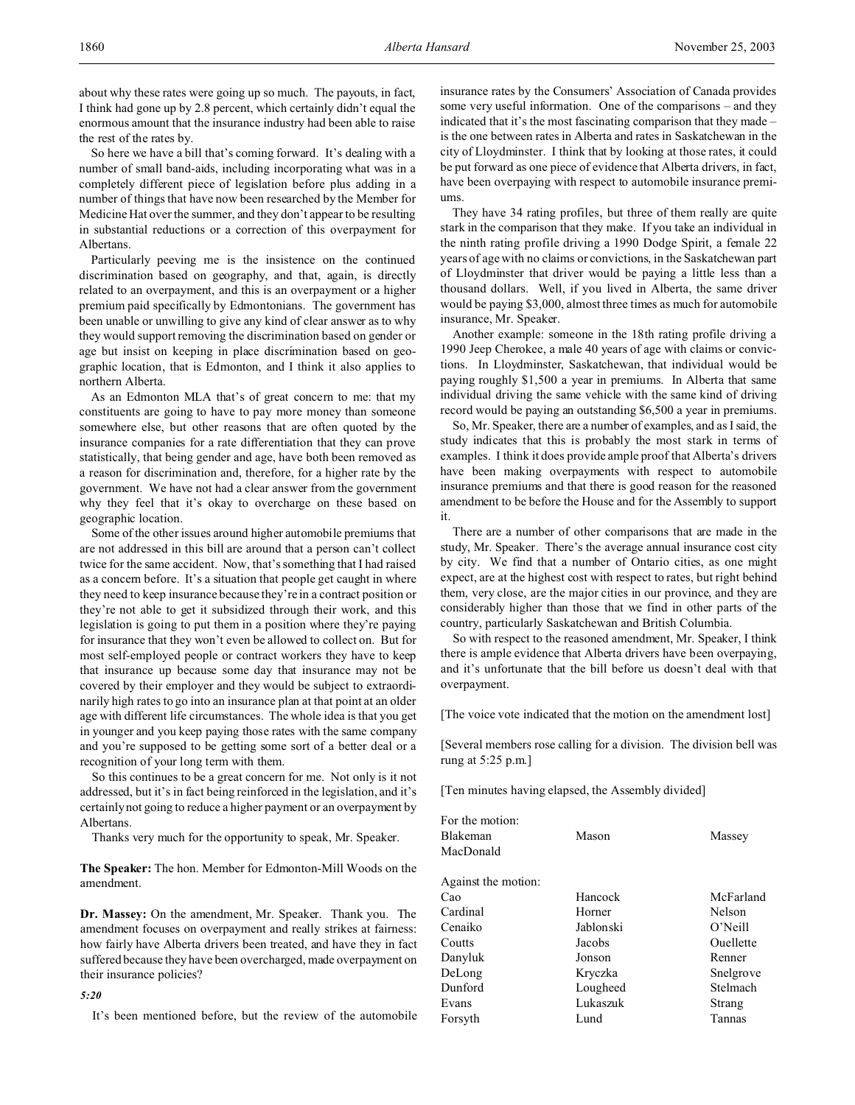So here we have a bill that's coming forward. It's dealing with a number of small band-aids, including incorporating what was in a completely different piece of legislation before plus adding in a number of things that have now been researched by the Member for Medicine Hat over the summer, and they don't appear to be resulting in substantial reductions or a correction of this overpayment for Albertans.

Particularly peeving me is the insistence on the continued discrimination based on geography, and that, again, is directly related to an overpayment, and this is an overpayment or a higher premium paid specifically by Edmontonians. The government has been unable or unwilling to give any kind of clear answer as to why they would support removing the discrimination based on gender or age but insist on keeping in place discrimination based on geographic location, that is Edmonton, and I think it also applies to northern Alberta.

As an Edmonton MLA that's of great concern to me: that my constituents are going to have to pay more money than someone somewhere else, but other reasons that are often quoted by the insurance companies for a rate differentiation that they can prove statistically, that being gender and age, have both been removed as a reason for discrimination and, therefore, for a higher rate by the government. We have not had a clear answer from the government why they feel that it's okay to overcharge on these based on geographic location.

Some of the other issues around higher automobile premiums that are not addressed in this bill are around that a person can't collect twice for the same accident. Now, that's something that I had raised as a concern before. It's a situation that people get caught in where they need to keep insurance because they're in a contract position or they're not able to get it subsidized through their work, and this legislation is going to put them in a position where they're paying for insurance that they won't even be allowed to collect on. But for most self-employed people or contract workers they have to keep that insurance up because some day that insurance may not be covered by their employer and they would be subject to extraordinarily high rates to go into an insurance plan at that point at an older age with different life circumstances. The whole idea is that you get in younger and you keep paying those rates with the same company and you're supposed to be getting some sort of a better deal or a recognition of your long term with them.

So this continues to be a great concern for me. Not only is it not addressed, but it's in fact being reinforced in the legislation, and it's certainly not going to reduce a higher payment or an overpayment by Albertans.

Thanks very much for the opportunity to speak, Mr. Speaker.

**The Speaker:** The hon. Member for Edmonton-Mill Woods on the amendment.

**Dr. Massey:** On the amendment, Mr. Speaker. Thank you. The amendment focuses on overpayment and really strikes at fairness: how fairly have Alberta drivers been treated, and have they in fact suffered because they have been overcharged, made overpayment on their insurance policies?

### *5:20*

It's been mentioned before, but the review of the automobile

insurance rates by the Consumers' Association of Canada provides some very useful information. One of the comparisons – and they indicated that it's the most fascinating comparison that they made – is the one between rates in Alberta and rates in Saskatchewan in the city of Lloydminster. I think that by looking at those rates, it could be put forward as one piece of evidence that Alberta drivers, in fact, have been overpaying with respect to automobile insurance premiums.

They have 34 rating profiles, but three of them really are quite stark in the comparison that they make. If you take an individual in the ninth rating profile driving a 1990 Dodge Spirit, a female 22 years of age with no claims or convictions, in the Saskatchewan part of Lloydminster that driver would be paying a little less than a thousand dollars. Well, if you lived in Alberta, the same driver would be paying \$3,000, almost three times as much for automobile insurance, Mr. Speaker.

Another example: someone in the 18th rating profile driving a 1990 Jeep Cherokee, a male 40 years of age with claims or convictions. In Lloydminster, Saskatchewan, that individual would be paying roughly \$1,500 a year in premiums. In Alberta that same individual driving the same vehicle with the same kind of driving record would be paying an outstanding \$6,500 a year in premiums.

So, Mr. Speaker, there are a number of examples, and as I said, the study indicates that this is probably the most stark in terms of examples. I think it does provide ample proof that Alberta's drivers have been making overpayments with respect to automobile insurance premiums and that there is good reason for the reasoned amendment to be before the House and for the Assembly to support it.

There are a number of other comparisons that are made in the study, Mr. Speaker. There's the average annual insurance cost city by city. We find that a number of Ontario cities, as one might expect, are at the highest cost with respect to rates, but right behind them, very close, are the major cities in our province, and they are considerably higher than those that we find in other parts of the country, particularly Saskatchewan and British Columbia.

So with respect to the reasoned amendment, Mr. Speaker, I think there is ample evidence that Alberta drivers have been overpaying, and it's unfortunate that the bill before us doesn't deal with that overpayment.

[The voice vote indicated that the motion on the amendment lost]

[Several members rose calling for a division. The division bell was rung at 5:25 p.m.]

[Ten minutes having elapsed, the Assembly divided]

| For the motion:     |           |           |
|---------------------|-----------|-----------|
| Blakeman            | Mason     | Massey    |
| MacDonald           |           |           |
| Against the motion: |           |           |
| Cao                 | Hancock   | McFarland |
| Cardinal            | Horner    | Nelson    |
| Cenaiko             | Jablonski | O'Neill   |
| Coutts              | Jacobs    | Ouellette |
| Danyluk             | Jonson    | Renner    |
| DeLong              | Kryczka   | Snelgrove |
| Dunford             | Lougheed  | Stelmach  |
| Evans               | Lukaszuk  | Strang    |
| Forsyth             | Lund      | Tannas    |
|                     |           |           |